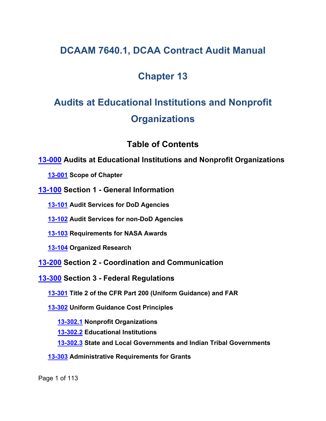# **DCAAM 7640.1, DCAA Contract Audit Manual**

# **Chapter 13**

# **Audits at Educational Institutions and Nonprofit Organizations**

# <span id="page-0-7"></span><span id="page-0-5"></span><span id="page-0-4"></span><span id="page-0-3"></span><span id="page-0-2"></span><span id="page-0-1"></span><span id="page-0-0"></span>**Table of Contents**

**[13-000](#page-7-0) Audits at Educational Institutions and Nonprofit Organizations**

**[13-001](#page-7-1) Scope of Chapter**

**[13-100](#page-8-0) Section 1 - General Information**

**[13-101](#page-8-1) Audit Services for DoD Agencies**

**[13-102](#page-8-2) Audit Services for non-DoD Agencies**

**[13-103](#page-9-0) Requirements for NASA Awards**

<span id="page-0-6"></span>**[13-104](#page-9-1) Organized Research**

**[13-200](#page-9-2) Section 2 - Coordination and Communication**

**[13-300](#page-10-0) Section 3 - Federal Regulations**

**[13-301](#page-10-1) Title 2 of the CFR Part 200 (Uniform Guidance) and FAR**

**[13-302](#page-12-0) Uniform Guidance Cost Principles**

<span id="page-0-11"></span><span id="page-0-10"></span><span id="page-0-9"></span><span id="page-0-8"></span>**[13-302.1](#page-13-0) Nonprofit Organizations**

<span id="page-0-12"></span>**[13-302.2](#page-13-1) Educational Institutions**

<span id="page-0-14"></span><span id="page-0-13"></span>**[13-302.3](#page-13-2) State and Local Governments and Indian Tribal Governments**

**[13-303](#page-13-3) Administrative Requirements for Grants**

Page 1 of 113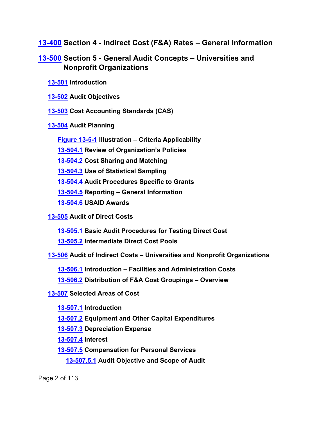**[13-400](#page-15-0) Section 4 - Indirect Cost (F&A) Rates – General Information**

# **[13-500](#page-17-0) Section 5 - General Audit Concepts – Universities and Nonprofit Organizations**

- <span id="page-1-2"></span><span id="page-1-1"></span><span id="page-1-0"></span>**[13-501](#page-17-1) Introduction**
- <span id="page-1-3"></span>**[13-502](#page-17-2) Audit Objectives**
- **[13-503](#page-18-0) Cost Accounting Standards (CAS)**
- **[13-504](#page-18-1) Audit Planning**

<span id="page-1-5"></span><span id="page-1-4"></span>**[Figure 13-5-1](#page-20-0) Illustration – Criteria Applicability**

<span id="page-1-6"></span>**[13-504.1](#page-20-1) Review of Organization's Policies**

**[13-504.2](#page-21-0) Cost Sharing and Matching**

<span id="page-1-8"></span><span id="page-1-7"></span>**[13-504.3](#page-22-0) Use of Statistical Sampling**

<span id="page-1-9"></span>**[13-504.4](#page-22-1) Audit Procedures Specific to Grants**

<span id="page-1-10"></span>**[13-504.5](#page-23-0) Reporting – General Information**

<span id="page-1-12"></span><span id="page-1-11"></span>**[13-504.6](#page-23-1) USAID Awards**

**[13-505](#page-23-2) Audit of Direct Costs**

**[13-505.1](#page-24-0) Basic Audit Procedures for Testing Direct Cost**

<span id="page-1-14"></span><span id="page-1-13"></span>**[13-505.2](#page-24-1) Intermediate Direct Cost Pools**

**[13-506](#page-25-0) Audit of Indirect Costs – Universities and Nonprofit Organizations**

<span id="page-1-15"></span>**[13-506.1](#page-25-1) Introduction – Facilities and Administration Costs**

<span id="page-1-17"></span><span id="page-1-16"></span>**13-506.2 Distribution of F&A Cost Groupings – Overview**

**[13-507](#page-27-0) Selected Areas of Cost** 

<span id="page-1-18"></span>**[13-507.1](#page-27-1) Introduction**

**[13-507.2](#page-27-2) Equipment and Other Capital Expenditures**

**[13-507.3](#page-28-0) Depreciation Expense**

**[13-507.4](#page-30-0) Interest**

**[13-507.5](#page-30-1) Compensation for Personal Services**

<span id="page-1-23"></span><span id="page-1-22"></span><span id="page-1-21"></span><span id="page-1-20"></span><span id="page-1-19"></span>**[13-507.5.1](#page-31-0) Audit Objective and Scope of Audit**

Page 2 of 113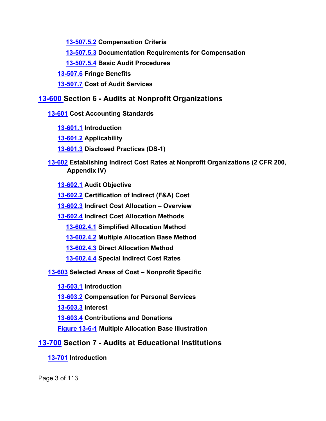**[13-507.5.2](#page-31-1) Compensation Criteria**

<span id="page-2-2"></span><span id="page-2-1"></span><span id="page-2-0"></span>**[13-507.5.3](#page-32-0) Documentation Requirements for Compensation**

<span id="page-2-5"></span><span id="page-2-4"></span><span id="page-2-3"></span>**[13-507.5.4](#page-33-0) Basic Audit Procedures**

**[13-507.6](#page-34-0) Fringe Benefits**

**[13-507.7](#page-34-1) Cost of Audit Services**

# **13-600 Section 6 - Audits at Nonprofit Organizations**

**[13-601](#page-35-0) Cost Accounting Standards**

<span id="page-2-7"></span><span id="page-2-6"></span>**[13-601.1](#page-35-1) Introduction**

<span id="page-2-8"></span>**[13-601.2](#page-35-2) Applicability**

**[13-601.3](#page-36-0) Disclosed Practices (DS-1)**

**[13-602](#page-36-1) Establishing Indirect Cost Rates at Nonprofit Organizations (2 CFR 200, Appendix IV)**

**[13-602.1](#page-36-2) Audit Objective**

**[13-602.2](#page-37-0) Certification of Indirect (F&A) Cost**

**[13-602.3](#page-37-1) Indirect Cost Allocation – Overview**

**[13-602.4](#page-38-0) Indirect Cost Allocation Methods**

**[13-602.4.1](#page-38-1) Simplified Allocation Method**

**[13-602.4.2](#page-39-0) Multiple Allocation Base Method**

**[13-602.4.3](#page-41-0) Direct Allocation Method**

**[13-602.4.4](#page-41-1) Special Indirect Cost Rates**

**[13-603](#page-42-0) Selected Areas of Cost – Nonprofit Specific**

**[13-603.1](#page-42-1) Introduction**

**[13-603.2](#page-42-2) Compensation for Personal Services**

**[13-603.3](#page-42-3) Interest**

**[13-603.4](#page-43-0) Contributions and Donations**

**[Figure 13-6-1](#page-44-0) Multiple Allocation Base Illustration**

# **[13-700](#page-45-0) Section 7 - Audits at Educational Institutions**

**[13-701](#page-45-1) Introduction**

Page 3 of 113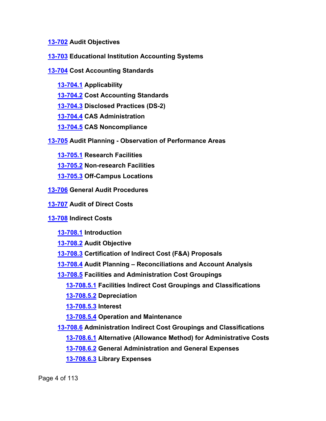#### **[13-702](#page-45-2) Audit Objectives**

- **[13-703](#page-45-3) Educational Institution Accounting Systems**
- **[13-704](#page-46-0) Cost Accounting Standards** 
	- **[13-704.1](#page-46-1) Applicability**
	- **[13-704.2](#page-47-0) Cost Accounting Standards**
	- **[13-704.3](#page-48-0) Disclosed Practices (DS-2)**
	- **[13-704.4](#page-49-0) CAS Administration**
	- **[13-704.5](#page-50-0) CAS Noncompliance**
- **[13-705](#page-50-1) Audit Planning - Observation of Performance Areas** 
	- **[13-705.1](#page-51-0) Research Facilities**
	- **[13-705.2](#page-51-1) Non-research Facilities**
	- **[13-705.3](#page-51-2) Off-Campus Locations**
- **[13-706](#page-52-0) General Audit Procedures**
- **[13-707](#page-52-1) Audit of Direct Costs**
- **[13-708](#page-53-0) Indirect Costs**
	- **[13-708.1](#page-53-1) Introduction**
	- **[13-708.2](#page-53-2) Audit Objective**
	- **[13-708.3](#page-54-0) Certification of Indirect Cost (F&A) Proposals**
	- **[13-708.4](#page-54-1) Audit Planning – Reconciliations and Account Analysis**
	- **[13-708.5](#page-54-2) Facilities and Administration Cost Groupings**
		- **[13-708.5.1](#page-54-3) Facilities Indirect Cost Groupings and Classifications**
		- **[13-708.5.2](#page-55-0) Depreciation**
		- **[13-708.5.3](#page-56-0) Interest**
		- **[13-708.5.4](#page-56-1) Operation and Maintenance**
	- **[13-708.6](#page-58-0) Administration Indirect Cost Groupings and Classifications [13-708.6.1](#page-58-1) Alternative (Allowance Method) for Administrative Costs**
		- **[13-708.6.2](#page-58-2) General Administration and General Expenses**
		- **[13-708.6.3](#page-59-0) Library Expenses**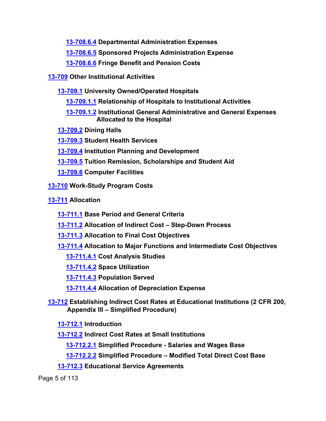**[13-708.6.4](#page-60-0) Departmental Administration Expenses**

**[13-708.6.5](#page-61-0) Sponsored Projects Administration Expense**

**[13-708.6.6](#page-62-0) Fringe Benefit and Pension Costs**

- **[13-709](#page-63-0) Other Institutional Activities**
	- **[13-709.1](#page-64-0) University Owned/Operated Hospitals**
		- **[13-709.1.1](#page-64-1) Relationship of Hospitals to Institutional Activities**
		- **[13-709.1.2](#page-64-2) Institutional General Administrative and General Expenses Allocated to the Hospital**
	- **[13-709.2](#page-65-0) Dining Halls**
	- **[13-709.3](#page-65-1) Student Health Services**
	- **[13-709.4](#page-65-2) Institution Planning and Development**
	- **[13-709.5](#page-65-3) Tuition Remission, Scholarships and Student Aid**
	- **[13-709.6](#page-66-0) Computer Facilities**
- **[13-710](#page-66-1) Work-Study Program Costs**
- **[13-711](#page-67-0) Allocation** 
	- **[13-711.1](#page-67-1) Base Period and General Criteria**
	- **[13-711.2](#page-67-2) Allocation of Indirect Cost – Step-Down Process**
	- **[13-711.3](#page-68-0) Allocation to Final Cost Objectives**
	- **[13-711.4](#page-69-0) Allocation to Major Functions and Intermediate Cost Objectives**
		- **[13-711.4.1](#page-69-1) Cost Analysis Studies**
		- **[13-711.4.2](#page-70-0) Space Utilization**
		- **[13-711.4.3](#page-70-1) Population Served**
		- **[13-711.4.4](#page-70-2) Allocation of Depreciation Expense**
- **[13-712](#page-71-0) Establishing Indirect Cost Rates at Educational Institutions (2 CFR 200, Appendix III – Simplified Procedure)**
	- **[13-712.1](#page-71-1) Introduction**
	- **[13-712.2](#page-71-2) Indirect Cost Rates at Small Institutions**
		- **[13-712.2.1](#page-72-0) Simplified Procedure - Salaries and Wages Base**
		- **[13-712.2.2](#page-73-0) Simplified Procedure – Modified Total Direct Cost Base**
	- **[13-712.3](#page-73-1) Educational Service Agreements**

Page 5 of 113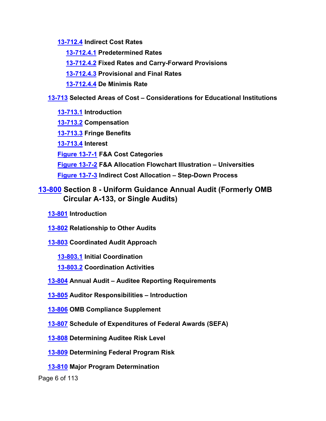**[13-712.4](#page-74-0) Indirect Cost Rates**

**[13-712.4.1](#page-74-1) Predetermined Rates**

**[13-712.4.2](#page-75-0) Fixed Rates and Carry-Forward Provisions**

**[13-712.4.3](#page-75-1) Provisional and Final Rates**

**[13-712.4.4](#page-76-0) De Minimis Rate**

**[13-713](#page-76-1) Selected Areas of Cost – Considerations for Educational Institutions**

**[13-713.1](#page-76-2) Introduction [13-713.2](#page-76-3) Compensation [13-713.3](#page-77-0) Fringe Benefits [13-713.4](#page-78-0) Interest [Figure 13-7-1](#page-78-1) F&A Cost Categories [Figure 13-7-2](#page-79-0) F&A Allocation Flowchart Illustration – Universities [Figure 13-7-3](#page-80-0) Indirect Cost Allocation – Step-Down Process**

# **[13-800](#page-80-1) Section 8 - Uniform Guidance Annual Audit (Formerly OMB Circular A-133, or Single Audits)**

- <span id="page-5-0"></span>**[13-801](#page-80-2) Introduction**
- **[13-802](#page-81-0) Relationship to Other Audits**
- **[13-803](#page-81-1) Coordinated Audit Approach**

**[13-803.1](#page-82-0) Initial Coordination**

- **[13-803.2](#page-83-0) Coordination Activities**
- **[13-804](#page-83-1) Annual Audit – Auditee Reporting Requirements**
- **[13-805](#page-85-0) Auditor Responsibilities – Introduction**
- **[13-806](#page-86-0) OMB Compliance Supplement**
- **[13-807](#page-87-0) Schedule of Expenditures of Federal Awards (SEFA)**
- **[13-808](#page-87-1) Determining Auditee Risk Level**
- **[13-809](#page-88-0) Determining Federal Program Risk**
- **[13-810](#page-89-0) Major Program Determination**

Page 6 of 113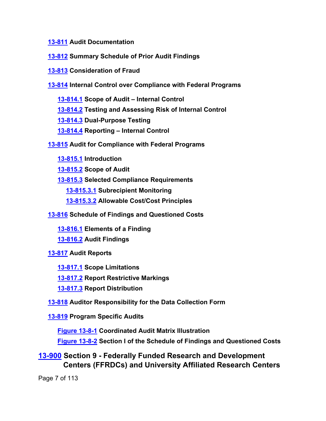**[13-811](#page-92-0) Audit Documentation**

- **[13-812](#page-92-1) Summary Schedule of Prior Audit Findings**
- **[13-813](#page-93-0) Consideration of Fraud**
- **[13-814](#page-93-1) Internal Control over Compliance with Federal Programs**

**[13-814.1](#page-94-0) Scope of Audit – Internal Control [13-814.2](#page-95-0) Testing and Assessing Risk of Internal Control [13-814.3](#page-97-0) Dual-Purpose Testing [13-814.4](#page-98-0) Reporting – Internal Control**

- **[13-815](#page-98-1) Audit for Compliance with Federal Programs**
	- **[13-815.1](#page-98-2) Introduction**

**[13-815.2](#page-98-3) Scope of Audit**

**[13-815.3](#page-99-0) Selected Compliance Requirements**

**[13-815.3.1](#page-100-0) Subrecipient Monitoring**

- **[13-815.3.2](#page-101-0) Allowable Cost/Cost Principles**
- **[13-816](#page-101-1) Schedule of Findings and Questioned Costs**

**[13-816.1](#page-102-0) Elements of a Finding**

- **[13-816.2](#page-102-1) Audit Findings**
- **[13-817](#page-104-0) Audit Reports**
	- **[13-817.1](#page-104-1) Scope Limitations**
	- **[13-817.2](#page-105-0) Report Restrictive Markings**
	- **[13-817.3](#page-105-1) Report Distribution**
- **[13-818](#page-106-0) Auditor Responsibility for the Data Collection Form**
- **[13-819](#page-106-1) Program Specific Audits**

**[Figure 13-8-1](#page-107-0) Coordinated Audit Matrix Illustration [Figure 13-8-2](#page-108-0) Section I of the Schedule of Findings and Questioned Costs**

**[13-900](#page-109-0) Section 9 - Federally Funded Research and Development Centers (FFRDCs) and University Affiliated Research Centers** 

Page 7 of 113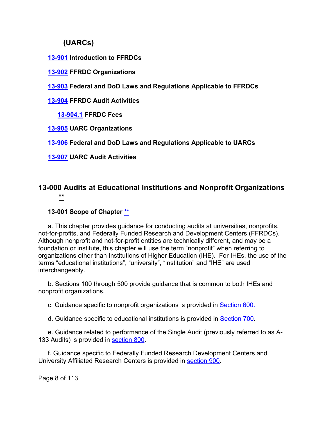# **(UARCs)**

**[13-901](#page-109-1) Introduction to FFRDCs**

**[13-902](#page-109-2) FFRDC Organizations**

**[13-903](#page-109-3) Federal and DoD Laws and Regulations Applicable to FFRDCs**

**[13-904](#page-110-0) FFRDC Audit Activities**

**[13-904.1](#page-111-0) FFRDC Fees**

**13-905 UARC Organizations**

**13-906 Federal and DoD Laws and Regulations Applicable to UARCs**

**13-907 UARC Audit Activities**

# <span id="page-7-0"></span>**13-000 Audits at Educational Institutions and Nonprofit Organizations [\\*\\*](#page-0-0)**

#### <span id="page-7-1"></span>**13-001 Scope of Chapter [\\*\\*](#page-0-1)**

a. This chapter provides guidance for conducting audits at universities, nonprofits, not-for-profits, and Federally Funded Research and Development Centers (FFRDCs). Although nonprofit and not-for-profit entities are technically different, and may be a foundation or institute, this chapter will use the term "nonprofit" when referring to organizations other than Institutions of Higher Education (IHE). For IHEs, the use of the terms "educational institutions", "university", "institution" and "IHE" are used interchangeably.

b. Sections 100 through 500 provide guidance that is common to both IHEs and nonprofit organizations.

c. Guidance specific to nonprofit organizations is provided in [Section 600.](#page-35-3)

d. Guidance specific to educational institutions is provided in [Section 700.](#page-45-0)

e. Guidance related to performance of the Single Audit (previously referred to as A-133 Audits) is provided in [section 800.](#page-80-1)

f. Guidance specific to Federally Funded Research Development Centers and University Affiliated Research Centers is provided in [section 900.](#page-109-4)

Page 8 of 113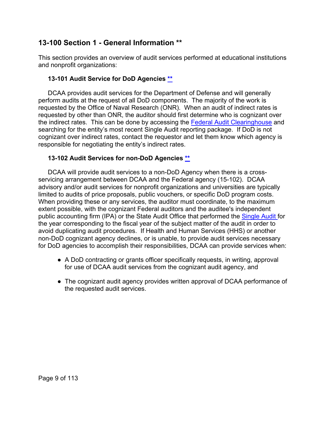# <span id="page-8-0"></span>**13-100 Section 1 - General Information [\\*\\*](#page-0-2)**

This section provides an overview of audit services performed at educational institutions and nonprofit organizations:

#### <span id="page-8-1"></span>**13-101 Audit Service for DoD Agencies [\\*\\*](#page-0-3)**

DCAA provides audit services for the Department of Defense and will generally perform audits at the request of all DoD components. The majority of the work is requested by the Office of Naval Research (ONR). When an audit of indirect rates is requested by other than ONR, the auditor should first determine who is cognizant over the indirect rates. This can be done by accessing the [Federal Audit Clearinghouse](https://harvester.census.gov/facweb/) and searching for the entity's most recent Single Audit reporting package. If DoD is not cognizant over indirect rates, contact the requestor and let them know which agency is responsible for negotiating the entity's indirect rates.

#### <span id="page-8-2"></span>**13-102 Audit Services for non-DoD Agencies [\\*\\*](#page-0-4)**

DCAA will provide audit services to a non-DoD Agency when there is a crossservicing arrangement between DCAA and the Federal agency (15-102). DCAA advisory and/or audit services for nonprofit organizations and universities are typically limited to audits of price proposals, public vouchers, or specific DoD program costs. When providing these or any services, the auditor must coordinate, to the maximum extent possible, with the cognizant Federal auditors and the auditee's independent public accounting firm (IPA) or the State Audit Office that performed the **Single Audit** for the year corresponding to the fiscal year of the subject matter of the audit in order to avoid duplicating audit procedures. If Health and Human Services (HHS) or another non-DoD cognizant agency declines, or is unable, to provide audit services necessary for DoD agencies to accomplish their responsibilities, DCAA can provide services when:

- A DoD contracting or grants officer specifically requests, in writing, approval for use of DCAA audit services from the cognizant audit agency, and
- The cognizant audit agency provides written approval of DCAA performance of the requested audit services.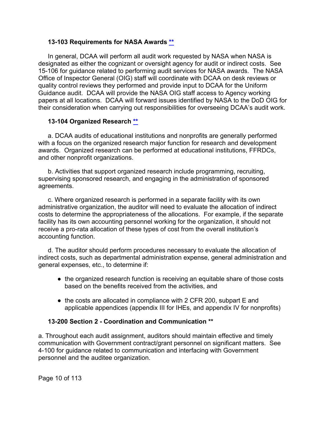#### <span id="page-9-0"></span>**13-103 Requirements for NASA Awards [\\*\\*](#page-0-5)**

In general, DCAA will perform all audit work requested by NASA when NASA is designated as either the cognizant or oversight agency for audit or indirect costs. See 15-106 for guidance related to performing audit services for NASA awards. The NASA Office of Inspector General (OIG) staff will coordinate with DCAA on desk reviews or quality control reviews they performed and provide input to DCAA for the Uniform Guidance audit. DCAA will provide the NASA OIG staff access to Agency working papers at all locations. DCAA will forward issues identified by NASA to the DoD OIG for their consideration when carrying out responsibilities for overseeing DCAA's audit work.

#### <span id="page-9-1"></span>**13-104 Organized Research [\\*\\*](#page-0-6)**

a. DCAA audits of educational institutions and nonprofits are generally performed with a focus on the organized research major function for research and development awards. Organized research can be performed at educational institutions, FFRDCs, and other nonprofit organizations.

b. Activities that support organized research include programming, recruiting, supervising sponsored research, and engaging in the administration of sponsored agreements.

c. Where organized research is performed in a separate facility with its own administrative organization, the auditor will need to evaluate the allocation of indirect costs to determine the appropriateness of the allocations. For example, if the separate facility has its own accounting personnel working for the organization, it should not receive a pro-rata allocation of these types of cost from the overall institution's accounting function.

d. The auditor should perform procedures necessary to evaluate the allocation of indirect costs, such as departmental administration expense, general administration and general expenses, etc., to determine if:

- the organized research function is receiving an equitable share of those costs based on the benefits received from the activities, and
- $\bullet$  the costs are allocated in compliance with 2 CFR 200, subpart E and applicable appendices (appendix III for IHEs, and appendix IV for nonprofits)

#### <span id="page-9-2"></span>**13-200 Section 2 - Coordination and Communication [\\*\\*](#page-0-7)**

a. Throughout each audit assignment, auditors should maintain effective and timely communication with Government contract/grant personnel on significant matters. See 4-100 for guidance related to communication and interfacing with Government personnel and the auditee organization.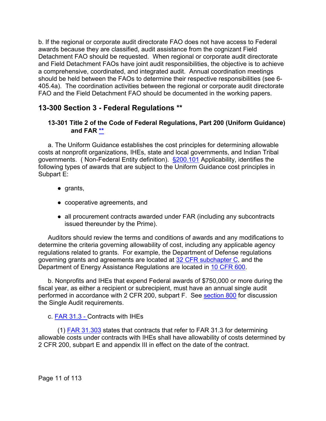b. If the regional or corporate audit directorate FAO does not have access to Federal awards because they are classified, audit assistance from the cognizant Field Detachment FAO should be requested. When regional or corporate audit directorate and Field Detachment FAOs have joint audit responsibilities, the objective is to achieve a comprehensive, coordinated, and integrated audit. Annual coordination meetings should be held between the FAOs to determine their respective responsibilities (see 6- 405.4a). The coordination activities between the regional or corporate audit directorate FAO and the Field Detachment FAO should be documented in the working papers.

# <span id="page-10-0"></span>**13-300 Section 3 - Federal Regulations [\\*\\*](#page-0-8)**

#### <span id="page-10-1"></span>**13-301 Title 2 of the Code of Federal Regulations, Part 200 (Uniform Guidance) and FAR [\\*\\*](#page-0-9)**

a. The Uniform Guidance establishes the cost principles for determining allowable costs at nonprofit organizations, IHEs, state and local governments, and Indian Tribal governments. ( Non-Federal Entity definition). [§200.101](https://www.ecfr.gov/cgi-bin/retrieveECFR?gp=&SID=2b55d9558ad22ab96332c1c790c3d12b&mc=true&n=pt2.1.200&r=PART&ty=HTML#se2.1.200_1101) Applicability, identifies the following types of awards that are subject to the Uniform Guidance cost principles in Subpart E:

- grants,
- cooperative agreements, and
- all procurement contracts awarded under FAR (including any subcontracts issued thereunder by the Prime).

Auditors should review the terms and conditions of awards and any modifications to determine the criteria governing allowability of cost, including any applicable agency regulations related to grants. For example, the Department of Defense regulations governing grants and agreements are located at [32 CFR subchapter C,](https://www.ecfr.gov/cgi-bin/text-idx?SID=b0ebc697836be2f7b06fcdd8a6812c10&mc=true&tpl=/ecfrbrowse/Title32/32CIsubchapC.tpl) and the Department of Energy Assistance Regulations are located in [10 CFR 600.](https://www.ecfr.gov/cgi-bin/text-idx?SID=b0ebc697836be2f7b06fcdd8a6812c10&mc=true&tpl=/ecfrbrowse/Title10/10CIIsubchapH.tpl)

b. Nonprofits and IHEs that expend Federal awards of \$750,000 or more during the fiscal year, as either a recipient or subrecipient, must have an annual single audit performed in accordance with 2 CFR 200, subpart F. See [section 800](#page-5-0) for discussion the Single Audit requirements.

#### c. [FAR 31.3](https://www.ecfr.gov/cgi-bin/text-idx?SID=30fca21e5a11274384d152f709a627ab&mc=true&node=sp48.1.31.31_13&rgn=div6) - Contracts with IHEs

(1) [FAR 31.303](https://www.ecfr.gov/cgi-bin/text-idx?SID=30fca21e5a11274384d152f709a627ab&mc=true&node=sp48.1.31.31_13&rgn=div6) states that contracts that refer to FAR 31.3 for determining allowable costs under contracts with IHEs shall have allowability of costs determined by 2 CFR 200, subpart E and appendix III in effect on the date of the contract.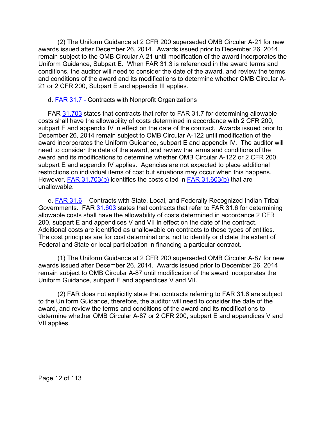(2) The Uniform Guidance at 2 CFR 200 superseded OMB Circular A-21 for new awards issued after December 26, 2014. Awards issued prior to December 26, 2014, remain subject to the OMB Circular A-21 until modification of the award incorporates the Uniform Guidance, Subpart E. When FAR 31.3 is referenced in the award terms and conditions, the auditor will need to consider the date of the award, and review the terms and conditions of the award and its modifications to determine whether OMB Circular A-21 or 2 CFR 200, Subpart E and appendix III applies.

#### d. [FAR 31.7](https://www.ecfr.gov/cgi-bin/text-idx?SID=30fca21e5a11274384d152f709a627ab&mc=true&node=sp48.1.31.31_17&rgn=div6) - Contracts with Nonprofit Organizations

FAR [31.703](https://www.ecfr.gov/cgi-bin/text-idx?SID=30fca21e5a11274384d152f709a627ab&mc=true&node=se48.1.31_1703&rgn=div8) states that contracts that refer to FAR 31.7 for determining allowable costs shall have the allowability of costs determined in accordance with 2 CFR 200, subpart E and appendix IV in effect on the date of the contract. Awards issued prior to December 26, 2014 remain subject to OMB Circular A-122 until modification of the award incorporates the Uniform Guidance, subpart E and appendix IV. The auditor will need to consider the date of the award, and review the terms and conditions of the award and its modifications to determine whether OMB Circular A-122 or 2 CFR 200, subpart E and appendix IV applies. Agencies are not expected to place additional restrictions on individual items of cost but situations may occur when this happens. However, [FAR 31.703\(b\)](https://www.ecfr.gov/cgi-bin/text-idx?SID=85a7fa35c7882f2e6d75758eb5295607&mc=true&node=se48.1.31_1703&rgn=div8) identifies the costs cited in [FAR 31.603\(b\)](https://www.ecfr.gov/cgi-bin/text-idx?SID=193d11d405468bb6358927487d4582a0&mc=true&node=se48.1.31_1603&rgn=div8) that are unallowable.

e. [FAR 31.6](https://www.ecfr.gov/cgi-bin/text-idx?SID=30fca21e5a11274384d152f709a627ab&mc=true&node=sp48.1.31.31_16&rgn=div6) – Contracts with State, Local, and Federally Recognized Indian Tribal Governments. FAR [31.603](https://www.ecfr.gov/cgi-bin/text-idx?SID=30fca21e5a11274384d152f709a627ab&mc=true&node=se48.1.31_1603&rgn=div8) states that contracts that refer to FAR 31.6 for determining allowable costs shall have the allowability of costs determined in accordance 2 CFR 200, subpart E and appendices V and VII in effect on the date of the contract. Additional costs are identified as unallowable on contracts to these types of entities. The cost principles are for cost determinations, not to identify or dictate the extent of Federal and State or local participation in financing a particular contract.

(1) The Uniform Guidance at 2 CFR 200 superseded OMB Circular A-87 for new awards issued after December 26, 2014. Awards issued prior to December 26, 2014 remain subject to OMB Circular A-87 until modification of the award incorporates the Uniform Guidance, subpart E and appendices V and VII.

(2) FAR does not explicitly state that contracts referring to FAR 31.6 are subject to the Uniform Guidance, therefore, the auditor will need to consider the date of the award, and review the terms and conditions of the award and its modifications to determine whether OMB Circular A-87 or 2 CFR 200, subpart E and appendices V and VII applies.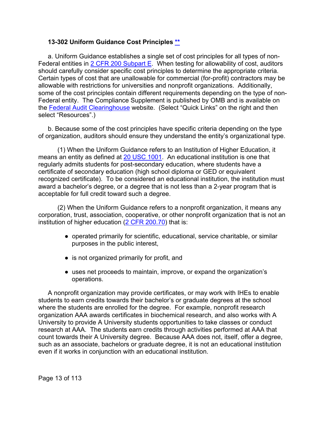#### <span id="page-12-0"></span>**13-302 Uniform Guidance Cost Principles [\\*\\*](#page-0-10)**

a. Uniform Guidance establishes a single set of cost principles for all types of non-Federal entities in  $2$  CFR 200 Subpart E. When testing for allowability of cost, auditors should carefully consider specific cost principles to determine the appropriate criteria. Certain types of cost that are unallowable for commercial (for-profit) contractors may be allowable with restrictions for universities and nonprofit organizations. Additionally, some of the cost principles contain different requirements depending on the type of non-Federal entity. The Compliance Supplement is published by OMB and is available on the [Federal Audit Clearinghouse](https://harvester.census.gov/facweb/) website. (Select "Quick Links" on the right and then select "Resources".)

b. Because some of the cost principles have specific criteria depending on the type of organization, auditors should ensure they understand the entity's organizational type.

(1) When the Uniform Guidance refers to an Institution of Higher Education, it means an entity as defined at [20 USC 1001.](http://uscode.house.gov/browse/prelim@title20/chapter28/subchapter1/partA&edition=prelim) An educational institution is one that regularly admits students for post-secondary education, where students have a certificate of secondary education (high school diploma or GED or equivalent recognized certificate). To be considered an educational institution, the institution must award a bachelor's degree, or a degree that is not less than a 2-year program that is acceptable for full credit toward such a degree.

(2) When the Uniform Guidance refers to a nonprofit organization, it means any corporation, trust, association, cooperative, or other nonprofit organization that is not an institution of higher education [\(2 CFR 200.70\)](https://www.ecfr.gov/cgi-bin/text-idx?SID=bef6d310036703580906deca2d0e7dc4&mc=true&node=se2.1.200_170&rgn=div8) that is:

- operated primarily for scientific, educational, service charitable, or similar purposes in the public interest,
- is not organized primarily for profit, and
- uses net proceeds to maintain, improve, or expand the organization's operations.

A nonprofit organization may provide certificates, or may work with IHEs to enable students to earn credits towards their bachelor's or graduate degrees at the school where the students are enrolled for the degree. For example, nonprofit research organization AAA awards certificates in biochemical research, and also works with A University to provide A University students opportunities to take classes or conduct research at AAA. The students earn credits through activities performed at AAA that count towards their A University degree. Because AAA does not, itself, offer a degree, such as an associate, bachelors or graduate degree, it is not an educational institution even if it works in conjunction with an educational institution.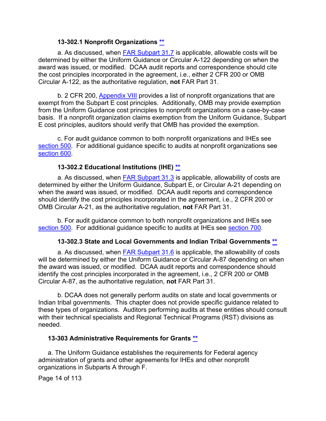#### <span id="page-13-0"></span>**13-302.1 Nonprofit Organizations [\\*\\*](#page-0-11)**

a. As discussed, when [FAR Subpart 31.7](https://www.ecfr.gov/cgi-bin/text-idx?SID=a296eb9011b227e2c3fe51849cf43138&mc=true&node=sp48.1.31.31_17&rgn=div6) is applicable, allowable costs will be determined by either the Uniform Guidance or Circular A-122 depending on when the award was issued, or modified. DCAA audit reports and correspondence should cite the cost principles incorporated in the agreement, i.e., either 2 CFR 200 or OMB Circular A-122, as the authoritative regulation, **not** FAR Part 31.

b. 2 CFR 200, **Appendix VIII** provides a list of nonprofit organizations that are exempt from the Subpart E cost principles. Additionally, OMB may provide exemption from the Uniform Guidance cost principles to nonprofit organizations on a case-by-case basis. If a nonprofit organization claims exemption from the Uniform Guidance, Subpart E cost principles, auditors should verify that OMB has provided the exemption.

c. For audit guidance common to both nonprofit organizations and IHEs see [section 500.](#page-17-0) For additional guidance specific to audits at nonprofit organizations see [section 600.](#page-35-3)

#### <span id="page-13-1"></span>**13-302.2 Educational Institutions (IHE) [\\*\\*](#page-0-12)**

a. As discussed, when [FAR Subpart 31.3](https://www.ecfr.gov/cgi-bin/text-idx?SID=a296eb9011b227e2c3fe51849cf43138&mc=true&node=sp48.1.31.31_13&rgn=div6) is applicable, allowability of costs are determined by either the Uniform Guidance, Subpart E, or Circular A-21 depending on when the award was issued, or modified. DCAA audit reports and correspondence should identify the cost principles incorporated in the agreement, i.e., 2 CFR 200 or OMB Circular A-21, as the authoritative regulation, **not** FAR Part 31.

b. For audit guidance common to both nonprofit organizations and IHEs see [section 500.](#page-17-0) For additional guidance specific to audits at IHEs see [section 700.](#page-45-0)

#### <span id="page-13-2"></span>**13-302.3 State and Local Governments and Indian Tribal Governments [\\*\\*](#page-0-13)**

a. As discussed, when [FAR Subpart 31.6](https://www.ecfr.gov/cgi-bin/text-idx?SID=a296eb9011b227e2c3fe51849cf43138&mc=true&node=sp48.1.31.31_16&rgn=div6) is applicable, the allowability of costs will be determined by either the Uniform Guidance or Circular A-87 depending on when the award was issued, or modified. DCAA audit reports and correspondence should identify the cost principles incorporated in the agreement, i.e., 2 CFR 200 or OMB Circular A-87, as the authoritative regulation, **not** FAR Part 31.

b. DCAA does not generally perform audits on state and local governments or Indian tribal governments. This chapter does not provide specific guidance related to these types of organizations. Auditors performing audits at these entities should consult with their technical specialists and Regional Technical Programs (RST) divisions as needed.

#### <span id="page-13-3"></span>**13-303 Administrative Requirements for Grants [\\*\\*](#page-0-14)**

a. The Uniform Guidance establishes the requirements for Federal agency administration of grants and other agreements for IHEs and other nonprofit organizations in Subparts A through F.

Page 14 of 113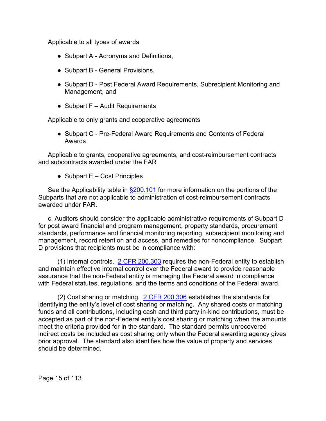Applicable to all types of awards

- Subpart A Acronyms and Definitions,
- Subpart B General Provisions,
- Subpart D Post Federal Award Requirements, Subrecipient Monitoring and Management, and
- $\bullet$  Subpart F Audit Requirements

Applicable to only grants and cooperative agreements

● Subpart C - Pre-Federal Award Requirements and Contents of Federal Awards

Applicable to grants, cooperative agreements, and cost-reimbursement contracts and subcontracts awarded under the FAR

• Subpart  $E - Cost$  Principles

See the Applicability table in \$200.101 for more information on the portions of the Subparts that are not applicable to administration of cost-reimbursement contracts awarded under FAR.

c. Auditors should consider the applicable administrative requirements of Subpart D for post award financial and program management, property standards, procurement standards, performance and financial monitoring reporting, subrecipient monitoring and management, record retention and access, and remedies for noncompliance. Subpart D provisions that recipients must be in compliance with:

(1) Internal controls. [2 CFR 200.303](https://www.ecfr.gov/cgi-bin/text-idx?SID=a1fb58164c0cd6bcbdd0c9d4dba0485c&mc=true&node=se2.1.200_1303&rgn=div8) requires the non-Federal entity to establish and maintain effective internal control over the Federal award to provide reasonable assurance that the non-Federal entity is managing the Federal award in compliance with Federal statutes, regulations, and the terms and conditions of the Federal award.

(2) Cost sharing or matching.  $2$  CFR 200.306 establishes the standards for identifying the entity's level of cost sharing or matching. Any shared costs or matching funds and all contributions, including cash and third party in-kind contributions, must be accepted as part of the non-Federal entity's cost sharing or matching when the amounts meet the criteria provided for in the standard. The standard permits unrecovered indirect costs be included as cost sharing only when the Federal awarding agency gives prior approval. The standard also identifies how the value of property and services should be determined.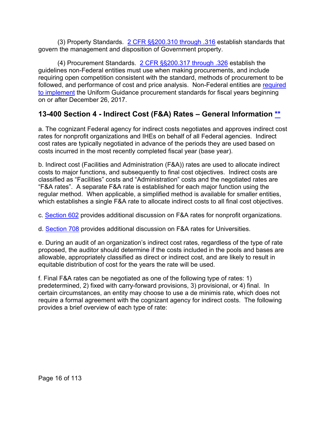(3) Property Standards. [2 CFR §§200.310 through .316](https://www.ecfr.gov/cgi-bin/text-idx?SID=a1fb58164c0cd6bcbdd0c9d4dba0485c&mc=true&node=sg2.1.200_1309.sg2&rgn=div7) establish standards that govern the management and disposition of Government property.

(4) Procurement Standards. [2 CFR §§200.317 through .326](https://www.ecfr.gov/cgi-bin/text-idx?SID=a1fb58164c0cd6bcbdd0c9d4dba0485c&mc=true&node=sg2.1.200_1316.sg3&rgn=div7) establish the guidelines non-Federal entities must use when making procurements, and include requiring open competition consistent with the standard, methods of procurement to be followed, and performance of cost and price analysis. Non-Federal entities are [required](https://www.federalregister.gov/documents/2017/05/17/2017-09909/uniform-administrative-requirements-cost-principles-and-audit-requirements-for-federal-awards)  [to implement](https://www.federalregister.gov/documents/2017/05/17/2017-09909/uniform-administrative-requirements-cost-principles-and-audit-requirements-for-federal-awards) the Uniform Guidance procurement standards for fiscal years beginning on or after December 26, 2017.

# <span id="page-15-0"></span>**13-400 Section 4 - Indirect Cost (F&A) Rates – General Information [\\*\\*](#page-1-0)**

a. The cognizant Federal agency for indirect costs negotiates and approves indirect cost rates for nonprofit organizations and IHEs on behalf of all Federal agencies. Indirect cost rates are typically negotiated in advance of the periods they are used based on costs incurred in the most recently completed fiscal year (base year).

b. Indirect cost (Facilities and Administration (F&A)) rates are used to allocate indirect costs to major functions, and subsequently to final cost objectives. Indirect costs are classified as "Facilities" costs and "Administration" costs and the negotiated rates are "F&A rates". A separate F&A rate is established for each major function using the regular method. When applicable, a simplified method is available for smaller entities, which establishes a single F&A rate to allocate indirect costs to all final cost objectives.

c. [Section 602](#page-36-1) provides additional discussion on F&A rates for nonprofit organizations.

d. [Section 708](#page-53-0) provides additional discussion on F&A rates for Universities.

e. During an audit of an organization's indirect cost rates, regardless of the type of rate proposed, the auditor should determine if the costs included in the pools and bases are allowable, appropriately classified as direct or indirect cost, and are likely to result in equitable distribution of cost for the years the rate will be used.

f. Final F&A rates can be negotiated as one of the following type of rates: 1) predetermined, 2) fixed with carry-forward provisions, 3) provisional, or 4) final. In certain circumstances, an entity may choose to use a de minimis rate, which does not require a formal agreement with the cognizant agency for indirect costs. The following provides a brief overview of each type of rate: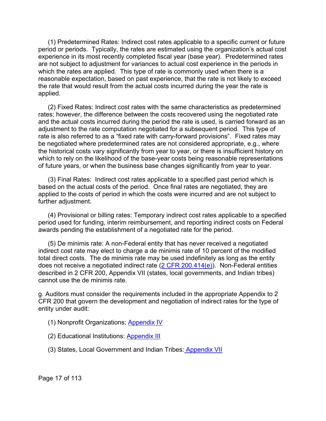(1) Predetermined Rates: Indirect cost rates applicable to a specific current or future period or periods. Typically, the rates are estimated using the organization's actual cost experience in its most recently completed fiscal year (base year). Predetermined rates are not subject to adjustment for variances to actual cost experience in the periods in which the rates are applied. This type of rate is commonly used when there is a reasonable expectation, based on past experience, that the rate is not likely to exceed the rate that would result from the actual costs incurred during the year the rate is applied.

(2) Fixed Rates: Indirect cost rates with the same characteristics as predetermined rates; however, the difference between the costs recovered using the negotiated rate and the actual costs incurred during the period the rate is used, is carried forward as an and the mattem server. rate is also referred to as a "fixed rate with carry-forward provisions". Fixed rates may be negotiated where predetermined rates are not considered appropriate, e.g., where the historical costs vary significantly from year to year, or there is insufficient history on which to rely on the likelihood of the base-year costs being reasonable representations of future years, or when the business base changes significantly from year to year.

(3) Final Rates: Indirect cost rates applicable to a specified past period which is based on the actual costs of the period. Once final rates are negotiated, they are applied to the costs of period in which the costs were incurred and are not subject to further adjustment.

(4) Provisional or billing rates: Temporary indirect cost rates applicable to a specified period used for funding, interim reimbursement, and reporting indirect costs on Federal awards pending the establishment of a negotiated rate for the period.

(5) De minimis rate: A non-Federal entity that has never received a negotiated indirect cost rate may elect to charge a de minimis rate of 10 percent of the modified total direct costs. The de minimis rate may be used indefinitely as long as the entity does not receive a negotiated indirect rate  $(2$  CFR 200.414(e)). Non-Federal entities described in 2 CFR 200, Appendix VII (states, local governments, and Indian tribes) cannot use the de minimis rate.

g. Auditors must consider the requirements included in the appropriate Appendix to 2 CFR 200 that govern the development and negotiation of indirect rates for the type of entity under audit:

- (1) Nonprofit Organizations: [Appendix IV](https://www.ecfr.gov/cgi-bin/text-idx?SID=0851499b5d37114603482bcacdbeb357&mc=true&node=ap2.1.200_1521.iv&rgn=div9)
- (2) Educational Institutions: [Appendix III](https://www.ecfr.gov/cgi-bin/text-idx?SID=a1fb58164c0cd6bcbdd0c9d4dba0485c&mc=true&node=ap2.1.200_1521.iii&rgn=div9)
- (3) States, Local Government and Indian Tribes: [Appendix VII](https://www.ecfr.gov/cgi-bin/text-idx?SID=0851499b5d37114603482bcacdbeb357&mc=true&node=ap2.1.200_1521.vii&rgn=div9)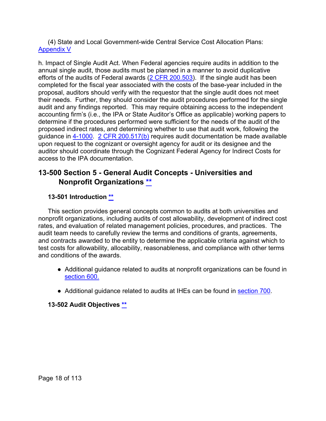(4) State and Local Government-wide Central Service Cost Allocation Plans: [Appendix V](https://www.ecfr.gov/cgi-bin/text-idx?SID=0851499b5d37114603482bcacdbeb357&mc=true&node=ap2.1.200_1521.v&rgn=div9)

h. Impact of Single Audit Act. When Federal agencies require audits in addition to the annual single audit, those audits must be planned in a manner to avoid duplicative efforts of the audits of Federal awards [\(2 CFR 200.503\)](https://www.ecfr.gov/cgi-bin/text-idx?SID=a1fb58164c0cd6bcbdd0c9d4dba0485c&mc=true&node=se2.1.200_1503&rgn=div8). If the single audit has been completed for the fiscal year associated with the costs of the base-year included in the proposal, auditors should verify with the requestor that the single audit does not meet their needs. Further, they should consider the audit procedures performed for the single audit and any findings reported. This may require obtaining access to the independent accounting firm's (i.e., the IPA or State Auditor's Office as applicable) working papers to determine if the procedures performed were sufficient for the needs of the audit of the proposed indirect rates, and determining whether to use that audit work, following the guidance in 4-1000. [2 CFR 200.517\(b\)](https://www.ecfr.gov/cgi-bin/text-idx?SID=a1fb58164c0cd6bcbdd0c9d4dba0485c&mc=true&node=se2.1.200_1517&rgn=div8) requires audit documentation be made available upon request to the cognizant or oversight agency for audit or its designee and the auditor should coordinate through the Cognizant Federal Agency for Indirect Costs for access to the IPA documentation.

# <span id="page-17-0"></span>**13-500 Section 5 - General Audit Concepts - Universities and Nonprofit Organizations [\\*\\*](#page-1-1)**

#### <span id="page-17-1"></span>**13-501 Introduction [\\*\\*](#page-1-2)**

This section provides general concepts common to audits at both universities and nonprofit organizations, including audits of cost allowability, development of indirect cost rates, and evaluation of related management policies, procedures, and practices. The audit team needs to carefully review the terms and conditions of grants, agreements, and contracts awarded to the entity to determine the applicable criteria against which to test costs for allowability, allocability, reasonableness, and compliance with other terms and conditions of the awards.

- Additional guidance related to audits at nonprofit organizations can be found in [section 600.](#page-35-3)
- Additional guidance related to audits at IHEs can be found in [section 700.](#page-45-0)

#### <span id="page-17-2"></span>**13-502 Audit Objectives [\\*\\*](#page-1-3)**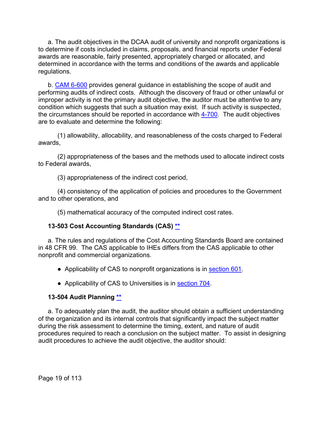a. The audit objectives in the DCAA audit of university and nonprofit organizations is to determine if costs included in claims, proposals, and financial reports under Federal awards are reasonable, fairly presented, appropriately charged or allocated, and determined in accordance with the terms and conditions of the awards and applicable regulations.

b. CAM 6-600 provides general guidance in establishing the scope of audit and performing audits of indirect costs. Although the discovery of fraud or other unlawful or improper activity is not the primary audit objective, the auditor must be attentive to any condition which suggests that such a situation may exist. If such activity is suspected, the circumstances should be reported in accordance with 4-700. The audit objectives are to evaluate and determine the following:

(1) allowability, allocability, and reasonableness of the costs charged to Federal awards,

(2) appropriateness of the bases and the methods used to allocate indirect costs to Federal awards,

(3) appropriateness of the indirect cost period,

(4) consistency of the application of policies and procedures to the Government and to other operations, and

<span id="page-18-0"></span>(5) mathematical accuracy of the computed indirect cost rates.

#### **13-503 Cost Accounting Standards (CAS) [\\*\\*](#page-1-4)**

a. The rules and regulations of the Cost Accounting Standards Board are contained in 48 CFR 99. The CAS applicable to IHEs differs from the CAS applicable to other nonprofit and commercial organizations.

- Applicability of CAS to nonprofit organizations is in [section 601.](#page-35-0)
- Applicability of CAS to Universities is in [section 704.](#page-46-0)

#### <span id="page-18-1"></span>**13-504 Audit Planning [\\*\\*](#page-1-5)**

a. To adequately plan the audit, the auditor should obtain a sufficient understanding of the organization and its internal controls that significantly impact the subject matter during the risk assessment to determine the timing, extent, and nature of audit procedures required to reach a conclusion on the subject matter. To assist in designing audit procedures to achieve the audit objective, the auditor should: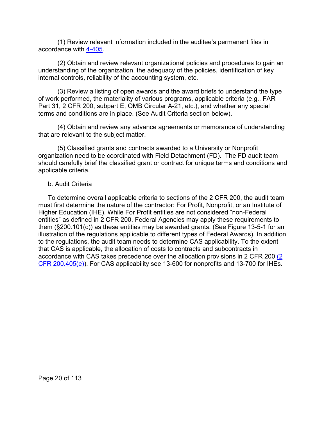(1) Review relevant information included in the auditee's permanent files in accordance with 4-405.

(2) Obtain and review relevant organizational policies and procedures to gain an understanding of the organization, the adequacy of the policies, identification of key internal controls, reliability of the accounting system, etc.

(3) Review a listing of open awards and the award briefs to understand the type of work performed, the materiality of various programs, applicable criteria (e.g., FAR Part 31, 2 CFR 200, subpart E, OMB Circular A-21, etc.), and whether any special terms and conditions are in place. (See Audit Criteria section below).

(4) Obtain and review any advance agreements or memoranda of understanding that are relevant to the subject matter.

(5) Classified grants and contracts awarded to a University or Nonprofit organization need to be coordinated with Field Detachment (FD). The FD audit team should carefully brief the classified grant or contract for unique terms and conditions and applicable criteria.

#### b. Audit Criteria

To determine overall applicable criteria to sections of the 2 CFR 200, the audit team must first determine the nature of the contractor: For Profit, Nonprofit, or an Institute of Higher Education (IHE). While For Profit entities are not considered "non-Federal entities" as defined in 2 CFR 200, Federal Agencies may apply these requirements to them (§200.101(c)) as these entities may be awarded grants. (See Figure 13-5-1 for an illustration of the regulations applicable to different types of Federal Awards). In addition to the regulations, the audit team needs to determine CAS applicability. To the extent that CAS is applicable, the allocation of costs to contracts and subcontracts in accordance with CAS takes precedence over the allocation provisions in 2 CFR 200 [\(2](https://www.ecfr.gov/cgi-bin/text-idx?SID=d6a84f5ae5329506f24255d80ea38675&mc=true&node=se2.1.200_1405&rgn=div8)  [CFR 200.405\(e\)\)](https://www.ecfr.gov/cgi-bin/text-idx?SID=d6a84f5ae5329506f24255d80ea38675&mc=true&node=se2.1.200_1405&rgn=div8). For CAS applicability see 13-600 for nonprofits and 13-700 for IHEs.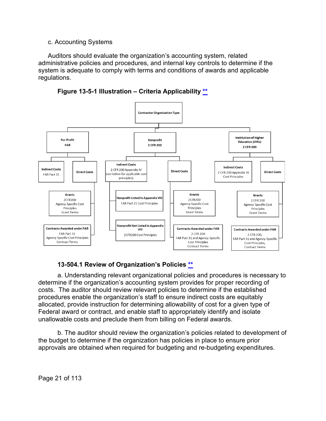#### c. Accounting Systems

Auditors should evaluate the organization's accounting system, related administrative policies and procedures, and internal key controls to determine if the system is adequate to comply with terms and conditions of awards and applicable regulations.

**Figure 13-5-1 Illustration – Criteria Applicability [\\*\\*](#page-1-5)**

<span id="page-20-0"></span>

#### **13-504.1 Review of Organization's Policies [\\*\\*](#page-1-6)**

<span id="page-20-1"></span>a. Understanding relevant organizational policies and procedures is necessary to determine if the organization's accounting system provides for proper recording of costs. The auditor should review relevant policies to determine if the established procedures enable the organization's staff to ensure indirect costs are equitably allocated, provide instruction for determining allowability of cost for a given type of Federal award or contract, and enable staff to appropriately identify and isolate unallowable costs and preclude them from billing on Federal awards.

b. The auditor should review the organization's policies related to development of the budget to determine if the organization has policies in place to ensure prior approvals are obtained when required for budgeting and re-budgeting expenditures.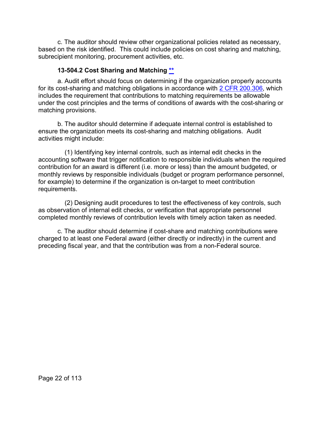c. The auditor should review other organizational policies related as necessary, based on the risk identified. This could include policies on cost sharing and matching, subrecipient monitoring, procurement activities, etc.

#### **13-504.2 Cost Sharing and Matching [\\*\\*](#page-1-7)**

<span id="page-21-0"></span>a. Audit effort should focus on determining if the organization properly accounts for its cost-sharing and matching obligations in accordance with [2 CFR 200.306,](https://www.ecfr.gov/cgi-bin/text-idx?SID=44a0f091f3241a9278a21970107f7c92&mc=true&node=se2.1.200_1306&rgn=div8) which includes the requirement that contributions to matching requirements be allowable under the cost principles and the terms of conditions of awards with the cost-sharing or matching provisions.

b. The auditor should determine if adequate internal control is established to ensure the organization meets its cost-sharing and matching obligations. Audit activities might include:

(1) Identifying key internal controls, such as internal edit checks in the accounting software that trigger notification to responsible individuals when the required contribution for an award is different (i.e. more or less) than the amount budgeted, or monthly reviews by responsible individuals (budget or program performance personnel, for example) to determine if the organization is on-target to meet contribution requirements.

(2) Designing audit procedures to test the effectiveness of key controls, such as observation of internal edit checks, or verification that appropriate personnel completed monthly reviews of contribution levels with timely action taken as needed.

c. The auditor should determine if cost-share and matching contributions were charged to at least one Federal award (either directly or indirectly) in the current and preceding fiscal year, and that the contribution was from a non-Federal source.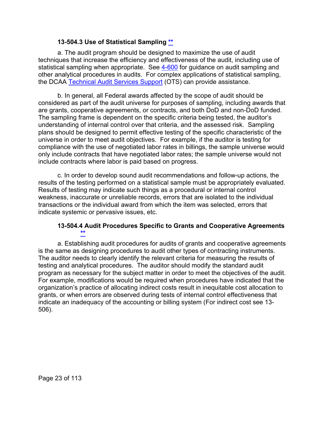#### **13-504.3 Use of Statistical Sampling [\\*\\*](#page-1-8)**

<span id="page-22-0"></span>a. The audit program should be designed to maximize the use of audit techniques that increase the efficiency and effectiveness of the audit, including use of statistical sampling when appropriate. See 4-600 for guidance on audit sampling and other analytical procedures in audits. For complex applications of statistical sampling, the DCAA [Technical Audit Services Support](https://sharepoint.dcaaintra.mil/headquarters/operations/ots/qm/SitePages/Quantitative%20Methods%20(QM).aspx) (OTS) can provide assistance.

b. In general, all Federal awards affected by the scope of audit should be considered as part of the audit universe for purposes of sampling, including awards that are grants, cooperative agreements, or contracts, and both DoD and non-DoD funded. The sampling frame is dependent on the specific criteria being tested, the auditor's understanding of internal control over that criteria, and the assessed risk. Sampling plans should be designed to permit effective testing of the specific characteristic of the universe in order to meet audit objectives. For example, if the auditor is testing for compliance with the use of negotiated labor rates in billings, the sample universe would only include contracts that have negotiated labor rates; the sample universe would not include contracts where labor is paid based on progress.

c. In order to develop sound audit recommendations and follow-up actions, the results of the testing performed on a statistical sample must be appropriately evaluated. Results of testing may indicate such things as a procedural or internal control weakness, inaccurate or unreliable records, errors that are isolated to the individual transactions or the individual award from which the item was selected, errors that indicate systemic or pervasive issues, etc.

#### **13-504.4 Audit Procedures Specific to Grants and Cooperative Agreements [\\*\\*](#page-1-9)**

<span id="page-22-1"></span>a. Establishing audit procedures for audits of grants and cooperative agreements is the same as designing procedures to audit other types of contracting instruments. The auditor needs to clearly identify the relevant criteria for measuring the results of testing and analytical procedures. The auditor should modify the standard audit program as necessary for the subject matter in order to meet the objectives of the audit. For example, modifications would be required when procedures have indicated that the organization's practice of allocating indirect costs result in inequitable cost allocation to grants, or when errors are observed during tests of internal control effectiveness that indicate an inadequacy of the accounting or billing system (For indirect cost see 13- 506).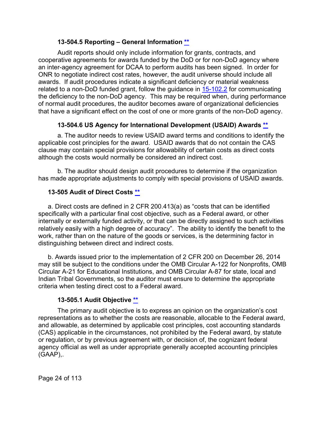#### **13-504.5 Reporting – General Information [\\*\\*](#page-1-10)**

<span id="page-23-0"></span>Audit reports should only include information for grants, contracts, and cooperative agreements for awards funded by the DoD or for non-DoD agency where an inter-agency agreement for DCAA to perform audits has been signed. In order for ONR to negotiate indirect cost rates, however, the audit universe should include all awards. If audit procedures indicate a significant deficiency or material weakness related to a non-DoD funded grant, follow the guidance in 15-102.2 for communicating the deficiency to the non-DoD agency. This may be required when, during performance of normal audit procedures, the auditor becomes aware of organizational deficiencies that have a significant effect on the cost of one or more grants of the non-DoD agency.

#### **13-504.6 US Agency for International Development (USAID) Awards [\\*\\*](#page-1-11)**

<span id="page-23-1"></span>a. The auditor needs to review USAID award terms and conditions to identify the applicable cost principles for the award. USAID awards that do not contain the CAS clause may contain special provisions for allowability of certain costs as direct costs although the costs would normally be considered an indirect cost.

b. The auditor should design audit procedures to determine if the organization has made appropriate adjustments to comply with special provisions of USAID awards.

#### <span id="page-23-2"></span>**13-505 Audit of Direct Costs [\\*\\*](#page-1-12)**

a. Direct costs are defined in 2 CFR 200.413(a) as "costs that can be identified specifically with a particular final cost objective, such as a Federal award, or other internally or externally funded activity, or that can be directly assigned to such activities relatively easily with a high degree of accuracy". The ability to identify the benefit to the work, rather than on the nature of the goods or services, is the determining factor in distinguishing between direct and indirect costs.

b. Awards issued prior to the implementation of 2 CFR 200 on December 26, 2014 may still be subject to the conditions under the OMB Circular A-122 for Nonprofits, OMB Circular A-21 for Educational Institutions, and OMB Circular A-87 for state, local and Indian Tribal Governments, so the auditor must ensure to determine the appropriate criteria when testing direct cost to a Federal award.

#### <span id="page-23-3"></span>**13-505.1 Audit Objective [\\*\\*](#page-23-3)**

The primary audit objective is to express an opinion on the organization's cost representations as to whether the costs are reasonable, allocable to the Federal award, and allowable, as determined by applicable cost principles, cost accounting standards (CAS) applicable in the circumstances, not prohibited by the Federal award, by statute or regulation, or by previous agreement with, or decision of, the cognizant federal agency official as well as under appropriate generally accepted accounting principles (GAAP),.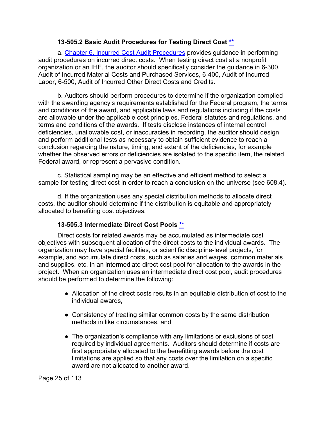#### <span id="page-24-0"></span>**13-505.2 Basic Audit Procedures for Testing Direct Cost [\\*\\*](#page-23-3)**

a. Chapter 6, Incurred Cost Audit Procedures provides guidance in performing audit procedures on incurred direct costs. When testing direct cost at a nonprofit organization or an IHE, the auditor should specifically consider the guidance in 6-300, Audit of Incurred Material Costs and Purchased Services, 6-400, Audit of Incurred Labor, 6-500, Audit of Incurred Other Direct Costs and Credits.

b. Auditors should perform procedures to determine if the organization complied with the awarding agency's requirements established for the Federal program, the terms and conditions of the award, and applicable laws and regulations including if the costs are allowable under the applicable cost principles, Federal statutes and regulations, and terms and conditions of the awards. If tests disclose instances of internal control deficiencies, unallowable cost, or inaccuracies in recording, the auditor should design and perform additional tests as necessary to obtain sufficient evidence to reach a conclusion regarding the nature, timing, and extent of the deficiencies, for example whether the observed errors or deficiencies are isolated to the specific item, the related Federal award, or represent a pervasive condition.

c. Statistical sampling may be an effective and efficient method to select a sample for testing direct cost in order to reach a conclusion on the universe (see 608.4).

d. If the organization uses any special distribution methods to allocate direct costs, the auditor should determine if the distribution is equitable and appropriately allocated to benefiting cost objectives.

#### <span id="page-24-1"></span>**13-505.3 Intermediate Direct Cost Pools [\\*\\*](#page-1-13)**

Direct costs for related awards may be accumulated as intermediate cost objectives with subsequent allocation of the direct costs to the individual awards. The organization may have special facilities, or scientific discipline-level projects, for example, and accumulate direct costs, such as salaries and wages, common materials and supplies, etc. in an intermediate direct cost pool for allocation to the awards in the project. When an organization uses an intermediate direct cost pool, audit procedures should be performed to determine the following:

- Allocation of the direct costs results in an equitable distribution of cost to the individual awards,
- Consistency of treating similar common costs by the same distribution methods in like circumstances, and
- The organization's compliance with any limitations or exclusions of cost required by individual agreements. Auditors should determine if costs are first appropriately allocated to the benefitting awards before the cost limitations are applied so that any costs over the limitation on a specific award are not allocated to another award.

Page 25 of 113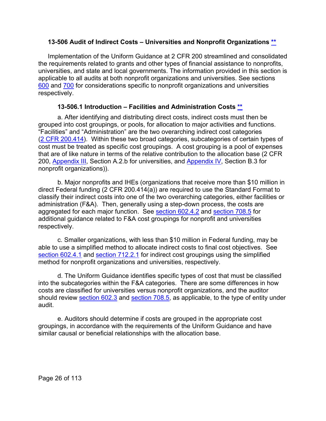#### <span id="page-25-0"></span>**13-506 Audit of Indirect Costs – Universities and Nonprofit Organizations [\\*\\*](#page-1-14)**

Implementation of the Uniform Guidance at 2 CFR 200 streamlined and consolidated the requirements related to grants and other types of financial assistance to nonprofits, universities, and state and local governments. The information provided in this section is applicable to all audits at both nonprofit organizations and universities. See sections 600 and 700 for considerations specific to nonprofit organizations and universities respectively.

#### <span id="page-25-1"></span>**13-506.1 Introduction – Facilities and Administration Costs [\\*\\*](#page-1-15)**

a. After identifying and distributing direct costs, indirect costs must then be grouped into cost groupings, or pools, for allocation to major activities and functions. "Facilities" and "Administration" are the two overarching indirect cost categories (2 CFR [200.414\)](https://www.ecfr.gov/cgi-bin/text-idx?SID=f82d35724b80b692c64084079142454c&mc=true&node=se2.1.200_1414&rgn=div8). Within these two broad categories, subcategories of certain types of cost must be treated as specific cost groupings. A cost grouping is a pool of expenses that are of like nature in terms of the relative contribution to the allocation base (2 CFR 200, [Appendix III,](https://www.ecfr.gov/cgi-bin/text-idx?SID=f82d35724b80b692c64084079142454c&mc=true&node=ap2.1.200_1521.iii&rgn=div9) Section A.2.b for universities, and [Appendix IV,](https://www.ecfr.gov/cgi-bin/text-idx?SID=f82d35724b80b692c64084079142454c&mc=true&node=ap2.1.200_1521.iv&rgn=div9) Section B.3 for nonprofit organizations)).

b. Major nonprofits and IHEs (organizations that receive more than \$10 million in direct Federal funding (2 CFR 200.414(a)) are required to use the Standard Format to classify their indirect costs into one of the two overarching categories, either facilities or administration (F&A). Then, generally using a step-down process, the costs are aggregated for each major function. See [section 602.4.2](#page-39-0) and [section 708.5](#page-54-2) for additional guidance related to F&A cost groupings for nonprofit and universities respectively.

c. Smaller organizations, with less than \$10 million in Federal funding, may be able to use a simplified method to allocate indirect costs to final cost objectives. See [section 602.4.1](#page-38-1) and [section 712.2.1](#page-72-0) for indirect cost groupings using the simplified method for nonprofit organizations and universities, respectively.

d. The Uniform Guidance identifies specific types of cost that must be classified into the subcategories within the F&A categories. There are some differences in how costs are classified for universities versus nonprofit organizations, and the auditor should review [section 602.3](#page-37-1) and [section 708.5,](#page-54-2) as applicable, to the type of entity under audit.

e. Auditors should determine if costs are grouped in the appropriate cost groupings, in accordance with the requirements of the Uniform Guidance and have similar causal or beneficial relationships with the allocation base.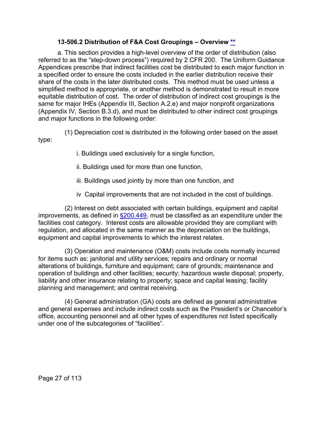#### **13-506.2 Distribution of F&A Cost Groupings – Overview [\\*\\*](#page-1-16)**

a. This section provides a high-level overview of the order of distribution (also referred to as the "step-down process") required by 2 CFR 200. The Uniform Guidance Appendices prescribe that indirect facilities cost be distributed to each major function in a specified order to ensure the costs included in the earlier distribution receive their share of the costs in the later distributed costs. This method must be used unless a simplified method is appropriate, or another method is demonstrated to result in more equitable distribution of cost. The order of distribution of indirect cost groupings is the same for major IHEs (Appendix III, Section A.2.e) and major nonprofit organizations (Appendix IV, Section B.3.d), and must be distributed to other indirect cost groupings and major functions in the following order:

(1) Depreciation cost is distributed in the following order based on the asset type:

i. Buildings used exclusively for a single function,

ii. Buildings used for more than one function,

iii. Buildings used jointly by more than one function, and

iv Capital improvements that are not included in the cost of buildings.

(2) Interest on debt associated with certain buildings, equipment and capital improvements, as defined in  $$200.449$ , must be classified as an expenditure under the facilities cost category. Interest costs are allowable provided they are compliant with regulation, and allocated in the same manner as the depreciation on the buildings, equipment and capital improvements to which the interest relates.

(3) Operation and maintenance (O&M) costs include costs normally incurred for items such as: janitorial and utility services; repairs and ordinary or normal alterations of buildings, furniture and equipment; care of grounds; maintenance and operation of buildings and other facilities; security; hazardous waste disposal; property, liability and other insurance relating to property; space and capital leasing; facility planning and management; and central receiving.

(4) General administration (GA) costs are defined as general administrative and general expenses and include indirect costs such as the President's or Chancellor's office, accounting personnel and all other types of expenditures not listed specifically under one of the subcategories of "facilities".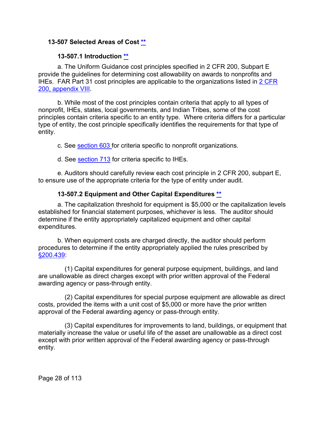#### **13-507 Selected Areas of Cost [\\*\\*](#page-1-17)**

#### <span id="page-27-1"></span><span id="page-27-0"></span>**13-507.1 Introduction [\\*\\*](#page-1-18)**

a. The Uniform Guidance cost principles specified in 2 CFR 200, Subpart E provide the guidelines for determining cost allowability on awards to nonprofits and IHEs. FAR Part 31 cost principles are applicable to the organizations listed in 2 CFR [200, appendix VIII.](https://www.ecfr.gov/cgi-bin/text-idx?SID=a121ec0c45a2a3362e66fde582ad1167&mc=true&node=ap2.1.200_1521.viii&rgn=div9)

b. While most of the cost principles contain criteria that apply to all types of nonprofit, IHEs, states, local governments, and Indian Tribes, some of the cost principles contain criteria specific to an entity type. Where criteria differs for a particular type of entity, the cost principle specifically identifies the requirements for that type of entity.

c. See [section 603](#page-42-0) for criteria specific to nonprofit organizations.

d. See [section 713](#page-76-1) for criteria specific to IHEs.

e. Auditors should carefully review each cost principle in 2 CFR 200, subpart E, to ensure use of the appropriate criteria for the type of entity under audit.

#### <span id="page-27-2"></span>**13-507.2 Equipment and Other Capital Expenditures [\\*\\*](#page-1-19)**

a. The capitalization threshold for equipment is \$5,000 or the capitalization levels established for financial statement purposes, whichever is less. The auditor should determine if the entity appropriately capitalized equipment and other capital expenditures.

b. When equipment costs are charged directly, the auditor should perform procedures to determine if the entity appropriately applied the rules prescribed by [§200.439:](https://www.ecfr.gov/cgi-bin/text-idx?SID=4d327beb63e10c978f97b69f79816ddb&mc=true&node=se2.1.200_1439&rgn=div8)

(1) Capital expenditures for general purpose equipment, buildings, and land are unallowable as direct charges except with prior written approval of the Federal awarding agency or pass-through entity.

(2) Capital expenditures for special purpose equipment are allowable as direct costs, provided the items with a unit cost of \$5,000 or more have the prior written approval of the Federal awarding agency or pass-through entity.

(3) Capital expenditures for improvements to land, buildings, or equipment that materially increase the value or useful life of the asset are unallowable as a direct cost except with prior written approval of the Federal awarding agency or pass-through entity.

Page 28 of 113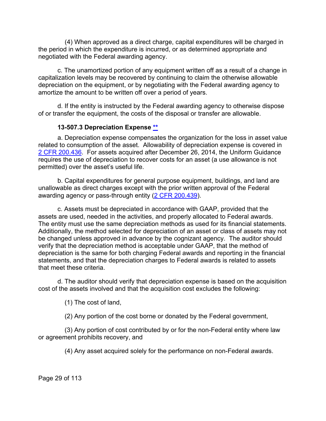(4) When approved as a direct charge, capital expenditures will be charged in the period in which the expenditure is incurred, or as determined appropriate and negotiated with the Federal awarding agency.

c. The unamortized portion of any equipment written off as a result of a change in capitalization levels may be recovered by continuing to claim the otherwise allowable depreciation on the equipment, or by negotiating with the Federal awarding agency to amortize the amount to be written off over a period of years.

d. If the entity is instructed by the Federal awarding agency to otherwise dispose of or transfer the equipment, the costs of the disposal or transfer are allowable.

#### <span id="page-28-0"></span>**13-507.3 Depreciation Expense [\\*\\*](#page-1-20)**

a. Depreciation expense compensates the organization for the loss in asset value related to consumption of the asset. Allowability of depreciation expense is covered in 2 CFR [200.436.](https://www.ecfr.gov/cgi-bin/text-idx?SID=0908ffcde632104b8fcaf665f757a8c3&mc=true&node=se2.1.200_1436&rgn=div8) For assets acquired after December 26, 2014, the Uniform Guidance requires the use of depreciation to recover costs for an asset (a use allowance is not permitted) over the asset's useful life.

b. Capital expenditures for general purpose equipment, buildings, and land are unallowable as direct charges except with the prior written approval of the Federal awarding agency or pass-through entity (2 CFR [200.439\)](https://www.ecfr.gov/cgi-bin/text-idx?SID=0908ffcde632104b8fcaf665f757a8c3&mc=true&node=se2.1.200_1439&rgn=div8).

c. Assets must be depreciated in accordance with GAAP, provided that the assets are used, needed in the activities, and properly allocated to Federal awards. The entity must use the same depreciation methods as used for its financial statements. Additionally, the method selected for depreciation of an asset or class of assets may not be changed unless approved in advance by the cognizant agency. The auditor should verify that the depreciation method is acceptable under GAAP, that the method of depreciation is the same for both charging Federal awards and reporting in the financial statements, and that the depreciation charges to Federal awards is related to assets that meet these criteria.

d. The auditor should verify that depreciation expense is based on the acquisition cost of the assets involved and that the acquisition cost excludes the following:

(1) The cost of land,

(2) Any portion of the cost borne or donated by the Federal government,

(3) Any portion of cost contributed by or for the non-Federal entity where law or agreement prohibits recovery, and

(4) Any asset acquired solely for the performance on non-Federal awards.

Page 29 of 113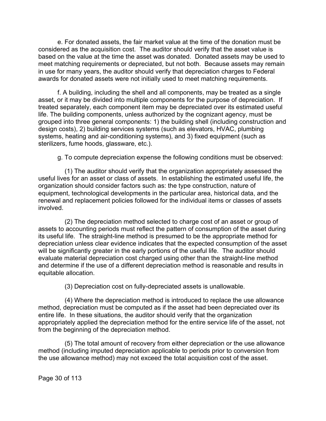e. For donated assets, the fair market value at the time of the donation must be considered as the acquisition cost. The auditor should verify that the asset value is based on the value at the time the asset was donated. Donated assets may be used to meet matching requirements or depreciated, but not both. Because assets may remain in use for many years, the auditor should verify that depreciation charges to Federal awards for donated assets were not initially used to meet matching requirements.

f. A building, including the shell and all components, may be treated as a single asset, or it may be divided into multiple components for the purpose of depreciation. If treated separately, each component item may be depreciated over its estimated useful life. The building components, unless authorized by the cognizant agency, must be grouped into three general components: 1) the building shell (including construction and design costs), 2) building services systems (such as elevators, HVAC, plumbing systems, heating and air-conditioning systems), and 3) fixed equipment (such as sterilizers, fume hoods, glassware, etc.).

g. To compute depreciation expense the following conditions must be observed:

(1) The auditor should verify that the organization appropriately assessed the useful lives for an asset or class of assets. In establishing the estimated useful life, the organization should consider factors such as: the type construction, nature of equipment, technological developments in the particular area, historical data, and the renewal and replacement policies followed for the individual items or classes of assets involved.

(2) The depreciation method selected to charge cost of an asset or group of assets to accounting periods must reflect the pattern of consumption of the asset during its useful life. The straight-line method is presumed to be the appropriate method for depreciation unless clear evidence indicates that the expected consumption of the asset will be significantly greater in the early portions of the useful life. The auditor should evaluate material depreciation cost charged using other than the straight-line method and determine if the use of a different depreciation method is reasonable and results in equitable allocation.

(3) Depreciation cost on fully-depreciated assets is unallowable.

(4) Where the depreciation method is introduced to replace the use allowance method, depreciation must be computed as if the asset had been depreciated over its entire life. In these situations, the auditor should verify that the organization appropriately applied the depreciation method for the entire service life of the asset, not from the beginning of the depreciation method.

(5) The total amount of recovery from either depreciation or the use allowance method (including imputed depreciation applicable to periods prior to conversion from the use allowance method) may not exceed the total acquisition cost of the asset.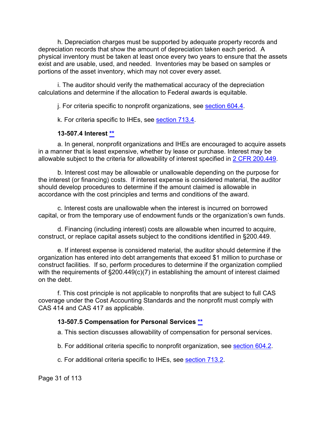h. Depreciation charges must be supported by adequate property records and depreciation records that show the amount of depreciation taken each period. A physical inventory must be taken at least once every two years to ensure that the assets exist and are usable, used, and needed. Inventories may be based on samples or portions of the asset inventory, which may not cover every asset.

i. The auditor should verify the mathematical accuracy of the depreciation calculations and determine if the allocation to Federal awards is equitable.

j. For criteria specific to nonprofit organizations, see section 604.4.

k. For criteria specific to IHEs, see [section 713.4.](#page-76-3)

#### <span id="page-30-0"></span>**13-507.4 Interest [\\*\\*](#page-1-21)**

a. In general, nonprofit organizations and IHEs are encouraged to acquire assets in a manner that is least expensive, whether by lease or purchase. Interest may be allowable subject to the criteria for allowability of interest specified in [2 CFR 200.449.](https://www.ecfr.gov/cgi-bin/text-idx?SID=2de2fac543d0d55f9c7f225cac0fc955&mc=true&node=se2.1.200_1449&rgn=div8)

b. Interest cost may be allowable or unallowable depending on the purpose for the interest (or financing) costs. If interest expense is considered material, the auditor should develop procedures to determine if the amount claimed is allowable in accordance with the cost principles and terms and conditions of the award.

c. Interest costs are unallowable when the interest is incurred on borrowed capital, or from the temporary use of endowment funds or the organization's own funds.

d. Financing (including interest) costs are allowable when incurred to acquire, construct, or replace capital assets subject to the conditions identified in §200.449.

e. If interest expense is considered material, the auditor should determine if the organization has entered into debt arrangements that exceed \$1 million to purchase or construct facilities. If so, perform procedures to determine if the organization complied with the requirements of  $\S 200.449(c)(7)$  in establishing the amount of interest claimed on the debt.

f. This cost principle is not applicable to nonprofits that are subject to full CAS coverage under the Cost Accounting Standards and the nonprofit must comply with CAS 414 and CAS 417 as applicable.

#### <span id="page-30-1"></span>**13-507.5 Compensation for Personal Services [\\*\\*](#page-1-22)**

- a. This section discusses allowability of compensation for personal services.
- b. For additional criteria specific to nonprofit organization, see section 604.2.
- c. For additional criteria specific to IHEs, see [section 713.2.](#page-76-3)

Page 31 of 113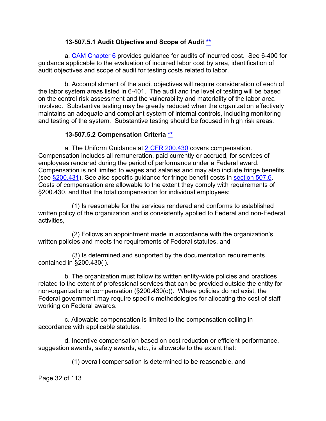#### <span id="page-31-0"></span>**13-507.5.1 Audit Objective and Scope of Audit [\\*\\*](#page-1-23)**

a. [CAM Chapter 6](https://viper.dcaa.mil/guidance/cam/3136/incurred-cost-audit-procedures) provides guidance for audits of incurred cost. See 6-400 for guidance applicable to the evaluation of incurred labor cost by area, identification of audit objectives and scope of audit for testing costs related to labor.

b. Accomplishment of the audit objectives will require consideration of each of the labor system areas listed in 6-401. The audit and the level of testing will be based on the control risk assessment and the vulnerability and materiality of the labor area involved. Substantive testing may be greatly reduced when the organization effectively maintains an adequate and compliant system of internal controls, including monitoring and testing of the system. Substantive testing should be focused in high risk areas.

#### <span id="page-31-1"></span>**13-507.5.2 Compensation Criteria [\\*\\*](#page-2-0)**

a. The Uniform Guidance at [2 CFR 200.430](https://www.ecfr.gov/cgi-bin/text-idx?SID=2de2fac543d0d55f9c7f225cac0fc955&mc=true&node=se2.1.200_1430&rgn=div8) covers compensation. Compensation includes all remuneration, paid currently or accrued, for services of employees rendered during the period of performance under a Federal award. Compensation is not limited to wages and salaries and may also include fringe benefits (see [§200.431\)](https://www.ecfr.gov/cgi-bin/text-idx?SID=2de2fac543d0d55f9c7f225cac0fc955&mc=true&node=se2.1.200_1431&rgn=div8). See also specific guidance for fringe benefit costs in [section 507.6.](#page-34-0) Costs of compensation are allowable to the extent they comply with requirements of §200.430, and that the total compensation for individual employees:

(1) Is reasonable for the services rendered and conforms to established written policy of the organization and is consistently applied to Federal and non-Federal activities,

(2) Follows an appointment made in accordance with the organization's written policies and meets the requirements of Federal statutes, and

(3) Is determined and supported by the documentation requirements contained in §200.430(i).

b. The organization must follow its written entity-wide policies and practices related to the extent of professional services that can be provided outside the entity for non-organizational compensation (§200.430(c)). Where policies do not exist, the Federal government may require specific methodologies for allocating the cost of staff working on Federal awards.

c. Allowable compensation is limited to the compensation ceiling in accordance with applicable statutes.

d. Incentive compensation based on cost reduction or efficient performance, suggestion awards, safety awards, etc., is allowable to the extent that:

(1) overall compensation is determined to be reasonable, and

Page 32 of 113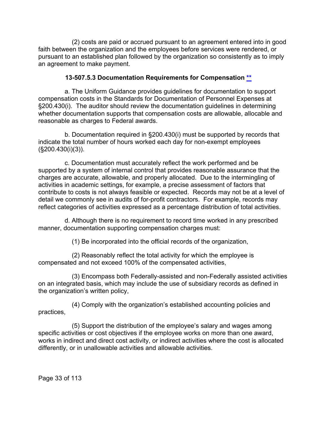(2) costs are paid or accrued pursuant to an agreement entered into in good faith between the organization and the employees before services were rendered, or pursuant to an established plan followed by the organization so consistently as to imply an agreement to make payment.

#### <span id="page-32-0"></span>**13-507.5.3 Documentation Requirements for Compensation [\\*\\*](#page-2-1)**

a. The Uniform Guidance provides guidelines for documentation to support compensation costs in the Standards for Documentation of Personnel Expenses at §200.430(i). The auditor should review the documentation guidelines in determining whether documentation supports that compensation costs are allowable, allocable and reasonable as charges to Federal awards.

b. Documentation required in §200.430(i) must be supported by records that indicate the total number of hours worked each day for non-exempt employees (§200.430(i)(3)).

c. Documentation must accurately reflect the work performed and be supported by a system of internal control that provides reasonable assurance that the charges are accurate, allowable, and properly allocated. Due to the intermingling of activities in academic settings, for example, a precise assessment of factors that contribute to costs is not always feasible or expected. Records may not be at a level of detail we commonly see in audits of for-profit contractors. For example, records may reflect categories of activities expressed as a percentage distribution of total activities.

d. Although there is no requirement to record time worked in any prescribed manner, documentation supporting compensation charges must:

(1) Be incorporated into the official records of the organization,

(2) Reasonably reflect the total activity for which the employee is compensated and not exceed 100% of the compensated activities,

(3) Encompass both Federally-assisted and non-Federally assisted activities on an integrated basis, which may include the use of subsidiary records as defined in the organization's written policy,

(4) Comply with the organization's established accounting policies and practices,

(5) Support the distribution of the employee's salary and wages among specific activities or cost objectives if the employee works on more than one award, works in indirect and direct cost activity, or indirect activities where the cost is allocated differently, or in unallowable activities and allowable activities.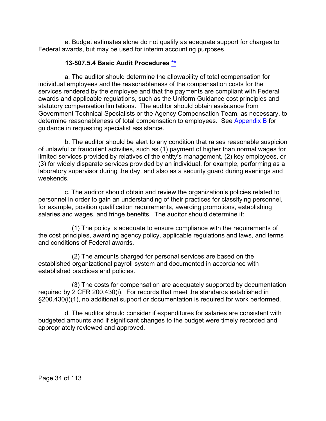e. Budget estimates alone do not qualify as adequate support for charges to Federal awards, but may be used for interim accounting purposes.

#### <span id="page-33-0"></span>**13-507.5.4 Basic Audit Procedures [\\*\\*](#page-2-2)**

a. The auditor should determine the allowability of total compensation for individual employees and the reasonableness of the compensation costs for the services rendered by the employee and that the payments are compliant with Federal awards and applicable regulations, such as the Uniform Guidance cost principles and statutory compensation limitations. The auditor should obtain assistance from Government Technical Specialists or the Agency Compensation Team, as necessary, to determine reasonableness of total compensation to employees. See [Appendix B](https://viper.dcaa.mil/guidance/cam/3163/appendix-b-specialist-assistance) for guidance in requesting specialist assistance.

b. The auditor should be alert to any condition that raises reasonable suspicion of unlawful or fraudulent activities, such as (1) payment of higher than normal wages for limited services provided by relatives of the entity's management, (2) key employees, or (3) for widely disparate services provided by an individual, for example, performing as a laboratory supervisor during the day, and also as a security guard during evenings and weekends.

c. The auditor should obtain and review the organization's policies related to personnel in order to gain an understanding of their practices for classifying personnel, for example, position qualification requirements, awarding promotions, establishing salaries and wages, and fringe benefits. The auditor should determine if:

(1) The policy is adequate to ensure compliance with the requirements of the cost principles, awarding agency policy, applicable regulations and laws, and terms and conditions of Federal awards.

(2) The amounts charged for personal services are based on the established organizational payroll system and documented in accordance with established practices and policies.

(3) The costs for compensation are adequately supported by documentation required by 2 CFR 200.430(i). For records that meet the standards established in §200.430(i)(1), no additional support or documentation is required for work performed.

d. The auditor should consider if expenditures for salaries are consistent with budgeted amounts and if significant changes to the budget were timely recorded and appropriately reviewed and approved.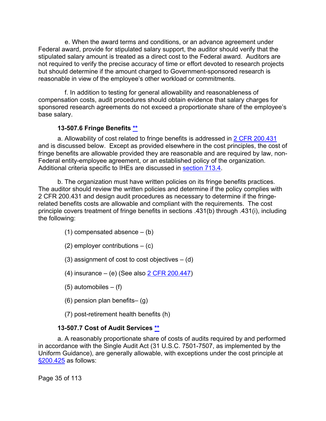e. When the award terms and conditions, or an advance agreement under Federal award, provide for stipulated salary support, the auditor should verify that the stipulated salary amount is treated as a direct cost to the Federal award. Auditors are not required to verify the precise accuracy of time or effort devoted to research projects but should determine if the amount charged to Government-sponsored research is reasonable in view of the employee's other workload or commitments.

f. In addition to testing for general allowability and reasonableness of compensation costs, audit procedures should obtain evidence that salary charges for sponsored research agreements do not exceed a proportionate share of the employee's base salary.

#### <span id="page-34-0"></span>**13-507.6 Fringe Benefits [\\*\\*](#page-2-3)**

a. Allowability of cost related to fringe benefits is addressed in [2 CFR 200.431](https://www.ecfr.gov/cgi-bin/text-idx?SID=25e35d6b8b78f60ad792d4b88dd0a894&mc=true&node=se2.1.200_1431&rgn=div8) and is discussed below. Except as provided elsewhere in the cost principles, the cost of fringe benefits are allowable provided they are reasonable and are required by law, non-Federal entity-employee agreement, or an established policy of the organization. Additional criteria specific to IHEs are discussed in [section 713.4.](#page-77-0)

b. The organization must have written policies on its fringe benefits practices. The auditor should review the written policies and determine if the policy complies with 2 CFR 200.431 and design audit procedures as necessary to determine if the fringerelated benefits costs are allowable and compliant with the requirements. The cost principle covers treatment of fringe benefits in sections .431(b) through .431(i), including the following:

- (1) compensated absence  $-$  (b)
- (2) employer contributions  $-$  (c)
- $(3)$  assignment of cost to cost objectives  $-$  (d)
- (4) insurance  $-$  (e) (See also  $2$  CFR 200.447)
- $(5)$  automobiles  $-$  (f)
- (6) pension plan benefits– (g)
- <span id="page-34-1"></span>(7) post-retirement health benefits (h)

#### **13-507.7 Cost of Audit Services [\\*\\*](#page-2-4)**

a. A reasonably proportionate share of costs of audits required by and performed in accordance with the Single Audit Act (31 U.S.C. 7501-7507, as implemented by the Uniform Guidance), are generally allowable, with exceptions under the cost principle at [§200.425](https://www.ecfr.gov/cgi-bin/text-idx?SID=fffd01b6472fbf7bc739bdb1a0665cc5&mc=true&node=se2.1.200_1425&rgn=div8) as follows:

Page 35 of 113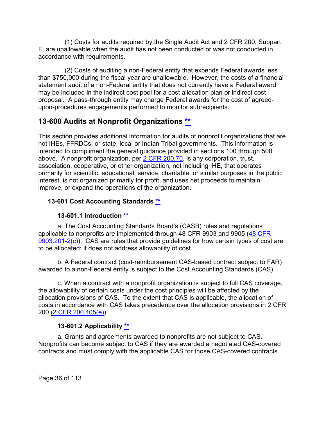(1) Costs for audits required by the Single Audit Act and 2 CFR 200, Subpart F, are unallowable when the audit has not been conducted or was not conducted in accordance with requirements.

(2) Costs of auditing a non-Federal entity that expends Federal awards less than \$750,000 during the fiscal year are unallowable. However, the costs of a financial statement audit of a non-Federal entity that does not currently have a Federal award may be included in the indirect cost pool for a cost allocation plan or indirect cost proposal. A pass-through entity may charge Federal awards for the cost of agreedupon-procedures engagements performed to monitor subrecipients.

# <span id="page-35-3"></span>**13-600 Audits at Nonprofit Organizations [\\*\\*](#page-2-5)**

This section provides additional information for audits of nonprofit organizations that are not IHEs, FFRDCs, or state, local or Indian Tribal governments. This information is intended to compliment the general guidance provided in sections 100 through 500 above. A nonprofit organization, per 2 CFR 200.70, is any corporation, trust, association, cooperative, or other organization, not including IHE, that operates primarily for scientific, educational, service, charitable, or similar purposes in the public interest, is not organized primarily for profit, and uses net proceeds to maintain, improve, or expand the operations of the organization.

## <span id="page-35-0"></span>**13-601 Cost Accounting Standards [\\*\\*](#page-2-6)**

## <span id="page-35-1"></span>**13-601.1 Introduction [\\*\\*](#page-2-7)**

a. The Cost Accounting Standards Board's (CASB) rules and regulations applicable to nonprofits are implemented through 48 CFR 9903 and 9905 [\(48 CFR](https://www.ecfr.gov/cgi-bin/text-idx?SID=accb443132c7dedc586deb29451d3980&mc=true&node=se48.7.9903_1201_62&rgn=div8)  [9903.201-2\(c\)\)](https://www.ecfr.gov/cgi-bin/text-idx?SID=accb443132c7dedc586deb29451d3980&mc=true&node=se48.7.9903_1201_62&rgn=div8). CAS are rules that provide guidelines for how certain types of cost are to be allocated; it does not address allowability of cost.

b. A Federal contract (cost-reimbursement CAS-based contract subject to FAR) awarded to a non-Federal entity is subject to the Cost Accounting Standards (CAS).

c. When a contract with a nonprofit organization is subject to full CAS coverage, the allowability of certain costs under the cost principles will be affected by the allocation provisions of CAS. To the extent that CAS is applicable, the allocation of costs in accordance with CAS takes precedence over the allocation provisions in 2 CFR 200 [\(2 CFR 200.405\(e\)\)](https://www.ecfr.gov/cgi-bin/text-idx?SID=d6a84f5ae5329506f24255d80ea38675&mc=true&node=se2.1.200_1405&rgn=div8).

## <span id="page-35-2"></span>**13-601.2 Applicability [\\*\\*](#page-2-8)**

a. Grants and agreements awarded to nonprofits are not subject to CAS. Nonprofits can become subject to CAS if they are awarded a negotiated CAS-covered contracts and must comply with the applicable CAS for those CAS-covered contracts.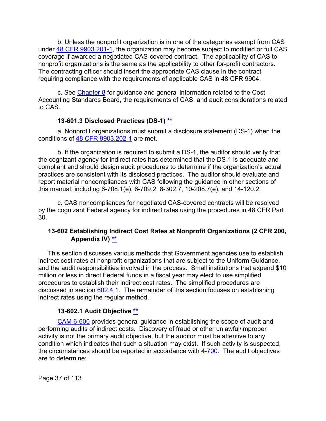b. Unless the nonprofit organization is in one of the categories exempt from CAS under [48 CFR 9903.201-1,](https://www.ecfr.gov/cgi-bin/text-idx?SID=d6a84f5ae5329506f24255d80ea38675&mc=true&node=se48.7.9903_1201_61&rgn=div8) the organization may become subject to modified or full CAS coverage if awarded a negotiated CAS-covered contract. The applicability of CAS to nonprofit organizations is the same as the applicability to other for-profit contractors. The contracting officer should insert the appropriate CAS clause in the contract requiring compliance with the requirements of applicable CAS in 48 CFR 9904.

c. See [Chapter 8](https://viper.dcaa.mil/guidance/cam/3141/cost-accounting-standards) for guidance and general information related to the Cost Accounting Standards Board, the requirements of CAS, and audit considerations related to CAS.

## **13-601.3 Disclosed Practices (DS-1) [\\*\\*](#page-2-0)**

a. Nonprofit organizations must submit a disclosure statement (DS-1) when the conditions of [48 CFR 9903.202-1](https://www.ecfr.gov/cgi-bin/text-idx?SID=d6a84f5ae5329506f24255d80ea38675&mc=true&node=se48.7.9903_1202_61&rgn=div8) are met.

b. If the organization is required to submit a DS-1, the auditor should verify that the cognizant agency for indirect rates has determined that the DS-1 is adequate and compliant and should design audit procedures to determine if the organization's actual practices are consistent with its disclosed practices. The auditor should evaluate and report material noncompliances with CAS following the guidance in other sections of this manual, including 6-708.1(e), 6-709.2, 8-302.7, 10-208.7(e), and 14-120.2.

c. CAS noncompliances for negotiated CAS-covered contracts will be resolved by the cognizant Federal agency for indirect rates using the procedures in 48 CFR Part 30.

## **13-602 Establishing Indirect Cost Rates at Nonprofit Organizations (2 CFR 200, Appendix IV) [\\*\\*](#page-2-1)**

This section discusses various methods that Government agencies use to establish indirect cost rates at nonprofit organizations that are subject to the Uniform Guidance, and the audit responsibilities involved in the process. Small institutions that expend \$10 million or less in direct Federal funds in a fiscal year may elect to use simplified procedures to establish their indirect cost rates. The simplified procedures are discussed in section [602.4.1.](#page-38-0) The remainder of this section focuses on establishing indirect rates using the regular method.

## **13-602.1 Audit Objective [\\*\\*](#page-2-2)**

[CAM 6-600](https://viper.dcaa.mil/guidance/cam/3136/incurred-cost-audit-procedures) provides general guidance in establishing the scope of audit and performing audits of indirect costs. Discovery of fraud or other unlawful/improper activity is not the primary audit objective, but the auditor must be attentive to any condition which indicates that such a situation may exist. If such activity is suspected, the circumstances should be reported in accordance with [4-700.](https://viper.dcaa.mil/guidance/cam/3130/general-audit-requirements?term=reliance%20on%20the%20work%20of%20others) The audit objectives are to determine:

Page 37 of 113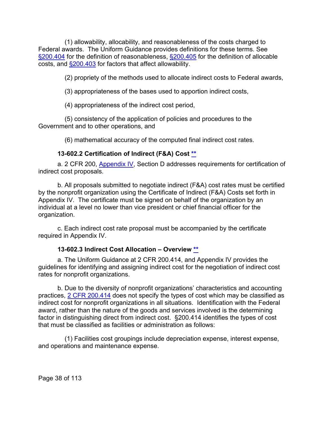(1) allowability, allocability, and reasonableness of the costs charged to Federal awards. The Uniform Guidance provides definitions for these terms. See [§200.404](https://www.ecfr.gov/cgi-bin/text-idx?SID=327b5070ed5b48bee1a31f541c38425d&mc=true&node=se2.1.200_1404&rgn=div8) for the definition of reasonableness, [§200.405](https://www.ecfr.gov/cgi-bin/text-idx?SID=327b5070ed5b48bee1a31f541c38425d&mc=true&node=se2.1.200_1405&rgn=div8) for the definition of allocable costs, and [§200.403](https://www.ecfr.gov/cgi-bin/retrieveECFR?gp=&SID=327b5070ed5b48bee1a31f541c38425d&mc=true&r=SECTION&n=se2.1.200_1403) for factors that affect allowability.

(2) propriety of the methods used to allocate indirect costs to Federal awards,

(3) appropriateness of the bases used to apportion indirect costs,

(4) appropriateness of the indirect cost period,

(5) consistency of the application of policies and procedures to the Government and to other operations, and

(6) mathematical accuracy of the computed final indirect cost rates.

### **13-602.2 Certification of Indirect (F&A) Cost [\\*\\*](#page-2-3)**

a. 2 CFR 200, **Appendix IV**, Section D addresses requirements for certification of indirect cost proposals.

b. All proposals submitted to negotiate indirect (F&A) cost rates must be certified by the nonprofit organization using the Certificate of Indirect (F&A) Costs set forth in Appendix IV. The certificate must be signed on behalf of the organization by an individual at a level no lower than vice president or chief financial officer for the organization.

c. Each indirect cost rate proposal must be accompanied by the certificate required in Appendix IV.

### **13-602.3 Indirect Cost Allocation – Overview [\\*\\*](#page-2-4)**

a. The Uniform Guidance at 2 CFR 200.414, and Appendix IV provides the guidelines for identifying and assigning indirect cost for the negotiation of indirect cost rates for nonprofit organizations.

b. Due to the diversity of nonprofit organizations' characteristics and accounting practices, [2 CFR 200.414](https://www.ecfr.gov/cgi-bin/text-idx?SID=453475bfc6016cd04433edadb29d4573&mc=true&node=se2.1.200_1414&rgn=div8) does not specify the types of cost which may be classified as indirect cost for nonprofit organizations in all situations. Identification with the Federal award, rather than the nature of the goods and services involved is the determining factor in distinguishing direct from indirect cost. §200.414 identifies the types of cost that must be classified as facilities or administration as follows:

(1) Facilities cost groupings include depreciation expense, interest expense, and operations and maintenance expense.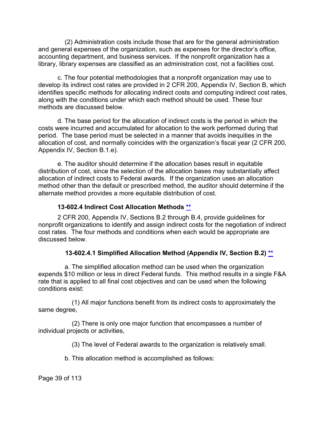(2) Administration costs include those that are for the general administration and general expenses of the organization, such as expenses for the director's office, accounting department, and business services. If the nonprofit organization has a library, library expenses are classified as an administration cost, not a facilities cost.

c. The four potential methodologies that a nonprofit organization may use to develop its indirect cost rates are provided in 2 CFR 200, Appendix IV, Section B, which identifies specific methods for allocating indirect costs and computing indirect cost rates, along with the conditions under which each method should be used. These four methods are discussed below.

d. The base period for the allocation of indirect costs is the period in which the costs were incurred and accumulated for allocation to the work performed during that period. The base period must be selected in a manner that avoids inequities in the allocation of cost, and normally coincides with the organization's fiscal year (2 CFR 200, Appendix IV, Section B.1.e).

e. The auditor should determine if the allocation bases result in equitable distribution of cost, since the selection of the allocation bases may substantially affect allocation of indirect costs to Federal awards. If the organization uses an allocation method other than the default or prescribed method, the auditor should determine if the alternate method provides a more equitable distribution of cost.

#### **13-602.4 Indirect Cost Allocation Methods [\\*\\*](#page-2-5)**

2 CFR 200, Appendix IV, Sections B.2 through B.4, provide guidelines for nonprofit organizations to identify and assign indirect costs for the negotiation of indirect cost rates. The four methods and conditions when each would be appropriate are discussed below.

### <span id="page-38-0"></span>**13-602.4.1 Simplified Allocation Method (Appendix IV, Section B.2) [\\*\\*](#page-2-6)**

a. The simplified allocation method can be used when the organization expends \$10 million or less in direct Federal funds. This method results in a single F&A rate that is applied to all final cost objectives and can be used when the following conditions exist:

(1) All major functions benefit from its indirect costs to approximately the same degree,

(2) There is only one major function that encompasses a number of individual projects or activities,

(3) The level of Federal awards to the organization is relatively small.

b. This allocation method is accomplished as follows:

Page 39 of 113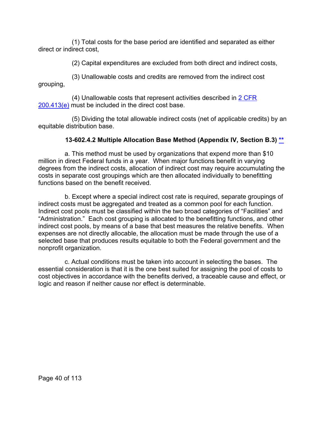(1) Total costs for the base period are identified and separated as either direct or indirect cost,

(2) Capital expenditures are excluded from both direct and indirect costs,

(3) Unallowable costs and credits are removed from the indirect cost grouping,

(4) Unallowable costs that represent activities described in [2 CFR](https://www.ecfr.gov/cgi-bin/retrieveECFR?gp=&SID=453475bfc6016cd04433edadb29d4573&mc=true&r=SECTION&n=se2.1.200_1413)  [200.413\(](https://www.ecfr.gov/cgi-bin/retrieveECFR?gp=&SID=453475bfc6016cd04433edadb29d4573&mc=true&r=SECTION&n=se2.1.200_1413)e) must be included in the direct cost base.

(5) Dividing the total allowable indirect costs (net of applicable credits) by an equitable distribution base.

### **13-602.4.2 Multiple Allocation Base Method (Appendix IV, Section B.3) [\\*\\*](#page-2-7)**

a. This method must be used by organizations that expend more than \$10 million in direct Federal funds in a year. When major functions benefit in varying degrees from the indirect costs, allocation of indirect cost may require accumulating the costs in separate cost groupings which are then allocated individually to benefitting functions based on the benefit received.

b. Except where a special indirect cost rate is required, separate groupings of indirect costs must be aggregated and treated as a common pool for each function. Indirect cost pools must be classified within the two broad categories of "Facilities" and "Administration." Each cost grouping is allocated to the benefitting functions, and other indirect cost pools, by means of a base that best measures the relative benefits. When expenses are not directly allocable, the allocation must be made through the use of a selected base that produces results equitable to both the Federal government and the nonprofit organization.

c. Actual conditions must be taken into account in selecting the bases. The essential consideration is that it is the one best suited for assigning the pool of costs to cost objectives in accordance with the benefits derived, a traceable cause and effect, or logic and reason if neither cause nor effect is determinable.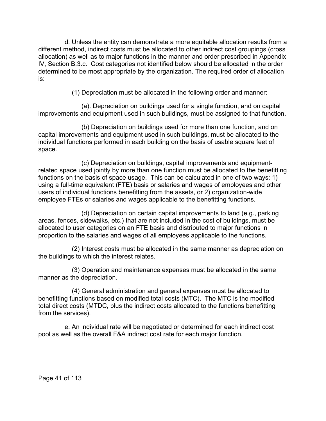d. Unless the entity can demonstrate a more equitable allocation results from a different method, indirect costs must be allocated to other indirect cost groupings (cross allocation) as well as to major functions in the manner and order prescribed in Appendix IV, Section B.3.c. Cost categories not identified below should be allocated in the order determined to be most appropriate by the organization. The required order of allocation is:

(1) Depreciation must be allocated in the following order and manner:

(a). Depreciation on buildings used for a single function, and on capital improvements and equipment used in such buildings, must be assigned to that function.

(b) Depreciation on buildings used for more than one function, and on capital improvements and equipment used in such buildings, must be allocated to the individual functions performed in each building on the basis of usable square feet of space.

(c) Depreciation on buildings, capital improvements and equipmentrelated space used jointly by more than one function must be allocated to the benefitting functions on the basis of space usage. This can be calculated in one of two ways: 1) using a full-time equivalent (FTE) basis or salaries and wages of employees and other users of individual functions benefitting from the assets, or 2) organization-wide employee FTEs or salaries and wages applicable to the benefitting functions.

(d) Depreciation on certain capital improvements to land (e.g., parking areas, fences, sidewalks, etc.) that are not included in the cost of buildings, must be allocated to user categories on an FTE basis and distributed to major functions in proportion to the salaries and wages of all employees applicable to the functions.

(2) Interest costs must be allocated in the same manner as depreciation on the buildings to which the interest relates.

(3) Operation and maintenance expenses must be allocated in the same manner as the depreciation.

(4) General administration and general expenses must be allocated to benefitting functions based on modified total costs (MTC). The MTC is the modified total direct costs (MTDC, plus the indirect costs allocated to the functions benefitting from the services).

e. An individual rate will be negotiated or determined for each indirect cost pool as well as the overall F&A indirect cost rate for each major function.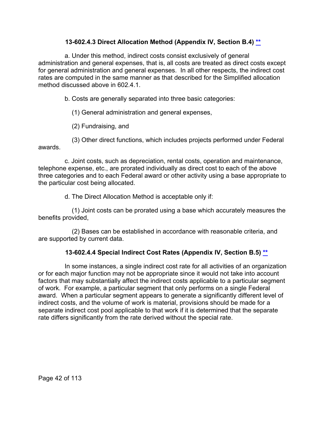### **13-602.4.3 Direct Allocation Method (Appendix IV, Section B.4) [\\*\\*](#page-2-8)**

a. Under this method, indirect costs consist exclusively of general administration and general expenses, that is, all costs are treated as direct costs except for general administration and general expenses. In all other respects, the indirect cost rates are computed in the same manner as that described for the Simplified allocation method discussed above in 602.4.1.

b. Costs are generally separated into three basic categories:

(1) General administration and general expenses,

(2) Fundraising, and

(3) Other direct functions, which includes projects performed under Federal awards.

c. Joint costs, such as depreciation, rental costs, operation and maintenance, telephone expense, etc., are prorated individually as direct cost to each of the above three categories and to each Federal award or other activity using a base appropriate to the particular cost being allocated.

d. The Direct Allocation Method is acceptable only if:

(1) Joint costs can be prorated using a base which accurately measures the benefits provided,

(2) Bases can be established in accordance with reasonable criteria, and are supported by current data.

### **13-602.4.4 Special Indirect Cost Rates (Appendix IV, Section B.5) [\\*\\*](#page-2-9)**

In some instances, a single indirect cost rate for all activities of an organization or for each major function may not be appropriate since it would not take into account factors that may substantially affect the indirect costs applicable to a particular segment of work. For example, a particular segment that only performs on a single Federal award. When a particular segment appears to generate a significantly different level of indirect costs, and the volume of work is material, provisions should be made for a separate indirect cost pool applicable to that work if it is determined that the separate rate differs significantly from the rate derived without the special rate.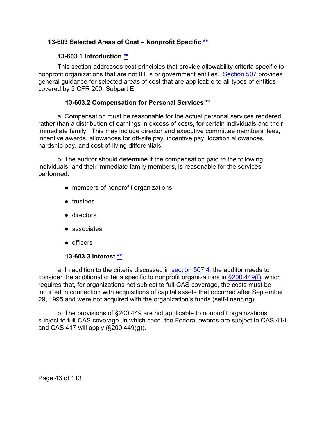### **13-603 Selected Areas of Cost – Nonprofit Specific [\\*\\*](#page-2-10)**

## **13-603.1 Introduction [\\*\\*](#page-2-11)**

This section addresses cost principles that provide allowability criteria specific to nonprofit organizations that are not IHEs or government entities. [Section 507](#page-27-0) provides general guidance for selected areas of cost that are applicable to all types of entities covered by 2 CFR 200, Subpart E.

### **13-603.2 Compensation for Personal Services [\\*\\*](#page-2-12)**

a. Compensation must be reasonable for the actual personal services rendered, rather than a distribution of earnings in excess of costs, for certain individuals and their immediate family. This may include director and executive committee members' fees, incentive awards, allowances for off-site pay, incentive pay, location allowances, hardship pay, and cost-of-living differentials.

b. The auditor should determine if the compensation paid to the following individuals, and their immediate family members, is reasonable for the services performed:

- members of nonprofit organizations
- trustees
- directors
- associates
- officers

#### **13-603.3 Interest [\\*\\*](#page-2-13)**

a. In addition to the criteria discussed in [section 507.4,](#page-30-0) the auditor needs to consider the additional criteria specific to nonprofit organizations in [§200.449\(f\),](https://www.ecfr.gov/cgi-bin/text-idx?SID=cb2cc094ebab46da5d1fe918cb40a270&mc=true&node=se2.1.200_1449&rgn=div8) which requires that, for organizations not subject to full-CAS coverage, the costs must be incurred in connection with acquisitions of capital assets that occurred after September 29, 1995 and were not acquired with the organization's funds (self-financing).

b. The provisions of §200.449 are not applicable to nonprofit organizations subject to full-CAS coverage, in which case, the Federal awards are subject to CAS 414 and CAS 417 will apply (§200.449(g)).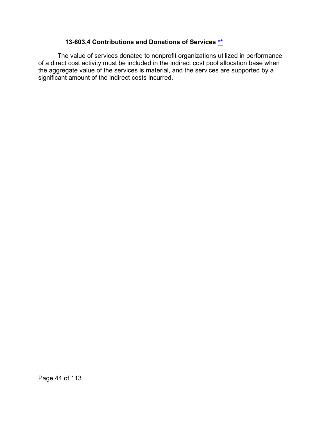### **13-603.4 Contributions and Donations of Services [\\*\\*](#page-2-14)**

The value of services donated to nonprofit organizations utilized in performance of a direct cost activity must be included in the indirect cost pool allocation base when the aggregate value of the services is material, and the services are supported by a significant amount of the indirect costs incurred.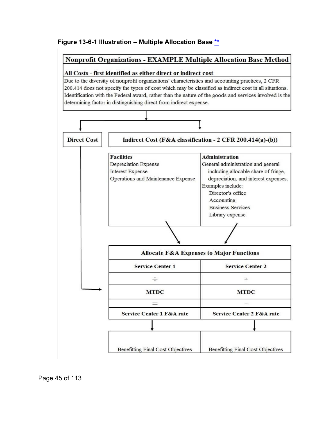## **Figure 13-6-1 Illustration – Multiple Allocation Base [\\*\\*](#page-2-15)**

#### Nonprofit Organizations - EXAMPLE Multiple Allocation Base Method

#### All Costs - first identified as either direct or indirect cost

Due to the diversity of nonprofit organizations' characteristics and accounting practices, 2 CFR 200.414 does not specify the types of cost which may be classified as indirect cost in all situations. Identification with the Federal award, rather than the nature of the goods and services involved is the determining factor in distinguishing direct from indirect expense.

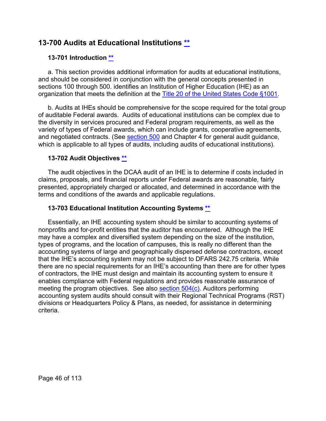# **13-700 Audits at Educational Institutions [\\*\\*](#page-2-16)**

#### **13-701 Introduction [\\*\\*](#page-2-17)**

a. This section provides additional information for audits at educational institutions, and should be considered in conjunction with the general concepts presented in sections 100 through 500. identifies an Institution of Higher Education (IHE) as an organization that meets the definition at the [Title 20 of the United States Code §1001.](http://uscode.house.gov/view.xhtml?req=(title:20%20section:1001%20edition:prelim)%20OR%20(granuleid:USC-prelim-title20-section1001)&f=treesort&edition=prelim&num=0&jumpTo=true)

b. Audits at IHEs should be comprehensive for the scope required for the total group of auditable Federal awards. Audits of educational institutions can be complex due to the diversity in services procured and Federal program requirements, as well as the variety of types of Federal awards, which can include grants, cooperative agreements, and negotiated contracts. (See [section 500](#page-17-0) and Chapter 4 for general audit guidance, which is applicable to all types of audits, including audits of educational institutions).

#### **13-702 Audit Objectives [\\*\\*](#page-3-0)**

The audit objectives in the DCAA audit of an IHE is to determine if costs included in claims, proposals, and financial reports under Federal awards are reasonable, fairly presented, appropriately charged or allocated, and determined in accordance with the terms and conditions of the awards and applicable regulations.

#### **13-703 Educational Institution Accounting Systems [\\*\\*](#page-3-1)**

Essentially, an IHE accounting system should be similar to accounting systems of nonprofits and for-profit entities that the auditor has encountered. Although the IHE may have a complex and diversified system depending on the size of the institution, types of programs, and the location of campuses, this is really no different than the accounting systems of large and geographically dispersed defense contractors, except that the IHE's accounting system may not be subject to DFARS 242.75 criteria. While there are no special requirements for an IHE's accounting than there are for other types of contractors, the IHE must design and maintain its accounting system to ensure it enables compliance with Federal regulations and provides reasonable assurance of meeting the program objectives. See also [section 504\(c\).](#page-18-0) Auditors performing accounting system audits should consult with their Regional Technical Programs (RST) divisions or Headquarters Policy & Plans, as needed, for assistance in determining criteria.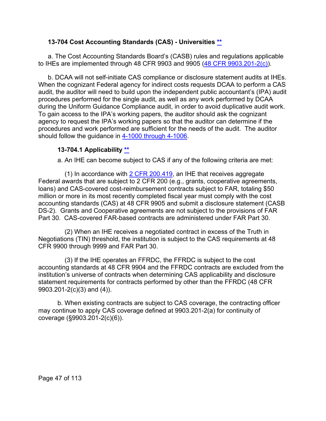#### **13-704 Cost Accounting Standards (CAS) - Universities [\\*\\*](#page-3-2)**

a. The Cost Accounting Standards Board's (CASB) rules and regulations applicable to IHEs are implemented through 48 CFR 9903 and 9905 [\(48 CFR 9903.201-2\(c\)\)](https://www.ecfr.gov/cgi-bin/text-idx?SID=accb443132c7dedc586deb29451d3980&mc=true&node=se48.7.9903_1201_62&rgn=div8).

b. DCAA will not self-initiate CAS compliance or disclosure statement audits at IHEs. When the cognizant Federal agency for indirect costs requests DCAA to perform a CAS audit, the auditor will need to build upon the independent public accountant's (IPA) audit procedures performed for the single audit, as well as any work performed by DCAA during the Uniform Guidance Compliance audit, in order to avoid duplicative audit work. To gain access to the IPA's working papers, the auditor should ask the cognizant agency to request the IPA's working papers so that the auditor can determine if the procedures and work performed are sufficient for the needs of the audit. The auditor should follow the guidance in [4-1000 through 4-1006.](https://viper.dcaa.mil/guidance/cam/3130/general-audit-requirements#Section41000)

#### **13-704.1 Applicability [\\*\\*](#page-3-3)**

a. An IHE can become subject to CAS if any of the following criteria are met:

(1) In accordance with  $2$  CFR 200.419, an IHE that receives aggregate Federal awards that are subject to 2 CFR 200 (e.g., grants, cooperative agreements, loans) and CAS-covered cost-reimbursement contracts subject to FAR, totaling \$50 million or more in its most recently completed fiscal year must comply with the cost accounting standards (CAS) at 48 CFR 9905 and submit a disclosure statement (CASB DS-2). Grants and Cooperative agreements are not subject to the provisions of FAR Part 30. CAS-covered FAR-based contracts are administered under FAR Part 30.

(2) When an IHE receives a negotiated contract in excess of the Truth in Negotiations (TIN) threshold, the institution is subject to the CAS requirements at 48 CFR 9900 through 9999 and FAR Part 30.

(3) If the IHE operates an FFRDC, the FFRDC is subject to the cost accounting standards at 48 CFR 9904 and the FFRDC contracts are excluded from the institution's universe of contracts when determining CAS applicability and disclosure statement requirements for contracts performed by other than the FFRDC (48 CFR 9903.201-2(c)(3) and (4)).

b. When existing contracts are subject to CAS coverage, the contracting officer may continue to apply CAS coverage defined at 9903.201-2(a) for continuity of coverage (§9903.201-2(c)(6)).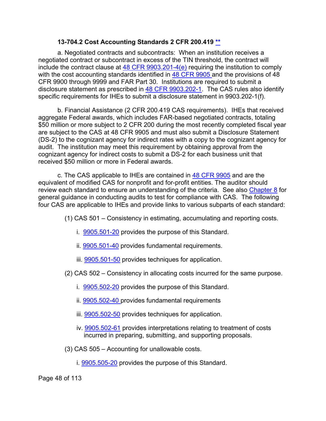#### **13-704.2 Cost Accounting Standards 2 CFR 200.419 [\\*\\*](#page-3-4)**

a. Negotiated contracts and subcontracts: When an institution receives a negotiated contract or subcontract in excess of the TIN threshold, the contract will include the contract clause at  $48$  CFR  $9903.201-4(e)$  requiring the institution to comply with the cost accounting standards identified in [48 CFR 9905](https://www.ecfr.gov/cgi-bin/text-idx?SID=63c8862a172f9669da3dff4214ebd2a9&mc=true&node=pt48.7.9905&rgn=div5) and the provisions of 48 CFR 9900 through 9999 and FAR Part 30. Institutions are required to submit a disclosure statement as prescribed in [48 CFR 9903.202-1.](https://www.ecfr.gov/cgi-bin/text-idx?SID=37b67af769b40c4b00c57bdcafc3c509&mc=true&node=se48.7.9903_1202_61&rgn=div8) The CAS rules also identify specific requirements for IHEs to submit a disclosure statement in 9903.202-1(f).

b. Financial Assistance (2 CFR 200.419 CAS requirements). IHEs that received aggregate Federal awards, which includes FAR-based negotiated contracts, totaling \$50 million or more subject to 2 CFR 200 during the most recently completed fiscal year are subject to the CAS at 48 CFR 9905 and must also submit a Disclosure Statement (DS-2) to the cognizant agency for indirect rates with a copy to the cognizant agency for audit. The institution may meet this requirement by obtaining approval from the cognizant agency for indirect costs to submit a DS-2 for each business unit that received \$50 million or more in Federal awards.

c. The CAS applicable to IHEs are contained in [48 CFR 9905](https://www.ecfr.gov/cgi-bin/text-idx?SID=1fe0947795b38016473aa8d886fe2872&mc=true&tpl=/ecfrbrowse/Title48/48cfr9905_main_02.tpl) and are the equivalent of modified CAS for nonprofit and for-profit entities. The auditor should review each standard to ensure an understanding of the criteria. See also [Chapter 8](https://viper.dcaa.mil/guidance/cam/3141/cost-accounting-standards) for general guidance in conducting audits to test for compliance with CAS. The following four CAS are applicable to IHEs and provide links to various subparts of each standard:

- (1) CAS 501 Consistency in estimating, accumulating and reporting costs.
	- i. [9905.501-20](https://www.ecfr.gov/cgi-bin/text-idx?SID=86e40b6406627457422387c2c571aa07&mc=true&node=se48.7.9905_1501_620&rgn=div8) provides the purpose of this Standard.
	- ii. [9905.501-40](https://www.ecfr.gov/cgi-bin/text-idx?SID=86e40b6406627457422387c2c571aa07&mc=true&node=se48.7.9905_1501_640&rgn=div8) provides fundamental requirements.
	- iii. [9905.501-50](https://www.ecfr.gov/cgi-bin/retrieveECFR?gp=&SID=86e40b6406627457422387c2c571aa07&mc=true&r=SECTION&n=se48.7.9905_1501_650) provides techniques for application.
- (2) CAS 502 Consistency in allocating costs incurred for the same purpose.
	- i. [9905.502-20](https://www.ecfr.gov/cgi-bin/retrieveECFR?gp=&SID=86e40b6406627457422387c2c571aa07&mc=true&r=SECTION&n=se48.7.9905_1502_620) provides the purpose of this Standard.
	- ii. [9905.502-40](https://www.ecfr.gov/cgi-bin/retrieveECFR?gp=&SID=86e40b6406627457422387c2c571aa07&mc=true&r=SECTION&n=se48.7.9905_1502_640) provides fundamental requirements
	- iii. [9905.502-50](https://www.ecfr.gov/cgi-bin/retrieveECFR?gp=&SID=86e40b6406627457422387c2c571aa07&mc=true&r=SECTION&n=se48.7.9905_1502_650) provides techniques for application.
	- iv. [9905.502-61](https://www.ecfr.gov/cgi-bin/retrieveECFR?gp=&SID=86e40b6406627457422387c2c571aa07&mc=true&r=SECTION&n=se48.7.9905_1502_661) provides interpretations relating to treatment of costs incurred in preparing, submitting, and supporting proposals.
- (3) CAS 505 Accounting for unallowable costs.
	- i. [9905.505-20](https://www.ecfr.gov/cgi-bin/retrieveECFR?gp=&SID=86e40b6406627457422387c2c571aa07&mc=true&r=SECTION&n=se48.7.9905_1505_620) provides the purpose of this Standard.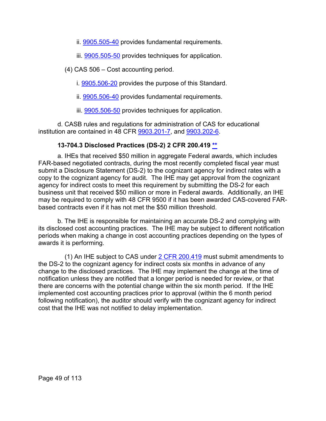- ii. [9905.505-40](https://www.ecfr.gov/cgi-bin/retrieveECFR?gp=&SID=86e40b6406627457422387c2c571aa07&mc=true&r=SECTION&n=se48.7.9905_1505_640) provides fundamental requirements.
- iii. [9905.505-50](https://www.ecfr.gov/cgi-bin/retrieveECFR?gp=&SID=86e40b6406627457422387c2c571aa07&mc=true&r=SECTION&n=se48.7.9905_1505_650) provides techniques for application.
- (4) CAS 506 Cost accounting period.
	- i. [9905.506-20](https://www.ecfr.gov/cgi-bin/text-idx?SID=86e40b6406627457422387c2c571aa07&mc=true&node=se48.7.9905_1506_620&rgn=div8) provides the purpose of this Standard.
	- ii. [9905.506-40](https://www.ecfr.gov/cgi-bin/retrieveECFR?gp=&SID=86e40b6406627457422387c2c571aa07&mc=true&r=SECTION&n=se48.7.9905_1506_640) provides fundamental requirements.
	- iii. [9905.506-50](https://www.ecfr.gov/cgi-bin/retrieveECFR?gp=&SID=86e40b6406627457422387c2c571aa07&mc=true&r=SECTION&n=se48.7.9905_1506_650) provides techniques for application.

d. CASB rules and regulations for administration of CAS for educational institution are contained in 48 CFR [9903.201-7,](https://www.ecfr.gov/cgi-bin/text-idx?SID=37d59b5183f2b710ccbc0997ca061a36&mc=true&node=se48.7.9903_1201_67&rgn=div8) and [9903.202-6.](https://www.ecfr.gov/cgi-bin/text-idx?SID=37d59b5183f2b710ccbc0997ca061a36&mc=true&node=se48.7.9903_1202_66&rgn=div8)

#### **13-704.3 Disclosed Practices (DS-2) 2 CFR 200.419 [\\*\\*](#page-3-5)**

a. IHEs that received \$50 million in aggregate Federal awards, which includes FAR-based negotiated contracts, during the most recently completed fiscal year must submit a Disclosure Statement (DS-2) to the cognizant agency for indirect rates with a copy to the cognizant agency for audit. The IHE may get approval from the cognizant agency for indirect costs to meet this requirement by submitting the DS-2 for each business unit that received \$50 million or more in Federal awards. Additionally, an IHE may be required to comply with 48 CFR 9500 if it has been awarded CAS-covered FARbased contracts even if it has not met the \$50 million threshold.

b. The IHE is responsible for maintaining an accurate DS-2 and complying with its disclosed cost accounting practices. The IHE may be subject to different notification periods when making a change in cost accounting practices depending on the types of awards it is performing.

(1) An IHE subject to CAS under [2 CFR 200.419](https://www.ecfr.gov/cgi-bin/text-idx?SID=37d59b5183f2b710ccbc0997ca061a36&mc=true&node=se2.1.200_1419&rgn=div8) must submit amendments to the DS-2 to the cognizant agency for indirect costs six months in advance of any change to the disclosed practices. The IHE may implement the change at the time of notification unless they are notified that a longer period is needed for review, or that there are concerns with the potential change within the six month period. If the IHE implemented cost accounting practices prior to approval (within the 6 month period following notification), the auditor should verify with the cognizant agency for indirect cost that the IHE was not notified to delay implementation.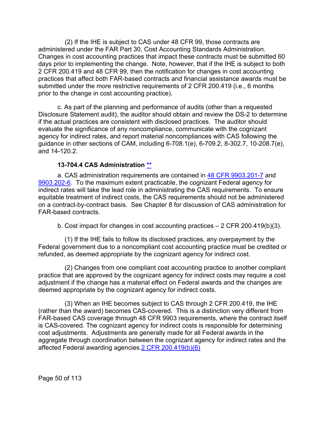(2) If the IHE is subject to CAS under 48 CFR 99, those contracts are administered under the FAR Part 30, Cost Accounting Standards Administration. Changes in cost accounting practices that impact these contracts must be submitted 60 days prior to implementing the change. Note, however, that if the IHE is subject to both 2 CFR 200.419 and 48 CFR 99, then the notification for changes in cost accounting practices that affect both FAR-based contracts and financial assistance awards must be submitted under the more restrictive requirements of 2 CFR 200.419 (i.e., 6 months prior to the change in cost accounting practice).

c. As part of the planning and performance of audits (other than a requested Disclosure Statement audit), the auditor should obtain and review the DS-2 to determine if the actual practices are consistent with disclosed practices. The auditor should evaluate the significance of any noncompliance, communicate with the cognizant agency for indirect rates, and report material noncompliances with CAS following the guidance in other sections of CAM, including 6-708.1(e), 6-709.2, 8-302.7, 10-208.7(e), and 14-120.2.

#### **13-704.4 CAS Administration [\\*\\*](#page-3-6)**

a. CAS administration requirements are contained in [48 CFR 9903.201-7](http://www.ecfr.gov/cgi-bin/text-idx?SID=b4c4da8e9fbd25882ca9a8842c3c1a26&mc=true&node=se48.7.9903_1201_67&rgn=div8) and [9903.202-6.](http://www.ecfr.gov/cgi-bin/text-idx?SID=e02897f8fa4013fce520ada64874198f&mc=true&node=se48.7.9903_1202_66&rgn=div8) To the maximum extent practicable, the cognizant Federal agency for indirect rates will take the lead role in administrating the CAS requirements. To ensure equitable treatment of indirect costs, the CAS requirements should not be administered on a contract-by-contract basis. See Chapter 8 for discussion of CAS administration for FAR-based contracts.

b. Cost impact for changes in cost accounting practices – 2 CFR 200.419(b)(3).

(1) If the IHE fails to follow its disclosed practices, any overpayment by the Federal government due to a noncompliant cost accounting practice must be credited or refunded, as deemed appropriate by the cognizant agency for indirect cost.

(2) Changes from one compliant cost accounting practice to another compliant practice that are approved by the cognizant agency for indirect costs may require a cost adjustment if the change has a material effect on Federal awards and the changes are deemed appropriate by the cognizant agency for indirect costs.

(3) When an IHE becomes subject to CAS through 2 CFR 200.419, the IHE (rather than the award) becomes CAS-covered. This is a distinction very different from FAR-based CAS coverage through 48 CFR 9903 requirements, where the contract itself is CAS-covered. The cognizant agency for indirect costs is responsible for determining cost adjustments. Adjustments are generally made for all Federal awards in the aggregate through coordination between the cognizant agency for indirect rates and the affected Federal awarding agencies[.2 CFR 200.419\(b\)\(6\)](https://www.ecfr.gov/cgi-bin/text-idx?SID=c9fdd0b3e5c38a71326d242a1e5b8053&mc=true&node=se2.1.200_1419&rgn=div8)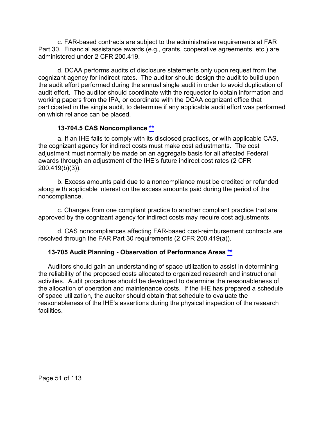c. FAR-based contracts are subject to the administrative requirements at FAR Part 30. Financial assistance awards (e.g., grants, cooperative agreements, etc.) are administered under 2 CFR 200.419.

d. DCAA performs audits of disclosure statements only upon request from the cognizant agency for indirect rates. The auditor should design the audit to build upon the audit effort performed during the annual single audit in order to avoid duplication of audit effort. The auditor should coordinate with the requestor to obtain information and working papers from the IPA, or coordinate with the DCAA cognizant office that participated in the single audit, to determine if any applicable audit effort was performed on which reliance can be placed.

### **13-704.5 CAS Noncompliance [\\*\\*](#page-3-7)**

a. If an IHE fails to comply with its disclosed practices, or with applicable CAS, the cognizant agency for indirect costs must make cost adjustments. The cost adjustment must normally be made on an aggregate basis for all affected Federal awards through an adjustment of the IHE's future indirect cost rates (2 CFR 200.419(b)(3)).

b. Excess amounts paid due to a noncompliance must be credited or refunded along with applicable interest on the excess amounts paid during the period of the noncompliance.

c. Changes from one compliant practice to another compliant practice that are approved by the cognizant agency for indirect costs may require cost adjustments.

d. CAS noncompliances affecting FAR-based cost-reimbursement contracts are resolved through the FAR Part 30 requirements (2 CFR 200.419(a)).

### **13-705 Audit Planning - Observation of Performance Areas [\\*\\*](#page-3-8)**

Auditors should gain an understanding of space utilization to assist in determining the reliability of the proposed costs allocated to organized research and instructional activities. Audit procedures should be developed to determine the reasonableness of the allocation of operation and maintenance costs. If the IHE has prepared a schedule of space utilization, the auditor should obtain that schedule to evaluate the reasonableness of the IHE's assertions during the physical inspection of the research facilities.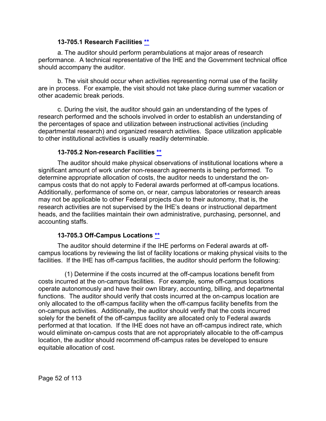#### **13-705.1 Research Facilities [\\*\\*](#page-3-9)**

a. The auditor should perform perambulations at major areas of research performance. A technical representative of the IHE and the Government technical office should accompany the auditor.

b. The visit should occur when activities representing normal use of the facility are in process. For example, the visit should not take place during summer vacation or other academic break periods.

c. During the visit, the auditor should gain an understanding of the types of research performed and the schools involved in order to establish an understanding of the percentages of space and utilization between instructional activities (including departmental research) and organized research activities. Space utilization applicable to other institutional activities is usually readily determinable.

#### **13-705.2 Non-research Facilities [\\*\\*](#page-3-10)**

The auditor should make physical observations of institutional locations where a significant amount of work under non-research agreements is being performed. To determine appropriate allocation of costs, the auditor needs to understand the oncampus costs that do not apply to Federal awards performed at off-campus locations. Additionally, performance of some on, or near, campus laboratories or research areas may not be applicable to other Federal projects due to their autonomy, that is, the research activities are not supervised by the IHE's deans or instructional department heads, and the facilities maintain their own administrative, purchasing, personnel, and accounting staffs.

### **13-705.3 Off-Campus Locations [\\*\\*](#page-3-11)**

The auditor should determine if the IHE performs on Federal awards at offcampus locations by reviewing the list of facility locations or making physical visits to the facilities. If the IHE has off-campus facilities, the auditor should perform the following:

(1) Determine if the costs incurred at the off-campus locations benefit from costs incurred at the on-campus facilities. For example, some off-campus locations operate autonomously and have their own library, accounting, billing, and departmental functions. The auditor should verify that costs incurred at the on-campus location are only allocated to the off-campus facility when the off-campus facility benefits from the on-campus activities. Additionally, the auditor should verify that the costs incurred solely for the benefit of the off-campus facility are allocated only to Federal awards performed at that location. If the IHE does not have an off-campus indirect rate, which would eliminate on-campus costs that are not appropriately allocable to the off-campus location, the auditor should recommend off-campus rates be developed to ensure equitable allocation of cost.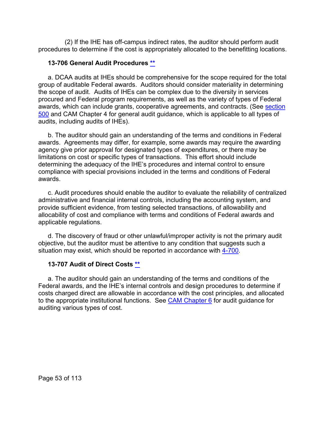(2) If the IHE has off-campus indirect rates, the auditor should perform audit procedures to determine if the cost is appropriately allocated to the benefitting locations.

#### **13-706 General Audit Procedures [\\*\\*](#page-3-12)**

a. DCAA audits at IHEs should be comprehensive for the scope required for the total group of auditable Federal awards. Auditors should consider materiality in determining the scope of audit. Audits of IHEs can be complex due to the diversity in services procured and Federal program requirements, as well as the variety of types of Federal awards, which can include grants, cooperative agreements, and contracts. (See section [500](#page-17-0) and CAM Chapter 4 for general audit guidance, which is applicable to all types of audits, including audits of IHEs).

b. The auditor should gain an understanding of the terms and conditions in Federal awards. Agreements may differ, for example, some awards may require the awarding agency give prior approval for designated types of expenditures, or there may be limitations on cost or specific types of transactions. This effort should include determining the adequacy of the IHE's procedures and internal control to ensure compliance with special provisions included in the terms and conditions of Federal awards.

c. Audit procedures should enable the auditor to evaluate the reliability of centralized administrative and financial internal controls, including the accounting system, and provide sufficient evidence, from testing selected transactions, of allowability and allocability of cost and compliance with terms and conditions of Federal awards and applicable regulations.

d. The discovery of fraud or other unlawful/improper activity is not the primary audit objective, but the auditor must be attentive to any condition that suggests such a situation may exist, which should be reported in accordance with [4-700.](https://viper.dcaa.mil/guidance/cam/3130/general-audit-requirements?term=reliance%20on%20the%20work%20of%20others)

### **13-707 Audit of Direct Costs [\\*\\*](#page-3-13)**

a. The auditor should gain an understanding of the terms and conditions of the Federal awards, and the IHE's internal controls and design procedures to determine if costs charged direct are allowable in accordance with the cost principles, and allocated to the appropriate institutional functions. See [CAM Chapter 6](https://viper.dcaa.mil/guidance/cam/3136/incurred-cost-audit-procedures) for audit guidance for auditing various types of cost.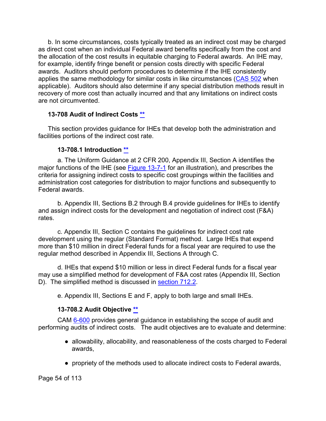b. In some circumstances, costs typically treated as an indirect cost may be charged as direct cost when an individual Federal award benefits specifically from the cost and the allocation of the cost results in equitable charging to Federal awards. An IHE may, for example, identify fringe benefit or pension costs directly with specific Federal awards. Auditors should perform procedures to determine if the IHE consistently applies the same methodology for similar costs in like circumstances [\(CAS 502](https://www.ecfr.gov/cgi-bin/text-idx?SID=1fe0947795b38016473aa8d886fe2872&mc=true&tpl=/ecfrbrowse/Title48/48cfr9905_main_02.tpl) when applicable). Auditors should also determine if any special distribution methods result in recovery of more cost than actually incurred and that any limitations on indirect costs are not circumvented.

#### **13-708 Audit of Indirect Costs [\\*\\*](#page-3-14)**

This section provides guidance for IHEs that develop both the administration and facilities portions of the indirect cost rate.

#### **13-708.1 Introduction [\\*\\*](#page-3-15)**

a. The Uniform Guidance at 2 CFR 200, Appendix III, Section A identifies the major functions of the IHE (see [Figure 13-7-1](#page-78-0) for an illustration), and prescribes the criteria for assigning indirect costs to specific cost groupings within the facilities and administration cost categories for distribution to major functions and subsequently to Federal awards.

b. Appendix III, Sections B.2 through B.4 provide guidelines for IHEs to identify and assign indirect costs for the development and negotiation of indirect cost (F&A) rates.

c. Appendix III, Section C contains the guidelines for indirect cost rate development using the regular (Standard Format) method. Large IHEs that expend more than \$10 million in direct Federal funds for a fiscal year are required to use the regular method described in Appendix III, Sections A through C.

d. IHEs that expend \$10 million or less in direct Federal funds for a fiscal year may use a simplified method for development of F&A cost rates (Appendix III, Section D). The simplified method is discussed in [section 712.2.](#page-71-0)

e. Appendix III, Sections E and F, apply to both large and small IHEs.

### **13-708.2 Audit Objective [\\*\\*](#page-3-16)**

CAM [6-600](https://viper.dcaa.mil/guidance/cam/3136/incurred-cost-audit-procedures) provides general guidance in establishing the scope of audit and performing audits of indirect costs. The audit objectives are to evaluate and determine:

- allowability, allocability, and reasonableness of the costs charged to Federal awards,
- propriety of the methods used to allocate indirect costs to Federal awards,

Page 54 of 113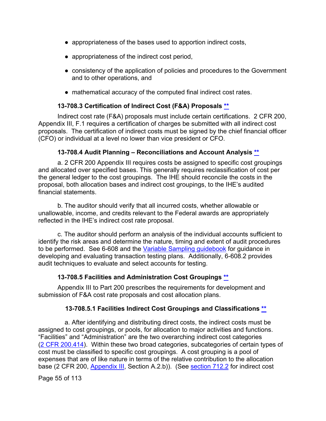- appropriateness of the bases used to apportion indirect costs,
- appropriateness of the indirect cost period,
- consistency of the application of policies and procedures to the Government and to other operations, and
- mathematical accuracy of the computed final indirect cost rates.

### **13-708.3 Certification of Indirect Cost (F&A) Proposals [\\*\\*](#page-3-17)**

Indirect cost rate (F&A) proposals must include certain certifications. 2 CFR 200, Appendix III, F.1 requires a certification of charges be submitted with all indirect cost proposals. The certification of indirect costs must be signed by the chief financial officer (CFO) or individual at a level no lower than vice president or CFO.

### **13-708.4 Audit Planning – Reconciliations and Account Analysis [\\*\\*](#page-3-18)**

a. 2 CFR 200 Appendix III requires costs be assigned to specific cost groupings and allocated over specified bases. This generally requires reclassification of cost per the general ledger to the cost groupings. The IHE should reconcile the costs in the proposal, both allocation bases and indirect cost groupings, to the IHE's audited financial statements.

b. The auditor should verify that all incurred costs, whether allowable or unallowable, income, and credits relevant to the Federal awards are appropriately reflected in the IHE's indirect cost rate proposal.

c. The auditor should perform an analysis of the individual accounts sufficient to identify the risk areas and determine the nature, timing and extent of audit procedures to be performed. See 6-608 and the [Variable Sampling guidebook](https://viper.dcaa.mil/guidance/guidebooks/variable-sampling) for guidance in developing and evaluating transaction testing plans. Additionally, 6-608.2 provides audit techniques to evaluate and select accounts for testing.

### **13-708.5 Facilities and Administration Cost Groupings [\\*\\*](#page-3-19)**

Appendix III to Part 200 prescribes the requirements for development and submission of F&A cost rate proposals and cost allocation plans.

### **13-708.5.1 Facilities Indirect Cost Groupings and Classifications [\\*\\*](#page-3-20)**

a. After identifying and distributing direct costs, the indirect costs must be assigned to cost groupings, or pools, for allocation to major activities and functions. "Facilities" and "Administration" are the two overarching indirect cost categories (2 CFR [200.414\)](https://www.ecfr.gov/cgi-bin/text-idx?SID=300bb4e5feb456a483a06cbf65377bb6&mc=true&node=se2.1.200_1414&rgn=div8). Within these two broad categories, subcategories of certain types of cost must be classified to specific cost groupings. A cost grouping is a pool of expenses that are of like nature in terms of the relative contribution to the allocation base (2 CFR 200, [Appendix III,](https://www.ecfr.gov/cgi-bin/text-idx?SID=300bb4e5feb456a483a06cbf65377bb6&mc=true&node=ap2.1.200_1521.iii&rgn=div9) Section A.2.b)). (See [section 712.2](#page-71-0) for indirect cost

Page 55 of 113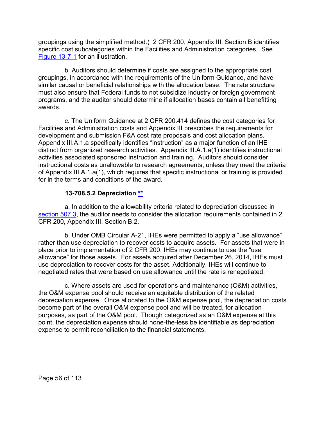groupings using the simplified method.) 2 CFR 200, Appendix III, Section B identifies specific cost subcategories within the Facilities and Administration categories. See [Figure 13-7-1](#page-78-0) for an illustration.

b. Auditors should determine if costs are assigned to the appropriate cost groupings, in accordance with the requirements of the Uniform Guidance, and have similar causal or beneficial relationships with the allocation base. The rate structure must also ensure that Federal funds to not subsidize industry or foreign government programs, and the auditor should determine if allocation bases contain all benefitting awards.

c. The Uniform Guidance at 2 CFR 200.414 defines the cost categories for Facilities and Administration costs and Appendix III prescribes the requirements for development and submission F&A cost rate proposals and cost allocation plans. Appendix III.A.1.a specifically identifies "instruction" as a major function of an IHE distinct from organized research activities. Appendix III.A.1.a(1) identifies instructional activities associated sponsored instruction and training. Auditors should consider instructional costs as unallowable to research agreements, unless they meet the criteria of Appendix III.A.1.a(1), which requires that specific instructional or training is provided for in the terms and conditions of the award.

## **13-708.5.2 Depreciation [\\*\\*](#page-3-21)**

a. In addition to the allowability criteria related to depreciation discussed in [section 507.3,](#page-28-0) the auditor needs to consider the allocation requirements contained in 2 CFR 200, Appendix III, Section B.2.

b. Under OMB Circular A-21, IHEs were permitted to apply a "use allowance" rather than use depreciation to recover costs to acquire assets. For assets that were in place prior to implementation of 2 CFR 200, IHEs may continue to use the "use allowance" for those assets. For assets acquired after December 26, 2014, IHEs must use depreciation to recover costs for the asset. Additionally, IHEs will continue to negotiated rates that were based on use allowance until the rate is renegotiated.

c. Where assets are used for operations and maintenance (O&M) activities, the O&M expense pool should receive an equitable distribution of the related depreciation expense. Once allocated to the O&M expense pool, the depreciation costs become part of the overall O&M expense pool and will be treated, for allocation purposes, as part of the O&M pool. Though categorized as an O&M expense at this point, the depreciation expense should none-the-less be identifiable as depreciation expense to permit reconciliation to the financial statements.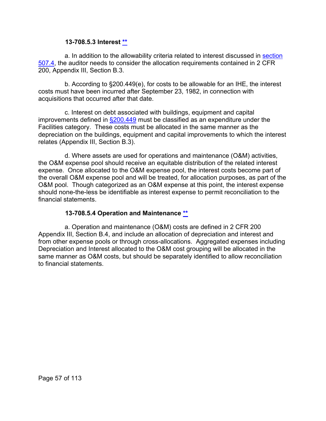#### **13-708.5.3 Interest [\\*\\*](#page-3-22)**

a. In addition to the allowability criteria related to interest discussed in [section](#page-30-0)  [507.4,](#page-30-0) the auditor needs to consider the allocation requirements contained in 2 CFR 200, Appendix III, Section B.3.

b. According to §200.449(e), for costs to be allowable for an IHE, the interest costs must have been incurred after September 23, 1982, in connection with acquisitions that occurred after that date.

c. Interest on debt associated with buildings, equipment and capital improvements defined in [§200.449](https://www.ecfr.gov/cgi-bin/text-idx?SID=6c3087b337527e75ff086cd110399d6a&mc=true&node=se2.1.200_1449&rgn=div8) must be classified as an expenditure under the Facilities category. These costs must be allocated in the same manner as the depreciation on the buildings, equipment and capital improvements to which the interest relates (Appendix III, Section B.3).

d. Where assets are used for operations and maintenance (O&M) activities, the O&M expense pool should receive an equitable distribution of the related interest expense. Once allocated to the O&M expense pool, the interest costs become part of the overall O&M expense pool and will be treated, for allocation purposes, as part of the O&M pool. Though categorized as an O&M expense at this point, the interest expense should none-the-less be identifiable as interest expense to permit reconciliation to the financial statements.

#### **13-708.5.4 Operation and Maintenance [\\*\\*](#page-3-23)**

a. Operation and maintenance (O&M) costs are defined in 2 CFR 200 Appendix III, Section B.4, and include an allocation of depreciation and interest and from other expense pools or through cross-allocations. Aggregated expenses including Depreciation and Interest allocated to the O&M cost grouping will be allocated in the same manner as O&M costs, but should be separately identified to allow reconciliation to financial statements.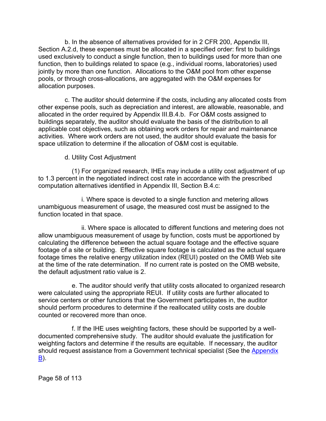b. In the absence of alternatives provided for in 2 CFR 200, Appendix III, Section A.2.d, these expenses must be allocated in a specified order: first to buildings used exclusively to conduct a single function, then to buildings used for more than one function, then to buildings related to space (e.g., individual rooms, laboratories) used jointly by more than one function. Allocations to the O&M pool from other expense pools, or through cross-allocations, are aggregated with the O&M expenses for allocation purposes.

c. The auditor should determine if the costs, including any allocated costs from other expense pools, such as depreciation and interest, are allowable, reasonable, and allocated in the order required by Appendix III.B.4.b. For O&M costs assigned to buildings separately, the auditor should evaluate the basis of the distribution to all applicable cost objectives, such as obtaining work orders for repair and maintenance activities. Where work orders are not used, the auditor should evaluate the basis for space utilization to determine if the allocation of O&M cost is equitable.

d. Utility Cost Adjustment

(1) For organized research, IHEs may include a utility cost adjustment of up to 1.3 percent in the negotiated indirect cost rate in accordance with the prescribed computation alternatives identified in Appendix III, Section B.4.c:

i. Where space is devoted to a single function and metering allows unambiguous measurement of usage, the measured cost must be assigned to the function located in that space.

ii. Where space is allocated to different functions and metering does not allow unambiguous measurement of usage by function, costs must be apportioned by calculating the difference between the actual square footage and the effective square footage of a site or building. Effective square footage is calculated as the actual square footage times the relative energy utilization index (REUI) posted on the OMB Web site at the time of the rate determination. If no current rate is posted on the OMB website, the default adjustment ratio value is 2.

e. The auditor should verify that utility costs allocated to organized research were calculated using the appropriate REUI. If utility costs are further allocated to service centers or other functions that the Government participates in, the auditor should perform procedures to determine if the reallocated utility costs are double counted or recovered more than once.

f. If the IHE uses weighting factors, these should be supported by a welldocumented comprehensive study. The auditor should evaluate the justification for weighting factors and determine if the results are equitable. If necessary, the auditor should request assistance from a Government technical specialist (See the Appendix  $B$ ).

Page 58 of 113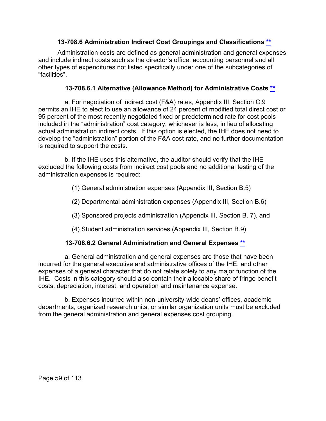### **13-708.6 Administration Indirect Cost Groupings and Classifications [\\*\\*](#page-3-24)**

Administration costs are defined as general administration and general expenses and include indirect costs such as the director's office, accounting personnel and all other types of expenditures not listed specifically under one of the subcategories of "facilities".

### **13-708.6.1 Alternative (Allowance Method) for Administrative Costs [\\*\\*](#page-3-25)**

a. For negotiation of indirect cost (F&A) rates, Appendix III, Section C.9 permits an IHE to elect to use an allowance of 24 percent of modified total direct cost or 95 percent of the most recently negotiated fixed or predetermined rate for cost pools included in the "administration" cost category, whichever is less, in lieu of allocating actual administration indirect costs. If this option is elected, the IHE does not need to develop the "administration" portion of the F&A cost rate, and no further documentation is required to support the costs.

b. If the IHE uses this alternative, the auditor should verify that the IHE excluded the following costs from indirect cost pools and no additional testing of the administration expenses is required:

(1) General administration expenses (Appendix III, Section B.5)

(2) Departmental administration expenses (Appendix III, Section B.6)

(3) Sponsored projects administration (Appendix III, Section B. 7), and

(4) Student administration services (Appendix III, Section B.9)

## **13-708.6.2 General Administration and General Expenses [\\*\\*](#page-3-26)**

a. General administration and general expenses are those that have been incurred for the general executive and administrative offices of the IHE, and other expenses of a general character that do not relate solely to any major function of the IHE. Costs in this category should also contain their allocable share of fringe benefit costs, depreciation, interest, and operation and maintenance expense.

b. Expenses incurred within non-university-wide deans' offices, academic departments, organized research units, or similar organization units must be excluded from the general administration and general expenses cost grouping.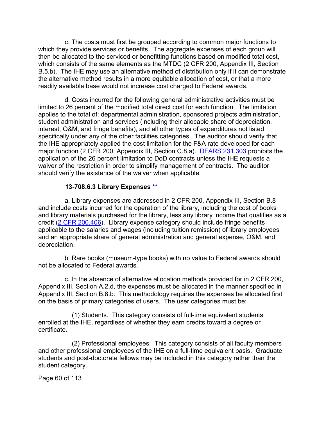c. The costs must first be grouped according to common major functions to which they provide services or benefits. The aggregate expenses of each group will then be allocated to the serviced or benefitting functions based on modified total cost, which consists of the same elements as the MTDC (2 CFR 200, Appendix III, Section B.5.b). The IHE may use an alternative method of distribution only if it can demonstrate the alternative method results in a more equitable allocation of cost, or that a more readily available base would not increase cost charged to Federal awards.

d. Costs incurred for the following general administrative activities must be limited to 26 percent of the modified total direct cost for each function. The limitation applies to the total of: departmental administration, sponsored projects administration, student administration and services (including their allocable share of depreciation, interest, O&M, and fringe benefits), and all other types of expenditures not listed specifically under any of the other facilities categories. The auditor should verify that the IHE appropriately applied the cost limitation for the F&A rate developed for each major function (2 CFR 200, Appendix III, Section C.8.a). [DFARS 231.303 p](https://www.ecfr.gov/cgi-bin/text-idx?SID=121fcc48e129a74992dd7392455c3fc5&mc=true&node=sp48.3.231.231_13&rgn=div6)rohibits the application of the 26 percent limitation to DoD contracts unless the IHE requests a waiver of the restriction in order to simplify management of contracts. The auditor should verify the existence of the waiver when applicable.

#### **13-708.6.3 Library Expenses [\\*\\*](#page-3-27)**

a. Library expenses are addressed in 2 CFR 200, Appendix III, Section B.8 and include costs incurred for the operation of the library, including the cost of books and library materials purchased for the library, less any library income that qualifies as a credit [\(2 CFR 200.406\)](https://www.ecfr.gov/cgi-bin/text-idx?SID=8fbbbb549cb50aaee5634df1616973db&mc=true&node=se2.1.200_1406&rgn=div8). Library expense category should include fringe benefits applicable to the salaries and wages (including tuition remission) of library employees and an appropriate share of general administration and general expense, O&M, and depreciation.

b. Rare books (museum-type books) with no value to Federal awards should not be allocated to Federal awards.

c. In the absence of alternative allocation methods provided for in 2 CFR 200, Appendix III, Section A.2.d, the expenses must be allocated in the manner specified in Appendix III, Section B.8.b. This methodology requires the expenses be allocated first on the basis of primary categories of users. The user categories must be:

(1) Students. This category consists of full-time equivalent students enrolled at the IHE, regardless of whether they earn credits toward a degree or certificate.

(2) Professional employees. This category consists of all faculty members and other professional employees of the IHE on a full-time equivalent basis. Graduate students and post-doctorate fellows may be included in this category rather than the student category.

Page 60 of 113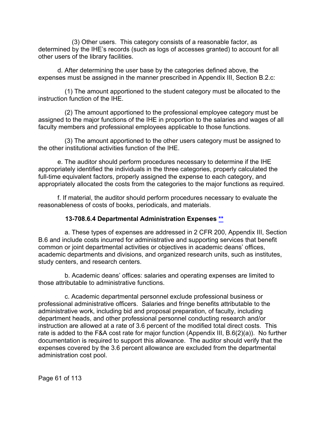(3) Other users. This category consists of a reasonable factor, as determined by the IHE's records (such as logs of accesses granted) to account for all other users of the library facilities.

d. After determining the user base by the categories defined above, the expenses must be assigned in the manner prescribed in Appendix III, Section B.2.c:

(1) The amount apportioned to the student category must be allocated to the instruction function of the IHE.

(2) The amount apportioned to the professional employee category must be assigned to the major functions of the IHE in proportion to the salaries and wages of all faculty members and professional employees applicable to those functions.

(3) The amount apportioned to the other users category must be assigned to the other institutional activities function of the IHE.

e. The auditor should perform procedures necessary to determine if the IHE appropriately identified the individuals in the three categories, properly calculated the full-time equivalent factors, properly assigned the expense to each category, and appropriately allocated the costs from the categories to the major functions as required.

f. If material, the auditor should perform procedures necessary to evaluate the reasonableness of costs of books, periodicals, and materials.

### **13-708.6.4 Departmental Administration Expenses [\\*\\*](#page-4-0)**

a. These types of expenses are addressed in 2 CFR 200, Appendix III, Section B.6 and include costs incurred for administrative and supporting services that benefit common or joint departmental activities or objectives in academic deans' offices, academic departments and divisions, and organized research units, such as institutes, study centers, and research centers.

b. Academic deans' offices: salaries and operating expenses are limited to those attributable to administrative functions.

c. Academic departmental personnel exclude professional business or professional administrative officers. Salaries and fringe benefits attributable to the administrative work, including bid and proposal preparation, of faculty, including department heads, and other professional personnel conducting research and/or instruction are allowed at a rate of 3.6 percent of the modified total direct costs. This rate is added to the F&A cost rate for major function (Appendix III, B.6(2)(a)). No further documentation is required to support this allowance. The auditor should verify that the expenses covered by the 3.6 percent allowance are excluded from the departmental administration cost pool.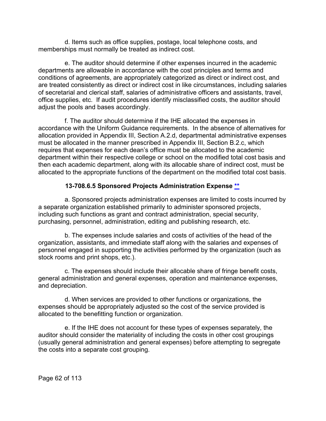d. Items such as office supplies, postage, local telephone costs, and memberships must normally be treated as indirect cost.

e. The auditor should determine if other expenses incurred in the academic departments are allowable in accordance with the cost principles and terms and conditions of agreements, are appropriately categorized as direct or indirect cost, and are treated consistently as direct or indirect cost in like circumstances, including salaries of secretarial and clerical staff, salaries of administrative officers and assistants, travel, office supplies, etc. If audit procedures identify misclassified costs, the auditor should adjust the pools and bases accordingly.

f. The auditor should determine if the IHE allocated the expenses in accordance with the Uniform Guidance requirements. In the absence of alternatives for allocation provided in Appendix III, Section A.2.d, departmental administrative expenses must be allocated in the manner prescribed in Appendix III, Section B.2.c, which requires that expenses for each dean's office must be allocated to the academic department within their respective college or school on the modified total cost basis and then each academic department, along with its allocable share of indirect cost, must be allocated to the appropriate functions of the department on the modified total cost basis.

## **13-708.6.5 Sponsored Projects Administration Expense [\\*\\*](#page-4-1)**

a. Sponsored projects administration expenses are limited to costs incurred by a separate organization established primarily to administer sponsored projects, including such functions as grant and contract administration, special security, purchasing, personnel, administration, editing and publishing research, etc.

b. The expenses include salaries and costs of activities of the head of the organization, assistants, and immediate staff along with the salaries and expenses of personnel engaged in supporting the activities performed by the organization (such as stock rooms and print shops, etc.).

c. The expenses should include their allocable share of fringe benefit costs, general administration and general expenses, operation and maintenance expenses, and depreciation.

d. When services are provided to other functions or organizations, the expenses should be appropriately adjusted so the cost of the service provided is allocated to the benefitting function or organization.

e. If the IHE does not account for these types of expenses separately, the auditor should consider the materiality of including the costs in other cost groupings (usually general administration and general expenses) before attempting to segregate the costs into a separate cost grouping.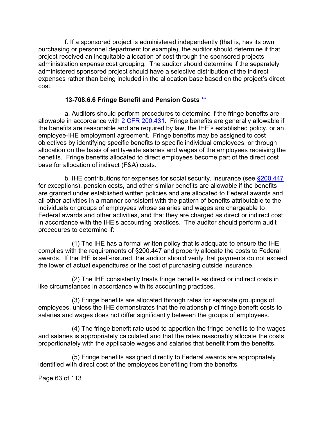f. If a sponsored project is administered independently (that is, has its own purchasing or personnel department for example), the auditor should determine if that project received an inequitable allocation of cost through the sponsored projects administration expense cost grouping. The auditor should determine if the separately administered sponsored project should have a selective distribution of the indirect expenses rather than being included in the allocation base based on the project's direct cost.

### **13-708.6.6 Fringe Benefit and Pension Costs [\\*\\*](#page-4-2)**

a. Auditors should perform procedures to determine if the fringe benefits are allowable in accordance with [2 CFR 200.431.](https://www.ecfr.gov/cgi-bin/text-idx?SID=221130c2250ba5c09f1bad439232c6b7&mc=true&node=se2.1.200_1431&rgn=div8) Fringe benefits are generally allowable if the benefits are reasonable and are required by law, the IHE's established policy, or an employee-IHE employment agreement. Fringe benefits may be assigned to cost objectives by identifying specific benefits to specific individual employees, or through allocation on the basis of entity-wide salaries and wages of the employees receiving the benefits. Fringe benefits allocated to direct employees become part of the direct cost base for allocation of indirect (F&A) costs.

b. IHE contributions for expenses for social security, insurance (see [§200.447](https://www.ecfr.gov/cgi-bin/text-idx?SID=496f078b821461f82b8dba2a6de0ff73&mc=true&node=se2.1.200_1447&rgn=div8) for exceptions), pension costs, and other similar benefits are allowable if the benefits are granted under established written policies and are allocated to Federal awards and all other activities in a manner consistent with the pattern of benefits attributable to the individuals or groups of employees whose salaries and wages are chargeable to Federal awards and other activities, and that they are charged as direct or indirect cost in accordance with the IHE's accounting practices. The auditor should perform audit procedures to determine if:

(1) The IHE has a formal written policy that is adequate to ensure the IHE complies with the requirements of §200.447 and properly allocate the costs to Federal awards. If the IHE is self-insured, the auditor should verify that payments do not exceed the lower of actual expenditures or the cost of purchasing outside insurance.

(2) The IHE consistently treats fringe benefits as direct or indirect costs in like circumstances in accordance with its accounting practices.

(3) Fringe benefits are allocated through rates for separate groupings of employees, unless the IHE demonstrates that the relationship of fringe benefit costs to salaries and wages does not differ significantly between the groups of employees.

(4) The fringe benefit rate used to apportion the fringe benefits to the wages and salaries is appropriately calculated and that the rates reasonably allocate the costs proportionately with the applicable wages and salaries that benefit from the benefits.

(5) Fringe benefits assigned directly to Federal awards are appropriately identified with direct cost of the employees benefiting from the benefits.

Page 63 of 113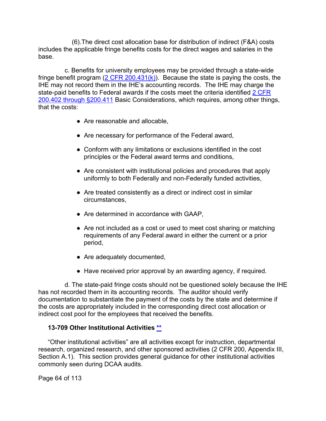(6).The direct cost allocation base for distribution of indirect (F&A) costs includes the applicable fringe benefits costs for the direct wages and salaries in the base.

c. Benefits for university employees may be provided through a state-wide fringe benefit program (2 CFR 200.431 $(k)$ ). Because the state is paying the costs, the IHE may not record them in the IHE's accounting records. The IHE may charge the state-paid benefits to Federal awards if the costs meet the criteria identified [2 CFR](https://www.ecfr.gov/cgi-bin/text-idx?SID=221130c2250ba5c09f1bad439232c6b7&mc=true&node=sg2.1.200_1401.sg12&rgn=div7)  [200.402 through §200.411](https://www.ecfr.gov/cgi-bin/text-idx?SID=221130c2250ba5c09f1bad439232c6b7&mc=true&node=sg2.1.200_1401.sg12&rgn=div7) Basic Considerations, which requires, among other things, that the costs:

- Are reasonable and allocable,
- Are necessary for performance of the Federal award,
- Conform with any limitations or exclusions identified in the cost principles or the Federal award terms and conditions,
- Are consistent with institutional policies and procedures that apply uniformly to both Federally and non-Federally funded activities,
- Are treated consistently as a direct or indirect cost in similar circumstances,
- Are determined in accordance with GAAP,
- Are not included as a cost or used to meet cost sharing or matching requirements of any Federal award in either the current or a prior period,
- Are adequately documented,
- Have received prior approval by an awarding agency, if required.

d. The state-paid fringe costs should not be questioned solely because the IHE has not recorded them in its accounting records. The auditor should verify documentation to substantiate the payment of the costs by the state and determine if the costs are appropriately included in the corresponding direct cost allocation or indirect cost pool for the employees that received the benefits.

#### **13-709 Other Institutional Activities [\\*\\*](#page-4-3)**

"Other institutional activities" are all activities except for instruction, departmental research, organized research, and other sponsored activities (2 CFR 200, Appendix III, Section A.1). This section provides general guidance for other institutional activities commonly seen during DCAA audits.

Page 64 of 113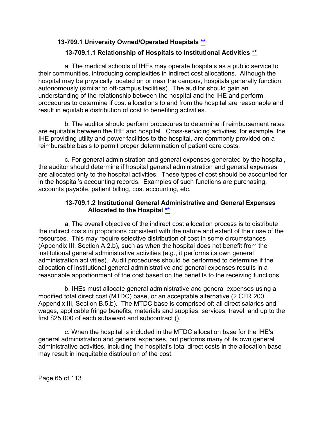### **13-709.1 University Owned/Operated Hospitals [\\*\\*](#page-4-4)**

## **13-709.1.1 Relationship of Hospitals to Institutional Activities [\\*\\*](#page-4-5)**

a. The medical schools of IHEs may operate hospitals as a public service to their communities, introducing complexities in indirect cost allocations. Although the hospital may be physically located on or near the campus, hospitals generally function autonomously (similar to off-campus facilities). The auditor should gain an understanding of the relationship between the hospital and the IHE and perform procedures to determine if cost allocations to and from the hospital are reasonable and result in equitable distribution of cost to benefiting activities.

b. The auditor should perform procedures to determine if reimbursement rates are equitable between the IHE and hospital. Cross-servicing activities, for example, the IHE providing utility and power facilities to the hospital, are commonly provided on a reimbursable basis to permit proper determination of patient care costs.

c. For general administration and general expenses generated by the hospital, the auditor should determine if hospital general administration and general expenses are allocated only to the hospital activities. These types of cost should be accounted for in the hospital's accounting records. Examples of such functions are purchasing, accounts payable, patient billing, cost accounting, etc.

#### **13-709.1.2 Institutional General Administrative and General Expenses Allocated to the Hospital [\\*\\*](#page-4-6)**

a. The overall objective of the indirect cost allocation process is to distribute the indirect costs in proportions consistent with the nature and extent of their use of the resources. This may require selective distribution of cost in some circumstances (Appendix III, Section A.2.b), such as when the hospital does not benefit from the institutional general administrative activities (e.g., it performs its own general administration activities). Audit procedures should be performed to determine if the allocation of institutional general administrative and general expenses results in a reasonable apportionment of the cost based on the benefits to the receiving functions.

b. IHEs must allocate general administrative and general expenses using a modified total direct cost (MTDC) base, or an acceptable alternative (2 CFR 200, Appendix III, Section B.5.b). The MTDC base is comprised of: all direct salaries and wages, applicable fringe benefits, materials and supplies, services, travel, and up to the first \$25,000 of each subaward and subcontract ().

c. When the hospital is included in the MTDC allocation base for the IHE's general administration and general expenses, but performs many of its own general administrative activities, including the hospital's total direct costs in the allocation base may result in inequitable distribution of the cost.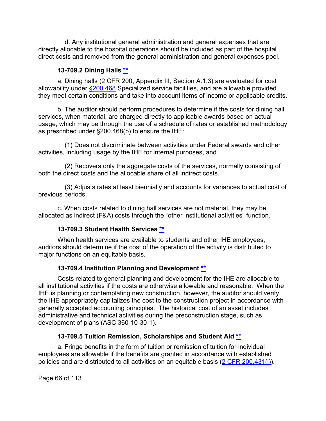d. Any institutional general administration and general expenses that are directly allocable to the hospital operations should be included as part of the hospital direct costs and removed from the general administration and general expenses pool.

### **13-709.2 Dining Halls [\\*\\*](#page-4-7)**

a. Dining halls (2 CFR 200, Appendix III, Section A.1.3) are evaluated for cost allowability under [§200.468](https://www.ecfr.gov/cgi-bin/text-idx?SID=baffe59b936da5ebd779dcbc10f4ada1&mc=true&node=se2.1.200_1468&rgn=div8) Specialized service facilities, and are allowable provided they meet certain conditions and take into account items of income or applicable credits.

b. The auditor should perform procedures to determine if the costs for dining hall services, when material, are charged directly to applicable awards based on actual usage, which may be through the use of a schedule of rates or established methodology as prescribed under §200.468(b) to ensure the IHE:

(1) Does not discriminate between activities under Federal awards and other activities, including usage by the IHE for internal purposes, and

(2) Recovers only the aggregate costs of the services, normally consisting of both the direct costs and the allocable share of all indirect costs.

(3) Adjusts rates at least biennially and accounts for variances to actual cost of previous periods.

c. When costs related to dining hall services are not material, they may be allocated as indirect (F&A) costs through the "other institutional activities" function.

### **13-709.3 Student Health Services [\\*\\*](#page-4-8)**

When health services are available to students and other IHE employees, auditors should determine if the cost of the operation of the activity is distributed to major functions on an equitable basis.

### **13-709.4 Institution Planning and Development [\\*\\*](#page-4-9)**

Costs related to general planning and development for the IHE are allocable to all institutional activities if the costs are otherwise allowable and reasonable. When the IHE is planning or contemplating new construction, however, the auditor should verify the IHE appropriately capitalizes the cost to the construction project in accordance with generally accepted accounting principles. The historical cost of an asset includes administrative and technical activities during the preconstruction stage, such as development of plans (ASC 360-10-30-1).

## **13-709.5 Tuition Remission, Scholarships and Student Aid [\\*\\*](#page-4-10)**

a. Fringe benefits in the form of tuition or remission of tuition for individual employees are allowable if the benefits are granted in accordance with established policies and are distributed to all activities on an equitable basis [\(2 CFR 200.431\(j\)\)](https://www.ecfr.gov/cgi-bin/text-idx?SID=2677acabf25ec64cec04b35eaa5d2169&mc=true&node=se2.1.200_1431&rgn=div8).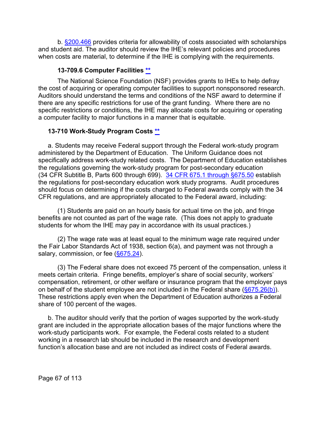b. [§200.466](https://www.ecfr.gov/cgi-bin/text-idx?SID=036c02e1e57dc56c97611bf5def8b179&mc=true&node=se2.1.200_1466&rgn=div8) provides criteria for allowability of costs associated with scholarships and student aid. The auditor should review the IHE's relevant policies and procedures when costs are material, to determine if the IHE is complying with the requirements.

### **13-709.6 Computer Facilities [\\*\\*](#page-4-11)**

The National Science Foundation (NSF) provides grants to IHEs to help defray the cost of acquiring or operating computer facilities to support nonsponsored research. Auditors should understand the terms and conditions of the NSF award to determine if there are any specific restrictions for use of the grant funding. Where there are no specific restrictions or conditions, the IHE may allocate costs for acquiring or operating a computer facility to major functions in a manner that is equitable.

#### **13-710 Work-Study Program Costs [\\*\\*](#page-4-12)**

a. Students may receive Federal support through the Federal work-study program administered by the Department of Education. The Uniform Guidance does not specifically address work-study related costs. The Department of Education establishes the regulations governing the work-study program for post-secondary education (34 CFR Subtitle B, Parts 600 through 699). [34 CFR 675.1 through §675.50](https://www.ecfr.gov/cgi-bin/text-idx?SID=ef675b01a0bed9df50b862587cc2fe04&mc=true&tpl=/ecfrbrowse/Title34/34cfr675_main_02.tpl) establish the regulations for post-secondary education work study programs. Audit procedures should focus on determining if the costs charged to Federal awards comply with the 34 CFR regulations, and are appropriately allocated to the Federal award, including:

(1) Students are paid on an hourly basis for actual time on the job, and fringe benefits are not counted as part of the wage rate. (This does not apply to graduate students for whom the IHE may pay in accordance with its usual practices.)

(2) The wage rate was at least equal to the minimum wage rate required under the Fair Labor Standards Act of 1938, section 6(a), and payment was not through a salary, commission, or fee [\(§675.24\)](https://www.ecfr.gov/cgi-bin/retrieveECFR?gp=&SID=ef675b01a0bed9df50b862587cc2fe04&mc=true&n=sp34.3.675.a&r=SUBPART&ty=HTML#se34.3.675_124).

(3) The Federal share does not exceed 75 percent of the compensation, unless it meets certain criteria. Fringe benefits, employer's share of social security, workers' compensation, retirement, or other welfare or insurance program that the employer pays on behalf of the student employee are not included in the Federal share  $(\frac{6675.26(b)}{260})$ . These restrictions apply even when the Department of Education authorizes a Federal share of 100 percent of the wages.

b. The auditor should verify that the portion of wages supported by the work-study grant are included in the appropriate allocation bases of the major functions where the work-study participants work. For example, the Federal costs related to a student working in a research lab should be included in the research and development function's allocation base and are not included as indirect costs of Federal awards.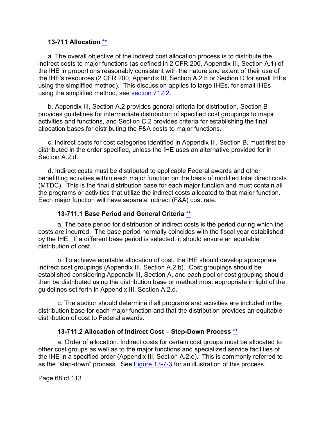#### **13-711 Allocation [\\*\\*](#page-4-13)**

a. The overall objective of the indirect cost allocation process is to distribute the indirect costs to major functions (as defined in 2 CFR 200, Appendix III, Section A.1) of the IHE in proportions reasonably consistent with the nature and extent of their use of the IHE's resources (2 CFR 200, Appendix III, Section A.2.b or Section D for small IHEs using the simplified method). This discussion applies to large IHEs, for small IHEs using the simplified method, see [section 712.2.](#page-71-0)

b. Appendix III, Section A.2 provides general criteria for distribution, Section B provides guidelines for intermediate distribution of specified cost groupings to major activities and functions, and Section C.2 provides criteria for establishing the final allocation bases for distributing the F&A costs to major functions.

c. Indirect costs for cost categories identified in Appendix III, Section B, must first be distributed in the order specified, unless the IHE uses an alternative provided for in Section A.2.d.

d. Indirect costs must be distributed to applicable Federal awards and other benefitting activities within each major function on the basis of modified total direct costs (MTDC). This is the final distribution base for each major function and must contain all the programs or activities that utilize the indirect costs allocated to that major function. Each major function will have separate indirect (F&A) cost rate.

#### **13-711.1 Base Period and General Criteria [\\*\\*](#page-4-14)**

a. The base period for distribution of indirect costs is the period during which the costs are incurred. The base period normally coincides with the fiscal year established by the IHE. If a different base period is selected, it should ensure an equitable distribution of cost.

b. To achieve equitable allocation of cost, the IHE should develop appropriate indirect cost groupings (Appendix III, Section A.2.b). Cost groupings should be established considering Appendix III, Section A, and each pool or cost grouping should then be distributed using the distribution base or method most appropriate in light of the guidelines set forth in Appendix III, Section A.2.d.

c. The auditor should determine if all programs and activities are included in the distribution base for each major function and that the distribution provides an equitable distribution of cost to Federal awards.

#### **13-711.2 Allocation of Indirect Cost – Step-Down Process [\\*\\*](#page-4-15)**

a. Order of allocation. Indirect costs for certain cost groups must be allocated to other cost groups as well as to the major functions and specialized service facilities of the IHE in a specified order (Appendix III, Section A.2.e). This is commonly referred to as the "step-down" process. See [Figure 13-7-3](#page-80-0) for an illustration of this process.

Page 68 of 113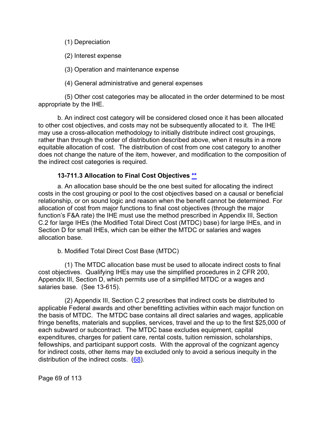(1) Depreciation

(2) Interest expense

(3) Operation and maintenance expense

(4) General administrative and general expenses

(5) Other cost categories may be allocated in the order determined to be most appropriate by the IHE.

b. An indirect cost category will be considered closed once it has been allocated to other cost objectives, and costs may not be subsequently allocated to it. The IHE may use a cross-allocation methodology to initially distribute indirect cost groupings, rather than through the order of distribution described above, when it results in a more equitable allocation of cost. The distribution of cost from one cost category to another does not change the nature of the item, however, and modification to the composition of the indirect cost categories is required.

#### **13-711.3 Allocation to Final Cost Objectives [\\*\\*](#page-4-16)**

a. An allocation base should be the one best suited for allocating the indirect costs in the cost grouping or pool to the cost objectives based on a causal or beneficial relationship, or on sound logic and reason when the benefit cannot be determined. For allocation of cost from major functions to final cost objectives (through the major function's F&A rate) the IHE must use the method prescribed in Appendix III, Section C.2 for large IHEs (the Modified Total Direct Cost (MTDC) base) for large IHEs, and in Section D for small IHEs, which can be either the MTDC or salaries and wages allocation base.

b. Modified Total Direct Cost Base (MTDC)

(1) The MTDC allocation base must be used to allocate indirect costs to final cost objectives. Qualifying IHEs may use the simplified procedures in 2 CFR 200, Appendix III, Section D, which permits use of a simplified MTDC or a wages and salaries base. (See 13-615).

(2) Appendix III, Section C.2 prescribes that indirect costs be distributed to applicable Federal awards and other benefitting activities within each major function on the basis of MTDC. The MTDC base contains all direct salaries and wages, applicable fringe benefits, materials and supplies, services, travel and the up to the first \$25,000 of each subward or subcontract. The MTDC base excludes equipment, capital expenditures, charges for patient care, rental costs, tuition remission, scholarships, fellowships, and participant support costs. With the approval of the cognizant agency for indirect costs, other items may be excluded only to avoid a serious inequity in the distribution of the indirect costs. (68).

Page 69 of 113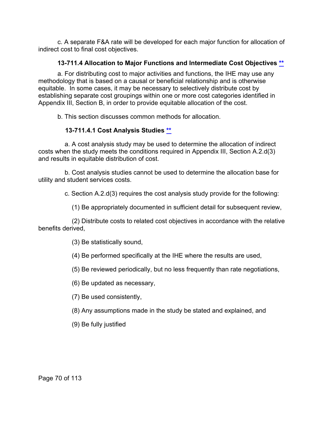c. A separate F&A rate will be developed for each major function for allocation of indirect cost to final cost objectives.

## **13-711.4 Allocation to Major Functions and Intermediate Cost Objectives [\\*\\*](#page-4-17)**

a. For distributing cost to major activities and functions, the IHE may use any methodology that is based on a causal or beneficial relationship and is otherwise equitable. In some cases, it may be necessary to selectively distribute cost by establishing separate cost groupings within one or more cost categories identified in Appendix III, Section B, in order to provide equitable allocation of the cost.

b. This section discusses common methods for allocation.

## **13-711.4.1 Cost Analysis Studies [\\*\\*](#page-4-18)**

a. A cost analysis study may be used to determine the allocation of indirect costs when the study meets the conditions required in Appendix III, Section A.2.d(3) and results in equitable distribution of cost.

b. Cost analysis studies cannot be used to determine the allocation base for utility and student services costs.

c. Section A.2.d(3) requires the cost analysis study provide for the following:

(1) Be appropriately documented in sufficient detail for subsequent review,

(2) Distribute costs to related cost objectives in accordance with the relative benefits derived,

(3) Be statistically sound,

- (4) Be performed specifically at the IHE where the results are used,
- (5) Be reviewed periodically, but no less frequently than rate negotiations,
- (6) Be updated as necessary,
- (7) Be used consistently,
- (8) Any assumptions made in the study be stated and explained, and
- (9) Be fully justified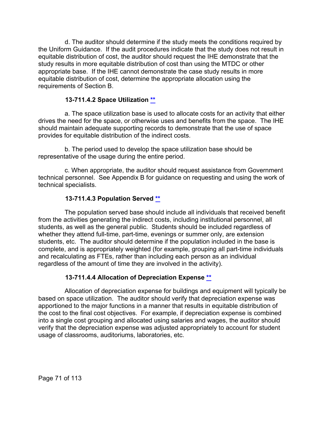d. The auditor should determine if the study meets the conditions required by the Uniform Guidance. If the audit procedures indicate that the study does not result in equitable distribution of cost, the auditor should request the IHE demonstrate that the study results in more equitable distribution of cost than using the MTDC or other appropriate base. If the IHE cannot demonstrate the case study results in more equitable distribution of cost, determine the appropriate allocation using the requirements of Section B.

### **13-711.4.2 Space Utilization [\\*\\*](#page-4-19)**

a. The space utilization base is used to allocate costs for an activity that either drives the need for the space, or otherwise uses and benefits from the space. The IHE should maintain adequate supporting records to demonstrate that the use of space provides for equitable distribution of the indirect costs.

b. The period used to develop the space utilization base should be representative of the usage during the entire period.

c. When appropriate, the auditor should request assistance from Government technical personnel. See Appendix B for guidance on requesting and using the work of technical specialists.

## **13-711.4.3 Population Served [\\*\\*](#page-4-20)**

The population served base should include all individuals that received benefit from the activities generating the indirect costs, including institutional personnel, all students, as well as the general public. Students should be included regardless of whether they attend full-time, part-time, evenings or summer only, are extension students, etc. The auditor should determine if the population included in the base is complete, and is appropriately weighted (for example, grouping all part-time individuals and recalculating as FTEs, rather than including each person as an individual regardless of the amount of time they are involved in the activity).

## **13-711.4.4 Allocation of Depreciation Expense [\\*\\*](#page-4-21)**

Allocation of depreciation expense for buildings and equipment will typically be based on space utilization. The auditor should verify that depreciation expense was apportioned to the major functions in a manner that results in equitable distribution of the cost to the final cost objectives. For example, if depreciation expense is combined into a single cost grouping and allocated using salaries and wages, the auditor should verify that the depreciation expense was adjusted appropriately to account for student usage of classrooms, auditoriums, laboratories, etc.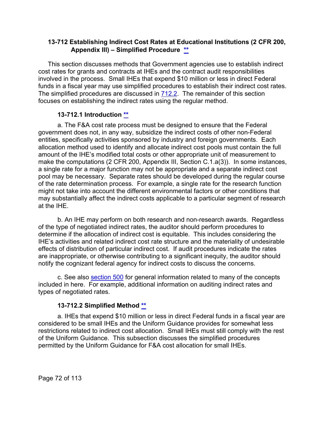### **13-712 Establishing Indirect Cost Rates at Educational Institutions (2 CFR 200, Appendix III) – Simplified Procedure [\\*\\*](#page-4-22)**

This section discusses methods that Government agencies use to establish indirect cost rates for grants and contracts at IHEs and the contract audit responsibilities involved in the process. Small IHEs that expend \$10 million or less in direct Federal funds in a fiscal year may use simplified procedures to establish their indirect cost rates. The simplified procedures are discussed in [712.2.](#page-71-0) The remainder of this section focuses on establishing the indirect rates using the regular method.

### **13-712.1 Introduction [\\*\\*](#page-4-23)**

a. The F&A cost rate process must be designed to ensure that the Federal government does not, in any way, subsidize the indirect costs of other non-Federal entities, specifically activities sponsored by industry and foreign governments. Each allocation method used to identify and allocate indirect cost pools must contain the full amount of the IHE's modified total costs or other appropriate unit of measurement to make the computations (2 CFR 200, Appendix III, Section C.1.a(3)). In some instances, a single rate for a major function may not be appropriate and a separate indirect cost pool may be necessary. Separate rates should be developed during the regular course of the rate determination process. For example, a single rate for the research function might not take into account the different environmental factors or other conditions that may substantially affect the indirect costs applicable to a particular segment of research at the IHE.

b. An IHE may perform on both research and non-research awards. Regardless of the type of negotiated indirect rates, the auditor should perform procedures to determine if the allocation of indirect cost is equitable. This includes considering the IHE's activities and related indirect cost rate structure and the materiality of undesirable effects of distribution of particular indirect cost. If audit procedures indicate the rates are inappropriate, or otherwise contributing to a significant inequity, the auditor should notify the cognizant federal agency for indirect costs to discuss the concerns.

c. See also [section 500](#page-17-0) for general information related to many of the concepts included in here. For example, additional information on auditing indirect rates and types of negotiated rates.

### <span id="page-71-0"></span>**13-712.2 Simplified Method [\\*\\*](#page-4-24)**

a. IHEs that expend \$10 million or less in direct Federal funds in a fiscal year are considered to be small IHEs and the Uniform Guidance provides for somewhat less restrictions related to indirect cost allocation. Small IHEs must still comply with the rest of the Uniform Guidance. This subsection discusses the simplified procedures permitted by the Uniform Guidance for F&A cost allocation for small IHEs.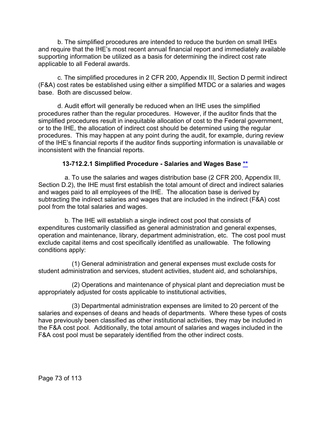b. The simplified procedures are intended to reduce the burden on small IHEs and require that the IHE's most recent annual financial report and immediately available supporting information be utilized as a basis for determining the indirect cost rate applicable to all Federal awards.

c. The simplified procedures in 2 CFR 200, Appendix III, Section D permit indirect (F&A) cost rates be established using either a simplified MTDC or a salaries and wages base. Both are discussed below.

d. Audit effort will generally be reduced when an IHE uses the simplified procedures rather than the regular procedures. However, if the auditor finds that the simplified procedures result in inequitable allocation of cost to the Federal government, or to the IHE, the allocation of indirect cost should be determined using the regular procedures. This may happen at any point during the audit, for example, during review of the IHE's financial reports if the auditor finds supporting information is unavailable or inconsistent with the financial reports.

## **13-712.2.1 Simplified Procedure - Salaries and Wages Base [\\*\\*](#page-4-0)**

a. To use the salaries and wages distribution base (2 CFR 200, Appendix III, Section D.2), the IHE must first establish the total amount of direct and indirect salaries and wages paid to all employees of the IHE. The allocation base is derived by subtracting the indirect salaries and wages that are included in the indirect (F&A) cost pool from the total salaries and wages.

b. The IHE will establish a single indirect cost pool that consists of expenditures customarily classified as general administration and general expenses, operation and maintenance, library, department administration, etc. The cost pool must exclude capital items and cost specifically identified as unallowable. The following conditions apply:

(1) General administration and general expenses must exclude costs for student administration and services, student activities, student aid, and scholarships,

(2) Operations and maintenance of physical plant and depreciation must be appropriately adjusted for costs applicable to institutional activities,

(3) Departmental administration expenses are limited to 20 percent of the salaries and expenses of deans and heads of departments. Where these types of costs have previously been classified as other institutional activities, they may be included in the F&A cost pool. Additionally, the total amount of salaries and wages included in the F&A cost pool must be separately identified from the other indirect costs.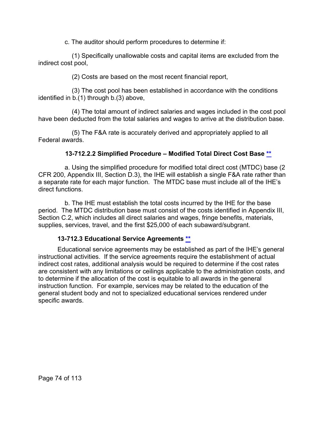c. The auditor should perform procedures to determine if:

(1) Specifically unallowable costs and capital items are excluded from the indirect cost pool,

(2) Costs are based on the most recent financial report,

(3) The cost pool has been established in accordance with the conditions identified in b.(1) through b.(3) above,

(4) The total amount of indirect salaries and wages included in the cost pool have been deducted from the total salaries and wages to arrive at the distribution base.

(5) The F&A rate is accurately derived and appropriately applied to all Federal awards.

## **13-712.2.2 Simplified Procedure – Modified Total Direct Cost Base [\\*\\*](#page-4-1)**

a. Using the simplified procedure for modified total direct cost (MTDC) base (2 CFR 200, Appendix III, Section D.3), the IHE will establish a single F&A rate rather than a separate rate for each major function. The MTDC base must include all of the IHE's direct functions.

b. The IHE must establish the total costs incurred by the IHE for the base period. The MTDC distribution base must consist of the costs identified in Appendix III, Section C.2, which includes all direct salaries and wages, fringe benefits, materials, supplies, services, travel, and the first \$25,000 of each subaward/subgrant.

## **13-712.3 Educational Service Agreements [\\*\\*](#page-4-2)**

Educational service agreements may be established as part of the IHE's general instructional activities. If the service agreements require the establishment of actual indirect cost rates, additional analysis would be required to determine if the cost rates are consistent with any limitations or ceilings applicable to the administration costs, and to determine if the allocation of the cost is equitable to all awards in the general instruction function. For example, services may be related to the education of the general student body and not to specialized educational services rendered under specific awards.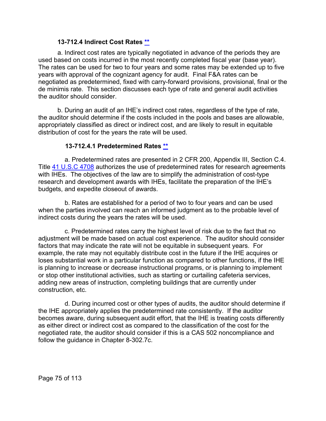#### **13-712.4 Indirect Cost Rates [\\*\\*](#page-5-0)**

a. Indirect cost rates are typically negotiated in advance of the periods they are used based on costs incurred in the most recently completed fiscal year (base year). The rates can be used for two to four years and some rates may be extended up to five years with approval of the cognizant agency for audit. Final F&A rates can be negotiated as predetermined, fixed with carry-forward provisions, provisional, final or the de minimis rate. This section discusses each type of rate and general audit activities the auditor should consider.

b. During an audit of an IHE's indirect cost rates, regardless of the type of rate, the auditor should determine if the costs included in the pools and bases are allowable, appropriately classified as direct or indirect cost, and are likely to result in equitable distribution of cost for the years the rate will be used.

## **13-712.4.1 Predetermined Rates [\\*\\*](#page-5-1)**

a. Predetermined rates are presented in 2 CFR 200, Appendix III, Section C.4. Title [41 U.S.C 4708](http://uscode.house.gov/view.xhtml?req=granuleid:USC-prelim-title41-section4708&num=0&edition=prelim) authorizes the use of predetermined rates for research agreements with IHEs. The objectives of the law are to simplify the administration of cost-type research and development awards with IHEs, facilitate the preparation of the IHE's budgets, and expedite closeout of awards.

b. Rates are established for a period of two to four years and can be used when the parties involved can reach an informed judgment as to the probable level of indirect costs during the years the rates will be used.

c. Predetermined rates carry the highest level of risk due to the fact that no adjustment will be made based on actual cost experience. The auditor should consider factors that may indicate the rate will not be equitable in subsequent years. For example, the rate may not equitably distribute cost in the future if the IHE acquires or loses substantial work in a particular function as compared to other functions, if the IHE is planning to increase or decrease instructional programs, or is planning to implement or stop other institutional activities, such as starting or curtailing cafeteria services, adding new areas of instruction, completing buildings that are currently under construction, etc.

d. During incurred cost or other types of audits, the auditor should determine if the IHE appropriately applies the predetermined rate consistently. If the auditor becomes aware, during subsequent audit effort, that the IHE is treating costs differently as either direct or indirect cost as compared to the classification of the cost for the negotiated rate, the auditor should consider if this is a CAS 502 noncompliance and follow the guidance in Chapter 8-302.7c.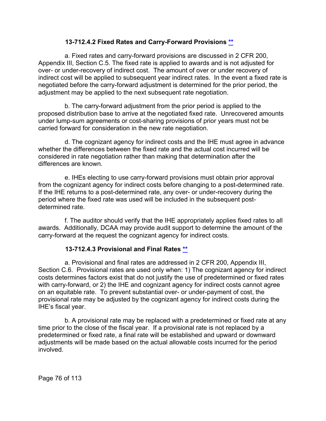#### **13-712.4.2 Fixed Rates and Carry-Forward Provisions [\\*\\*](#page-5-2)**

a. Fixed rates and carry-forward provisions are discussed in 2 CFR 200, Appendix III, Section C.5. The fixed rate is applied to awards and is not adjusted for over- or under-recovery of indirect cost. The amount of over or under recovery of indirect cost will be applied to subsequent year indirect rates. In the event a fixed rate is negotiated before the carry-forward adjustment is determined for the prior period, the adjustment may be applied to the next subsequent rate negotiation.

b. The carry-forward adjustment from the prior period is applied to the proposed distribution base to arrive at the negotiated fixed rate. Unrecovered amounts under lump-sum agreements or cost-sharing provisions of prior years must not be carried forward for consideration in the new rate negotiation.

d. The cognizant agency for indirect costs and the IHE must agree in advance whether the differences between the fixed rate and the actual cost incurred will be considered in rate negotiation rather than making that determination after the differences are known.

e. IHEs electing to use carry-forward provisions must obtain prior approval from the cognizant agency for indirect costs before changing to a post-determined rate. If the IHE returns to a post-determined rate, any over- or under-recovery during the period where the fixed rate was used will be included in the subsequent postdetermined rate.

f. The auditor should verify that the IHE appropriately applies fixed rates to all awards. Additionally, DCAA may provide audit support to determine the amount of the carry-forward at the request the cognizant agency for indirect costs.

## **13-712.4.3 Provisional and Final Rates [\\*\\*](#page-5-3)**

a. Provisional and final rates are addressed in 2 CFR 200, Appendix III, Section C.6. Provisional rates are used only when: 1) The cognizant agency for indirect costs determines factors exist that do not justify the use of predetermined or fixed rates with carry-forward, or 2) the IHE and cognizant agency for indirect costs cannot agree on an equitable rate. To prevent substantial over- or under-payment of cost, the provisional rate may be adjusted by the cognizant agency for indirect costs during the IHE's fiscal year.

b. A provisional rate may be replaced with a predetermined or fixed rate at any time prior to the close of the fiscal year. If a provisional rate is not replaced by a predetermined or fixed rate, a final rate will be established and upward or downward adjustments will be made based on the actual allowable costs incurred for the period involved.

Page 76 of 113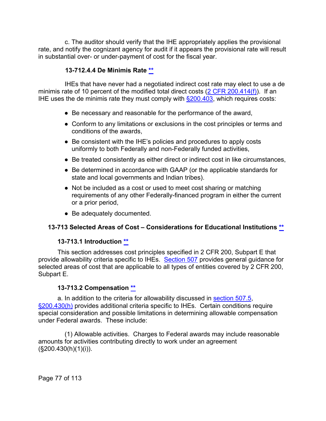c. The auditor should verify that the IHE appropriately applies the provisional rate, and notify the cognizant agency for audit if it appears the provisional rate will result in substantial over- or under-payment of cost for the fiscal year.

## **13-712.4.4 De Minimis Rate [\\*\\*](#page-5-4)**

IHEs that have never had a negotiated indirect cost rate may elect to use a de minimis rate of 10 percent of the modified total direct costs [\(2 CFR 200.414\(f\)\)](https://www.ecfr.gov/cgi-bin/text-idx?SID=4a254e55c36e7f8d80d6d80ac8f4c53d&mc=true&node=se2.1.200_1414&rgn=div8). If an IHE uses the de minimis rate they must comply with  $\S$ 200.403, which requires costs:

- Be necessary and reasonable for the performance of the award,
- Conform to any limitations or exclusions in the cost principles or terms and conditions of the awards,
- Be consistent with the IHE's policies and procedures to apply costs uniformly to both Federally and non-Federally funded activities,
- Be treated consistently as either direct or indirect cost in like circumstances,
- Be determined in accordance with GAAP (or the applicable standards for state and local governments and Indian tribes).
- Not be included as a cost or used to meet cost sharing or matching requirements of any other Federally-financed program in either the current or a prior period,
- Be adequately documented.

## **13-713 Selected Areas of Cost – Considerations for Educational Institutions [\\*\\*](#page-5-5)**

#### **13-713.1 Introduction [\\*\\*](#page-5-6)**

This section addresses cost principles specified in 2 CFR 200, Subpart E that provide allowability criteria specific to IHEs. [Section 507](#page-27-0) provides general guidance for selected areas of cost that are applicable to all types of entities covered by 2 CFR 200, Subpart E.

## **13-713.2 Compensation [\\*\\*](#page-5-7)**

a. In addition to the criteria for allowability discussed in [section 507.5,](#page-30-0) [§200.430\(h\)](https://www.ecfr.gov/cgi-bin/text-idx?SID=6dc5878c61c6ff444c678c370a4dc3bb&mc=true&node=se2.1.200_1430&rgn=div8) provides additional criteria specific to IHEs. Certain conditions require special consideration and possible limitations in determining allowable compensation under Federal awards. These include:

(1) Allowable activities. Charges to Federal awards may include reasonable amounts for activities contributing directly to work under an agreement  $(S200.430(h)(1)(i))$ .

Page 77 of 113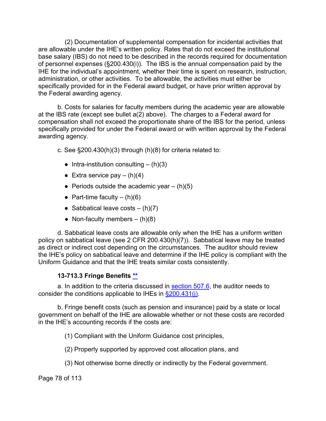(2) Documentation of supplemental compensation for incidental activities that are allowable under the IHE's written policy. Rates that do not exceed the institutional base salary (IBS) do not need to be described in the records required for documentation of personnel expenses (§200.430(i)). The IBS is the annual compensation paid by the IHE for the individual's appointment, whether their time is spent on research, instruction, administration, or other activities. To be allowable, the activities must either be specifically provided for in the Federal award budget, or have prior written approval by the Federal awarding agency.

b. Costs for salaries for faculty members during the academic year are allowable at the IBS rate (except see bullet a(2) above). The charges to a Federal award for compensation shall not exceed the proportionate share of the IBS for the period, unless specifically provided for under the Federal award or with written approval by the Federal awarding agency.

c. See §200.430(h)(3) through (h)(8) for criteria related to:

- $\bullet$  Intra-institution consulting  $-$  (h)(3)
- Extra service pay  $(h)(4)$
- Periods outside the academic year  $-$  (h)(5)
- Part-time faculty  $(h)(6)$
- Sabbatical leave costs  $(h)(7)$
- Non-faculty members  $(h)(8)$

d. Sabbatical leave costs are allowable only when the IHE has a uniform written policy on sabbatical leave (see 2 CFR 200.430(h)(7)). Sabbatical leave may be treated as direct or indirect cost depending on the circumstances. The auditor should review the IHE's policy on sabbatical leave and determine if the IHE policy is compliant with the Uniform Guidance and that the IHE treats similar costs consistently.

#### **13-713.3 Fringe Benefits [\\*\\*](#page-5-8)**

a. In addition to the criteria discussed in [section 507.6,](#page-34-0) the auditor needs to consider the conditions applicable to IHEs in [§200.431\(j\).](https://www.ecfr.gov/cgi-bin/text-idx?SID=f08842fab83ea3459530753e08170f8c&mc=true&node=se2.1.200_1431&rgn=div8)

b. Fringe benefit costs (such as pension and insurance) paid by a state or local government on behalf of the IHE are allowable whether or not these costs are recorded in the IHE's accounting records if the costs are:

(1) Compliant with the Uniform Guidance cost principles,

(2) Properly supported by approved cost allocation plans, and

(3) Not otherwise borne directly or indirectly by the Federal government.

Page 78 of 113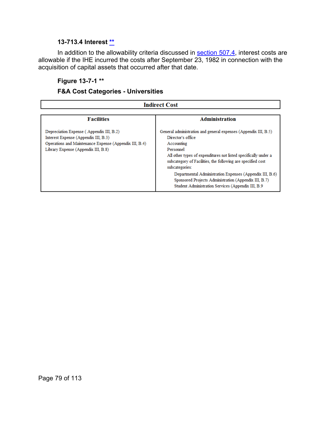## **13-713.4 Interest [\\*\\*](#page-5-9)**

In addition to the allowability criteria discussed in <u>section 507.4</u>, interest costs are allowable if the IHE incurred the costs after September 23, 1982 in connection with the acquisition of capital assets that occurred after that date.

## **Figure 13-7-1 [\\*\\*](#page-5-10)**

| <b>Indirect Cost</b>                                                                                                                                                              |                                                                                                                                                                                                                                                                                                                                                                                                                                                 |  |  |  |  |  |
|-----------------------------------------------------------------------------------------------------------------------------------------------------------------------------------|-------------------------------------------------------------------------------------------------------------------------------------------------------------------------------------------------------------------------------------------------------------------------------------------------------------------------------------------------------------------------------------------------------------------------------------------------|--|--|--|--|--|
| <b>Facilities</b>                                                                                                                                                                 | <b>Administration</b>                                                                                                                                                                                                                                                                                                                                                                                                                           |  |  |  |  |  |
| Depreciation Expense (Appendix III, B.2)<br>Interest Expense (Appendix III, B.3)<br>Operations and Maintenance Expense (Appendix III, B.4)<br>Library Expense (Appendix III, B.8) | General administration and general expenses (Appendix III, B.5)<br>Director's office<br>Accounting<br>Personnel<br>All other types of expenditures not listed specifically under a<br>subcategory of Facilities, the following are specified cost<br>subcategories:<br>Departmental Administration Expenses (Appendix III, B.6)<br>Sponsored Projects Administration (Appendix III, B.7)<br>Student Administration Services (Appendix III, B.9) |  |  |  |  |  |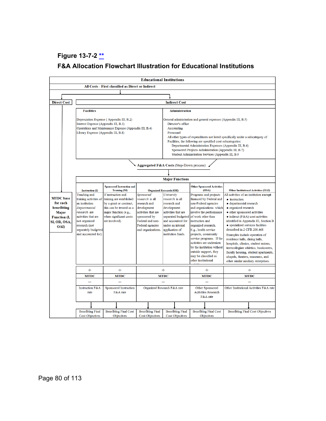# **Figure 13-7-2 [\\*\\*](#page-5-11)**

## **F&A Allocation Flowchart Illustration for Educational Institutions**

| <b>Educational Institutions</b>          |                                                                                                                   |                                                          |                             |                                                                                     |                                                                 |                                                                                |  |  |  |  |  |  |
|------------------------------------------|-------------------------------------------------------------------------------------------------------------------|----------------------------------------------------------|-----------------------------|-------------------------------------------------------------------------------------|-----------------------------------------------------------------|--------------------------------------------------------------------------------|--|--|--|--|--|--|
|                                          |                                                                                                                   | All Costs - First classified as Direct or Indirect       |                             |                                                                                     |                                                                 |                                                                                |  |  |  |  |  |  |
|                                          |                                                                                                                   |                                                          |                             |                                                                                     |                                                                 |                                                                                |  |  |  |  |  |  |
|                                          |                                                                                                                   |                                                          |                             |                                                                                     |                                                                 |                                                                                |  |  |  |  |  |  |
| <b>Direct Cost</b>                       | <b>Indirect Cost</b>                                                                                              |                                                          |                             |                                                                                     |                                                                 |                                                                                |  |  |  |  |  |  |
|                                          | <b>Facilities</b><br><b>Administration</b>                                                                        |                                                          |                             |                                                                                     |                                                                 |                                                                                |  |  |  |  |  |  |
|                                          |                                                                                                                   |                                                          |                             |                                                                                     |                                                                 |                                                                                |  |  |  |  |  |  |
|                                          |                                                                                                                   | Depreciation Expense (Appendix III, B.2)                 |                             |                                                                                     | General administration and general expenses (Appendix III, B.5) |                                                                                |  |  |  |  |  |  |
|                                          | Interest Expense (Appendix III, B.3)                                                                              | Operations and Maintenance Expense (Appendix III, B.4)   |                             | Director's office                                                                   |                                                                 |                                                                                |  |  |  |  |  |  |
|                                          | Library Expense (Appendix III, B.8)                                                                               |                                                          |                             | Accounting<br>Personnel                                                             |                                                                 |                                                                                |  |  |  |  |  |  |
|                                          |                                                                                                                   |                                                          |                             |                                                                                     |                                                                 | All other types of expenditures not listed specifically under a subcategory of |  |  |  |  |  |  |
|                                          |                                                                                                                   |                                                          |                             |                                                                                     | Facilities, the following are specified cost subcategories:     |                                                                                |  |  |  |  |  |  |
|                                          | Departmental Administration Expenses (Appendix III, B.6)<br>Sponsored Projects Administration (Appendix III, B.7) |                                                          |                             |                                                                                     |                                                                 |                                                                                |  |  |  |  |  |  |
|                                          |                                                                                                                   |                                                          |                             |                                                                                     | Student Administration Services (Appendix III, B.9              |                                                                                |  |  |  |  |  |  |
|                                          |                                                                                                                   |                                                          |                             |                                                                                     |                                                                 |                                                                                |  |  |  |  |  |  |
| Aggregated F&A Costs (Step-Down process) |                                                                                                                   |                                                          |                             |                                                                                     |                                                                 |                                                                                |  |  |  |  |  |  |
|                                          |                                                                                                                   |                                                          |                             |                                                                                     |                                                                 |                                                                                |  |  |  |  |  |  |
|                                          |                                                                                                                   |                                                          |                             | <b>Major Functions</b>                                                              |                                                                 |                                                                                |  |  |  |  |  |  |
|                                          | <b>Instruction (I)</b>                                                                                            | <b>Sponsored Instruction and</b><br><b>Training (SI)</b> |                             | <b>Organized Research (OR)</b>                                                      | <b>Other Sponsored Activities</b><br>(OSA)                      | <b>Other Institutional Activities (OAI)</b>                                    |  |  |  |  |  |  |
|                                          | Teaching and                                                                                                      | If instruction and                                       | Sponsored                   | University                                                                          | Programs and projects                                           | All activities of an institution except                                        |  |  |  |  |  |  |
| <b>MTDC</b> base                         | training activities of                                                                                            | training are established                                 | research is all             | research is all                                                                     | financed by Federal and                                         | • instruction                                                                  |  |  |  |  |  |  |
| for each<br>benefitting                  | an institution<br>Departmental                                                                                    | by a grant or contract,<br>this can be treated as a      | research and<br>development | research and<br>development                                                         | non-Federal agencies<br>and organizations which                 | • departmental research<br>• organized research                                |  |  |  |  |  |  |
| <b>Major</b>                             | research are                                                                                                      | major function (e.g.,                                    | activities that are         | activities that are                                                                 | involve the performance                                         | · other sponsored activities                                                   |  |  |  |  |  |  |
| <b>Function (I,</b>                      | activities that are                                                                                               | when significant costs                                   | sponsored by                | separated budgeted                                                                  | of work other than                                              | $\bullet$ indirect (F&A) cost activities                                       |  |  |  |  |  |  |
| SI, OR, OSA,                             | not organized                                                                                                     | are involved).                                           | Federal and non-            | and accounted for                                                                   | instruction and                                                 | identified in Appendix III, Section B                                          |  |  |  |  |  |  |
| <b>OAI</b> )                             | research (not                                                                                                     |                                                          | Federal agencies            | under an internal<br>organized research.                                            |                                                                 | • specialized services facilities                                              |  |  |  |  |  |  |
|                                          | separately budgeted<br>and accounted for).                                                                        |                                                          | and organizations.          | application of<br>E.g., health service<br>institution funds.<br>projects, community |                                                                 | described in 2 CFR 200.468                                                     |  |  |  |  |  |  |
|                                          |                                                                                                                   |                                                          |                             |                                                                                     | service programs. If the                                        | Examples include operation of<br>residence halls, dining halls,                |  |  |  |  |  |  |
|                                          |                                                                                                                   |                                                          |                             |                                                                                     | activities are underaken                                        | hospitals, climics, student unions,                                            |  |  |  |  |  |  |
|                                          |                                                                                                                   |                                                          |                             |                                                                                     | by the institution without                                      | intercollegiate athletics, bookstores,                                         |  |  |  |  |  |  |
|                                          |                                                                                                                   |                                                          |                             |                                                                                     | outside support, they                                           | faculty housing, student apartments,                                           |  |  |  |  |  |  |
|                                          |                                                                                                                   |                                                          |                             |                                                                                     | may be classified as<br>other institutional                     | chapels, theaters, museums, and<br>other similar auxiliary enterprises.        |  |  |  |  |  |  |
|                                          |                                                                                                                   |                                                          |                             |                                                                                     |                                                                 |                                                                                |  |  |  |  |  |  |
|                                          | ÷                                                                                                                 | ÷                                                        |                             | ÷                                                                                   | ÷                                                               | ÷                                                                              |  |  |  |  |  |  |
|                                          | <b>MTDC</b>                                                                                                       | <b>MTDC</b>                                              |                             | <b>MTDC</b>                                                                         | <b>MTDC</b>                                                     | <b>MTDC</b>                                                                    |  |  |  |  |  |  |
|                                          |                                                                                                                   |                                                          |                             | Ξ                                                                                   |                                                                 |                                                                                |  |  |  |  |  |  |
|                                          | Instruction F&A                                                                                                   | Sponsored Instruction                                    | Organized Research F&A rate |                                                                                     | Other Sponsored                                                 | Other Institutional Activities F&A rate                                        |  |  |  |  |  |  |
|                                          | rate                                                                                                              | F&A rate                                                 |                             |                                                                                     | <b>Activities Research</b><br>F&A rate                          |                                                                                |  |  |  |  |  |  |
|                                          |                                                                                                                   |                                                          |                             |                                                                                     |                                                                 |                                                                                |  |  |  |  |  |  |
|                                          | <b>Benefitting Final</b>                                                                                          | <b>Benefitting Final Cost</b>                            | <b>Benefitting Final</b>    | <b>Benefitting Final</b>                                                            | <b>Benefitting Final Cost</b>                                   | <b>Benefitting Final Cost Objectives</b>                                       |  |  |  |  |  |  |
|                                          | Cost Objectives                                                                                                   | Objectives                                               | Cost Objectives             | Cost Objectives                                                                     | Objectives                                                      |                                                                                |  |  |  |  |  |  |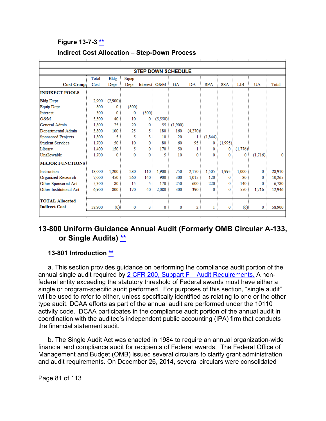## **Figure 13-7-3 [\\*\\*](#page-5-12)**

| <b>STEP DOWN SCHEDULE</b> |        |             |       |              |          |             |                |            |              |         |             |        |
|---------------------------|--------|-------------|-------|--------------|----------|-------------|----------------|------------|--------------|---------|-------------|--------|
|                           | Total  | <b>Bldg</b> | Equip |              |          |             |                |            |              |         |             |        |
| <b>Cost Group</b>         | Cost   | Depr        | Depr  | Interest O&M |          | <b>GA</b>   | DA             | <b>SPA</b> | <b>SSA</b>   | LIB     | <b>UA</b>   | Total  |
| <b>INDIRECT POOLS</b>     |        |             |       |              |          |             |                |            |              |         |             |        |
| <b>Bldg Depr</b>          | 2.900  | (2,900)     |       |              |          |             |                |            |              |         |             |        |
| Equip Depr                | 800    | 0           | (800) |              |          |             |                |            |              |         |             |        |
| Interest                  | 300    | 0           | 0     | (300)        |          |             |                |            |              |         |             |        |
| O&M                       | 5.500  | 40          | 10    | 0            | (5,550)  |             |                |            |              |         |             |        |
| General Admin             | 1.800  | 25          | 20    | 0            | 55       | (1,900)     |                |            |              |         |             |        |
| Departmental Admin        | 3.800  | 100         | 25    | 5            | 180      | 160         | (4,270)        |            |              |         |             |        |
| <b>Sponsored Projects</b> | 1,800  | 5           | 5     | 3            | 10       | 20          | 1              | (1, 844)   |              |         |             |        |
| <b>Student Services</b>   | 1,700  | 50          | 10    | 0            | 80       | 60          | 95             | $\bf{0}$   | (1,995)      |         |             |        |
| Library                   | 1.400  | 150         | 5     | 0            | 170      | 50          | 1              | $\bf{0}$   | 0            | (1,776) |             |        |
| Unallowable               | 1.700  | $\bf{0}$    | 0     | 0            | 5        | 10          | 0              | 0          | 0            | 0       | (1,716)     | 0      |
| <b>MAJOR FUNCTIONS</b>    |        |             |       |              |          |             |                |            |              |         |             |        |
| Instruction               | 18,000 | 1,200       | 280   | 110          | 1.900    | 750         | 2,170          | 1,505      | 1,995        | 1.000   | $\mathbf 0$ | 28,910 |
| Organized Research        | 7.000  | 450         | 260   | 140          | 900      | 300         | 1,015          | 120        | $\mathbf{0}$ | 80      | 0           | 10,265 |
| Other Sponsored Act       | 5,300  | 80          | 15    | 5            | 170      | 250         | 600            | 220        | 0            | 140     | 0           | 6,780  |
| Other Institutional Act   | 6.900  | 800         | 170   | 40           | 2,080    | 300         | 390            | $\bf{0}$   | 0            | 550     | 1,716       | 12,946 |
| <b>TOTAL Allocated</b>    |        |             |       |              |          |             |                |            |              |         |             |        |
| <b>Indirect Cost</b>      | 58,900 | (0)         | 0     | 3            | $\bf{0}$ | $\mathbf 0$ | $\overline{2}$ | 1          | 0            | (6)     | 0           | 58,900 |
|                           |        |             |       |              |          |             |                |            |              |         |             |        |

## **Indirect Cost Allocation – Step-Down Process**

## **13-800 Uniform Guidance Annual Audit (Formerly OMB Circular A-133, or Single Audits) [\\*\\*](#page-5-13)**

## **13-801 Introduction [\\*\\*](#page-5-14)**

a. This section provides guidance on performing the compliance audit portion of the annual single audit required by [2 CFR 200, Subpart F –](https://www.ecfr.gov/cgi-bin/retrieveECFR?gp=&SID=30fca21e5a11274384d152f709a627ab&mc=true&n=pt2.1.200&r=PART&ty=HTML#sp2.1.200.f) Audit Requirements. A nonfederal entity exceeding the statutory threshold of Federal awards must have either a single or program-specific audit performed. For purposes of this section, "single audit" will be used to refer to either, unless specifically identified as relating to one or the other type audit. DCAA efforts as part of the annual audit are performed under the 10110 activity code. DCAA participates in the compliance audit portion of the annual audit in coordination with the auditee's independent public accounting (IPA) firm that conducts the financial statement audit.

b. The Single Audit Act was enacted in 1984 to require an annual organization-wide financial and compliance audit for recipients of Federal awards. The Federal Office of Management and Budget (OMB) issued several circulars to clarify grant administration and audit requirements. On December 26, 2014, several circulars were consolidated

Page 81 of 113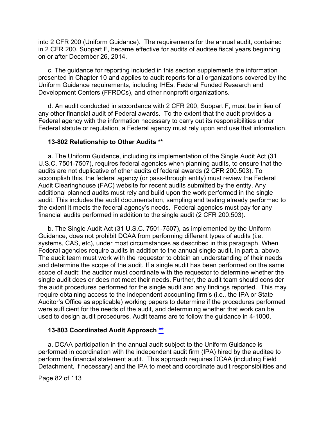into 2 CFR 200 (Uniform Guidance). The requirements for the annual audit, contained in 2 CFR 200, Subpart F, became effective for audits of auditee fiscal years beginning on or after December 26, 2014.

c. The guidance for reporting included in this section supplements the information presented in Chapter 10 and applies to audit reports for all organizations covered by the Uniform Guidance requirements, including IHEs, Federal Funded Research and Development Centers (FFRDCs), and other nonprofit organizations.

d. An audit conducted in accordance with 2 CFR 200, Subpart F, must be in lieu of any other financial audit of Federal awards. To the extent that the audit provides a Federal agency with the information necessary to carry out its responsibilities under Federal statute or regulation, a Federal agency must rely upon and use that information.

#### **13-802 Relationship to Other Audits [\\*\\*](#page-5-15)**

a. The Uniform Guidance, including its implementation of the Single Audit Act (31 U.S.C. 7501-7507), requires federal agencies when planning audits, to ensure that the audits are not duplicative of other audits of federal awards [\(2 CFR 200.503\)](https://www.ecfr.gov/cgi-bin/text-idx?SID=a1fb58164c0cd6bcbdd0c9d4dba0485c&mc=true&node=se2.1.200_1503&rgn=div8). To accomplish this, the federal agency (or pass-through entity) must review the Federal Audit Clearinghouse (FAC) website for recent audits submitted by the entity. Any additional planned audits must rely and build upon the work performed in the single audit. This includes the audit documentation, sampling and testing already performed to the extent it meets the federal agency's needs. Federal agencies must pay for any financial audits performed in addition to the single audit [\(2 CFR 200.503\)](https://www.ecfr.gov/cgi-bin/text-idx?SID=811ea1c14368a9c695d92f515647f95a&mc=true&node=se2.1.200_1503&rgn=div8).

b. The Single Audit Act (31 U.S.C. 7501-7507), as implemented by the Uniform Guidance, does not prohibit DCAA from performing different types of audits (i.e. systems, CAS, etc), under most circumstances as described in this paragraph. When Federal agencies require audits in addition to the annual single audit, in part a. above. The audit team must work with the requestor to obtain an understanding of their needs and determine the scope of the audit. If a single audit has been performed on the same scope of audit; the auditor must coordinate with the requestor to determine whether the single audit does or does not meet their needs. Further, the audit team should consider the audit procedures performed for the single audit and any findings reported. This may require obtaining access to the independent accounting firm's (i.e., the IPA or State Auditor's Office as applicable) working papers to determine if the procedures performed were sufficient for the needs of the audit, and determining whether that work can be used to design audit procedures. Audit teams are to follow the guidance in 4-1000.

#### **13-803 Coordinated Audit Approach [\\*\\*](#page-5-16)**

a. DCAA participation in the annual audit subject to the Uniform Guidance is performed in coordination with the independent audit firm (IPA) hired by the auditee to perform the financial statement audit. This approach requires DCAA (including Field Detachment, if necessary) and the IPA to meet and coordinate audit responsibilities and

Page 82 of 113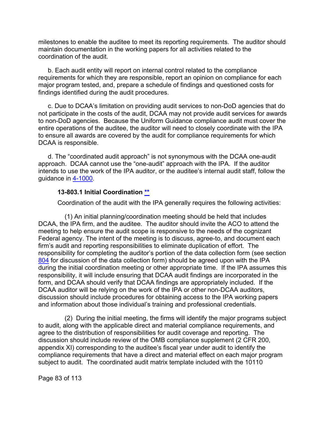milestones to enable the auditee to meet its reporting requirements. The auditor should maintain documentation in the working papers for all activities related to the coordination of the audit.

b. Each audit entity will report on internal control related to the compliance requirements for which they are responsible, report an opinion on compliance for each major program tested, and, prepare a schedule of findings and questioned costs for findings identified during the audit procedures.

c. Due to DCAA's limitation on providing audit services to non-DoD agencies that do not participate in the costs of the audit, DCAA may not provide audit services for awards to non-DoD agencies. Because the Uniform Guidance compliance audit must cover the entire operations of the auditee, the auditor will need to closely coordinate with the IPA to ensure all awards are covered by the audit for compliance requirements for which DCAA is responsible.

d. The "coordinated audit approach" is not synonymous with the DCAA one-audit approach. DCAA cannot use the "one-audit" approach with the IPA. If the auditor intends to use the work of the IPA auditor, or the auditee's internal audit staff, follow the guidance in [4-1000.](https://viper.dcaa.mil/guidance/cam/3130/general-audit-requirements#Section41000)

#### **13-803.1 Initial Coordination [\\*\\*](#page-5-17)**

Coordination of the audit with the IPA generally requires the following activities:

(1) An initial planning/coordination meeting should be held that includes DCAA, the IPA firm, and the auditee. The auditor should invite the ACO to attend the meeting to help ensure the audit scope is responsive to the needs of the cognizant Federal agency. The intent of the meeting is to discuss, agree-to, and document each firm's audit and reporting responsibilities to eliminate duplication of effort. The responsibility for completing the auditor's portion of the data collection form (see section [804](#page-83-0) for discussion of the data collection form) should be agreed upon with the IPA during the initial coordination meeting or other appropriate time. If the IPA assumes this responsibility, it will include ensuring that DCAA audit findings are incorporated in the form, and DCAA should verify that DCAA findings are appropriately included. If the DCAA auditor will be relying on the work of the IPA or other non-DCAA auditors, discussion should include procedures for obtaining access to the IPA working papers and information about those individual's training and professional credentials.

(2) During the initial meeting, the firms will identify the major programs subject to audit, along with the applicable direct and material compliance requirements, and agree to the distribution of responsibilities for audit coverage and reporting. The discussion should include review of the OMB compliance supplement (2 CFR 200, appendix XI) corresponding to the auditee's fiscal year under audit to identify the compliance requirements that have a direct and material effect on each major program subject to audit. The coordinated audit matrix template included with the 10110

Page 83 of 113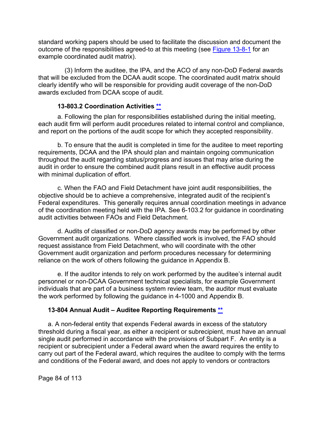standard working papers should be used to facilitate the discussion and document the outcome of the responsibilities agreed-to at this meeting (see [Figure 13-8-1](#page-107-0) for an example coordinated audit matrix).

(3) Inform the auditee, the IPA, and the ACO of any non-DoD Federal awards that will be excluded from the DCAA audit scope. The coordinated audit matrix should clearly identify who will be responsible for providing audit coverage of the non-DoD awards excluded from DCAA scope of audit.

#### **13-803.2 Coordination Activities [\\*\\*](#page-5-18)**

a. Following the plan for responsibilities established during the initial meeting, each audit firm will perform audit procedures related to internal control and compliance, and report on the portions of the audit scope for which they accepted responsibility.

b. To ensure that the audit is completed in time for the auditee to meet reporting requirements, DCAA and the IPA should plan and maintain ongoing communication throughout the audit regarding status/progress and issues that may arise during the audit in order to ensure the combined audit plans result in an effective audit process with minimal duplication of effort.

c. When the FAO and Field Detachment have joint audit responsibilities, the objective should be to achieve a comprehensive, integrated audit of the recipient's Federal expenditures. This generally requires annual coordination meetings in advance of the coordination meeting held with the IPA. See 6-103.2 for guidance in coordinating audit activities between FAOs and Field Detachment.

d. Audits of classified or non-DoD agency awards may be performed by other Government audit organizations. Where classified work is involved, the FAO should request assistance from Field Detachment, who will coordinate with the other Government audit organization and perform procedures necessary for determining reliance on the work of others following the guidance in Appendix B.

e. If the auditor intends to rely on work performed by the auditee's internal audit personnel or non-DCAA Government technical specialists, for example Government individuals that are part of a business system review team, the auditor must evaluate the work performed by following the guidance in 4-1000 and Appendix B.

## <span id="page-83-0"></span>**13-804 Annual Audit – Auditee Reporting Requirements [\\*\\*](#page-5-19)**

a. A non-federal entity that expends Federal awards in excess of the statutory threshold during a fiscal year, as either a recipient or subrecipient, must have an annual single audit performed in accordance with the provisions of Subpart F. An entity is a recipient or subrecipient under a Federal award when the award requires the entity to carry out part of the Federal award, which requires the auditee to comply with the terms and conditions of the Federal award, and does not apply to vendors or contractors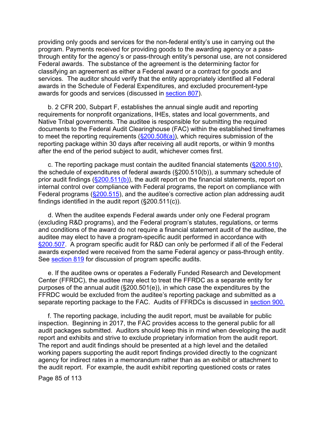providing only goods and services for the non-federal entity's use in carrying out the program. Payments received for providing goods to the awarding agency or a passthrough entity for the agency's or pass-through entity's personal use, are not considered Federal awards. The substance of the agreement is the determining factor for classifying an agreement as either a Federal award or a contract for goods and services. The auditor should verify that the entity appropriately identified all Federal awards in the Schedule of Federal Expenditures, and excluded procurement-type awards for goods and services (discussed in [section 807\)](#page-87-0).

b. 2 CFR 200, Subpart F, establishes the annual single audit and reporting requirements for nonprofit organizations, IHEs, states and local governments, and Native Tribal governments. The auditee is responsible for submitting the required documents to the Federal Audit Clearinghouse (FAC) within the established timeframes to meet the reporting requirements  $(\frac{200.508(a)}{a})$ , which requires submission of the reporting package within 30 days after receiving all audit reports, or within 9 months after the end of the period subject to audit, whichever comes first.

c. The reporting package must contain the audited financial statements  $(\frac{200.510}{\ldots})$ the schedule of expenditures of federal awards (§200.510(b)), a summary schedule of prior audit findings  $(\frac{200.511(b)}{b})$ , the audit report on the financial statements, report on internal control over compliance with Federal programs, the report on compliance with Federal programs ( $\S$ 200.515), and the auditee's corrective action plan addressing audit findings identified in the audit report (§200.511(c)).

d. When the auditee expends Federal awards under only one Federal program (excluding R&D programs), and the Federal program's statutes, regulations, or terms and conditions of the award do not require a financial statement audit of the auditee, the auditee may elect to have a program-specific audit performed in accordance with [§200.507.](https://www.ecfr.gov/cgi-bin/retrieveECFR?gp=&SID=74ca6a8fff11cb73b1cfb79d6a8cbfd0&mc=true&r=SECTION&n=se2.1.200_1507) A program specific audit for R&D can only be performed if all of the Federal awards expended were received from the same Federal agency or pass-through entity. See [section 819](#page-106-0) for discussion of program specific audits.

e. If the auditee owns or operates a Federally Funded Research and Development Center (FFRDC), the auditee may elect to treat the FFRDC as a separate entity for purposes of the annual audit (§200.501(e)), in which case the expenditures by the FFRDC would be excluded from the auditee's reporting package and submitted as a separate reporting package to the FAC. Audits of FFRDCs is discussed in [section](#page-109-0) 900.

f. The reporting package, including the audit report, must be available for public inspection. Beginning in 2017, the FAC provides access to the general public for all audit packages submitted. Auditors should keep this in mind when developing the audit report and exhibits and strive to exclude proprietary information from the audit report. The report and audit findings should be presented at a high level and the detailed working papers supporting the audit report findings provided directly to the cognizant agency for indirect rates in a memorandum rather than as an exhibit or attachment to the audit report. For example, the audit exhibit reporting questioned costs or rates

Page 85 of 113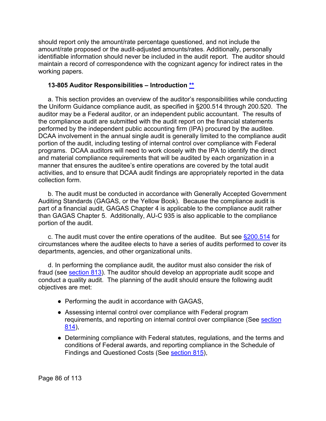should report only the amount/rate percentage questioned, and not include the amount/rate proposed or the audit-adjusted amounts/rates. Additionally, personally identifiable information should never be included in the audit report. The auditor should maintain a record of correspondence with the cognizant agency for indirect rates in the working papers.

#### **13-805 Auditor Responsibilities – Introduction [\\*\\*](#page-5-20)**

a. This section provides an overview of the auditor's responsibilities while conducting the Uniform Guidance compliance audit, as specified in §200.514 through 200.520. The auditor may be a Federal auditor, or an independent public accountant. The results of the compliance audit are submitted with the audit report on the financial statements performed by the independent public accounting firm (IPA) procured by the auditee. DCAA involvement in the annual single audit is generally limited to the compliance audit portion of the audit, including testing of internal control over compliance with Federal programs. DCAA auditors will need to work closely with the IPA to identify the direct and material compliance requirements that will be audited by each organization in a manner that ensures the auditee's entire operations are covered by the total audit activities, and to ensure that DCAA audit findings are appropriately reported in the data collection form.

b. The audit must be conducted in accordance with Generally Accepted Government Auditing Standards (GAGAS, or the Yellow Book). Because the compliance audit is part of a financial audit, GAGAS Chapter 4 is applicable to the compliance audit rather than GAGAS Chapter 5. Additionally, AU-C 935 is also applicable to the compliance portion of the audit.

c. The audit must cover the entire operations of the auditee. But see  $\S 200.514$  for circumstances where the auditee elects to have a series of audits performed to cover its departments, agencies, and other organizational units.

d. In performing the compliance audit, the auditor must also consider the risk of fraud (see [section 813\)](#page-93-0). The auditor should develop an appropriate audit scope and conduct a quality audit. The planning of the audit should ensure the following audit objectives are met:

- Performing the audit in accordance with GAGAS,
- Assessing internal control over compliance with Federal program requirements, and reporting on internal control over compliance (See [section](#page-93-1)  [814\)](#page-93-1),
- Determining compliance with Federal statutes, regulations, and the terms and conditions of Federal awards, and reporting compliance in the Schedule of Findings and Questioned Costs (See [section 815\)](#page-98-0),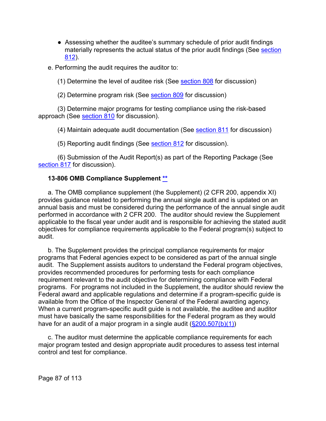- Assessing whether the auditee's summary schedule of prior audit findings materially represents the actual status of the prior audit findings (See [section](#page-92-0)  [812\)](#page-92-0).
- e. Performing the audit requires the auditor to:

(1) Determine the level of auditee risk (See **section 808** for discussion)

(2) Determine program risk (See [section 809](#page-88-0) for discussion)

(3) Determine major programs for testing compliance using the risk-based approach (See [section 810](#page-89-0) for discussion).

(4) Maintain adequate audit documentation (See [section 811](#page-92-1) for discussion)

(5) Reporting audit findings (See [section 812](#page-92-0) for discussion).

(6) Submission of the Audit Report(s) as part of the Reporting Package (See [section 817](#page-104-0) for discussion).

## <span id="page-86-0"></span>**13-806 OMB Compliance Supplement [\\*\\*](#page-5-21)**

a. The OMB compliance supplement (the Supplement) (2 CFR 200, appendix XI) provides guidance related to performing the annual single audit and is updated on an annual basis and must be considered during the performance of the annual single audit performed in accordance with 2 CFR 200. The auditor should review the Supplement applicable to the fiscal year under audit and is responsible for achieving the stated audit objectives for compliance requirements applicable to the Federal program(s) subject to audit.

b. The Supplement provides the principal compliance requirements for major programs that Federal agencies expect to be considered as part of the annual single audit. The Supplement assists auditors to understand the Federal program objectives, provides recommended procedures for performing tests for each compliance requirement relevant to the audit objective for determining compliance with Federal programs. For programs not included in the Supplement, the auditor should review the Federal award and applicable regulations and determine if a program-specific guide is available from the Office of the Inspector General of the Federal awarding agency. When a current program-specific audit guide is not available, the auditee and auditor must have basically the same responsibilities for the Federal program as they would have for an audit of a major program in a single audit  $(\frac{200.507(b)}{1})$ 

c. The auditor must determine the applicable compliance requirements for each major program tested and design appropriate audit procedures to assess test internal control and test for compliance.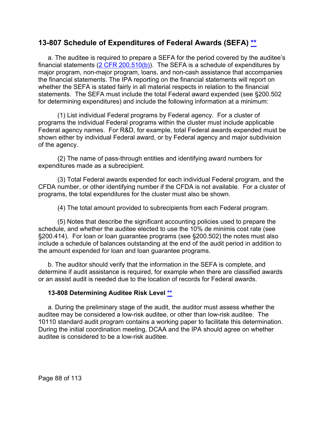## <span id="page-87-0"></span>**13-807 Schedule of Expenditures of Federal Awards (SEFA) [\\*\\*](#page-5-22)**

a. The auditee is required to prepare a SEFA for the period covered by the auditee's financial statements  $(2 \text{ CFR } 200.510(b))$ . The SEFA is a schedule of expenditures by major program, non-major program, loans, and non-cash assistance that accompanies the financial statements. The IPA reporting on the financial statements will report on whether the SEFA is stated fairly in all material respects in relation to the financial statements. The SEFA must include the total Federal award expended (see §200.502 for determining expenditures) and include the following information at a minimum:

(1) List individual Federal programs by Federal agency. For a cluster of programs the individual Federal programs within the cluster must include applicable Federal agency names. For R&D, for example, total Federal awards expended must be shown either by individual Federal award, or by Federal agency and major subdivision of the agency.

(2) The name of pass-through entities and identifying award numbers for expenditures made as a subrecipient.

(3) Total Federal awards expended for each individual Federal program, and the CFDA number, or other identifying number if the CFDA is not available. For a cluster of programs, the total expenditures for the cluster must also be shown.

(4) The total amount provided to subrecipients from each Federal program.

(5) Notes that describe the significant accounting policies used to prepare the schedule, and whether the auditee elected to use the 10% de minimis cost rate (see §200.414). For loan or loan guarantee programs (see §200.502) the notes must also include a schedule of balances outstanding at the end of the audit period in addition to the amount expended for loan and loan guarantee programs.

b. The auditor should verify that the information in the SEFA is complete, and determine if audit assistance is required, for example when there are classified awards or an assist audit is needed due to the location of records for Federal awards.

#### <span id="page-87-1"></span>**13-808 Determining Auditee Risk Level [\\*\\*](#page-5-23)**

a. During the preliminary stage of the audit, the auditor must assess whether the auditee may be considered a low-risk auditee, or other than low-risk auditee. The 10110 standard audit program contains a working paper to facilitate this determination. During the initial coordination meeting, DCAA and the IPA should agree on whether auditee is considered to be a low-risk auditee.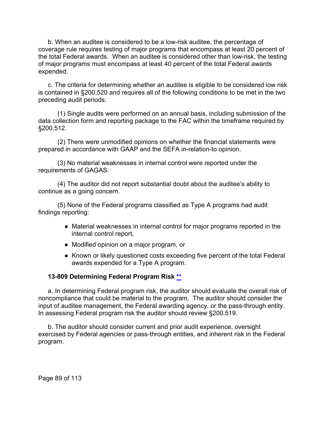b. When an auditee is considered to be a low-risk auditee, the percentage of coverage rule requires testing of major programs that encompass at least 20 percent of the total Federal awards. When an auditee is considered other than low-risk, the testing of major programs must encompass at least 40 percent of the total Federal awards expended.

c. The criteria for determining whether an auditee is eligible to be considered low risk is contained in §200.520 and requires all of the following conditions to be met in the two preceding audit periods:

(1) Single audits were performed on an annual basis, including submission of the data collection form and reporting package to the FAC within the timeframe required by §200.512.

(2) There were unmodified opinions on whether the financial statements were prepared in accordance with GAAP and the SEFA in-relation-to opinion.

(3) No material weaknesses in internal control were reported under the requirements of GAGAS.

(4) The auditor did not report substantial doubt about the auditee's ability to continue as a going concern.

(5) None of the Federal programs classified as Type A programs had audit findings reporting:

- Material weaknesses in internal control for major programs reported in the internal control report,
- Modified opinion on a major program, or
- Known or likely questioned costs exceeding five percent of the total Federal awards expended for a Type A program.

## <span id="page-88-0"></span>**13-809 Determining Federal Program Risk [\\*\\*](#page-5-24)**

a. In determining Federal program risk, the auditor should evaluate the overall risk of noncompliance that could be material to the program. The auditor should consider the input of auditee management, the Federal awarding agency, or the pass-through entity. In assessing Federal program risk the auditor should review §200.519.

b. The auditor should consider current and prior audit experience, oversight exercised by Federal agencies or pass-through entities, and inherent risk in the Federal program.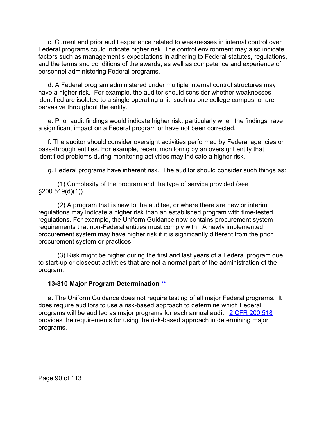c. Current and prior audit experience related to weaknesses in internal control over Federal programs could indicate higher risk. The control environment may also indicate factors such as management's expectations in adhering to Federal statutes, regulations, and the terms and conditions of the awards, as well as competence and experience of personnel administering Federal programs.

d. A Federal program administered under multiple internal control structures may have a higher risk. For example, the auditor should consider whether weaknesses identified are isolated to a single operating unit, such as one college campus, or are pervasive throughout the entity.

e. Prior audit findings would indicate higher risk, particularly when the findings have a significant impact on a Federal program or have not been corrected.

f. The auditor should consider oversight activities performed by Federal agencies or pass-through entities. For example, recent monitoring by an oversight entity that identified problems during monitoring activities may indicate a higher risk.

g. Federal programs have inherent risk. The auditor should consider such things as:

(1) Complexity of the program and the type of service provided (see §200.519(d)(1)).

(2) A program that is new to the auditee, or where there are new or interim regulations may indicate a higher risk than an established program with time-tested regulations. For example, the Uniform Guidance now contains procurement system requirements that non-Federal entities must comply with. A newly implemented procurement system may have higher risk if it is significantly different from the prior procurement system or practices.

(3) Risk might be higher during the first and last years of a Federal program due to start-up or closeout activities that are not a normal part of the administration of the program.

## <span id="page-89-0"></span>**13-810 Major Program Determination [\\*\\*](#page-5-25)**

a. The Uniform Guidance does not require testing of all major Federal programs. It does require auditors to use a risk-based approach to determine which Federal programs will be audited as major programs for each annual audit.  $2$  CFR 200.518 provides the requirements for using the risk-based approach in determining major programs.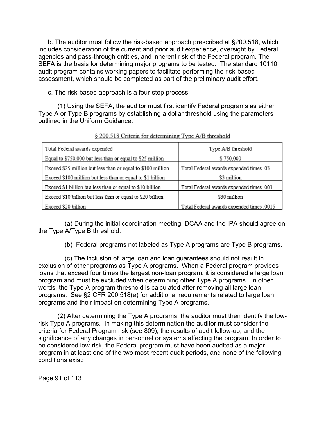b. The auditor must follow the risk-based approach prescribed at §200.518, which includes consideration of the current and prior audit experience, oversight by Federal agencies and pass-through entities, and inherent risk of the Federal program. The SEFA is the basis for determining major programs to be tested. The standard 10110 audit program contains working papers to facilitate performing the risk-based assessment, which should be completed as part of the preliminary audit effort.

c. The risk-based approach is a four-step process:

(1) Using the SEFA, the auditor must first identify Federal programs as either Type A or Type B programs by establishing a dollar threshold using the parameters outlined in the Uniform Guidance:

| Total Federal awards expended                               | Type A/B threshold                        |
|-------------------------------------------------------------|-------------------------------------------|
| Equal to \$750,000 but less than or equal to \$25 million   | \$750,000                                 |
| Exceed \$25 million but less than or equal to \$100 million | Total Federal awards expended times .03   |
| Exceed \$100 million but less than or equal to \$1 billion  | \$3 million                               |
| Exceed \$1 billion but less than or equal to \$10 billion   | Total Federal awards expended times .003  |
| Exceed \$10 billion but less than or equal to \$20 billion  | \$30 million                              |
| Exceed \$20 billion                                         | Total Federal awards expended times .0015 |

§ 200.518 Criteria for determining Type A/B threshold

(a) During the initial coordination meeting, DCAA and the IPA should agree on the Type A/Type B threshold.

(b) Federal programs not labeled as Type A programs are Type B programs.

(c) The inclusion of large loan and loan guarantees should not result in exclusion of other programs as Type A programs. When a Federal program provides loans that exceed four times the largest non-loan program, it is considered a large loan program and must be excluded when determining other Type A programs. In other words, the Type A program threshold is calculated after removing all large loan programs. See §2 CFR 200.518(e) for additional requirements related to large loan programs and their impact on determining Type A programs.

(2) After determining the Type A programs, the auditor must then identify the lowrisk Type A programs. In making this determination the auditor must consider the criteria for Federal Program risk (see 809), the results of audit follow-up, and the significance of any changes in personnel or systems affecting the program. In order to be considered low-risk, the Federal program must have been audited as a major program in at least one of the two most recent audit periods, and none of the following conditions exist:

Page 91 of 113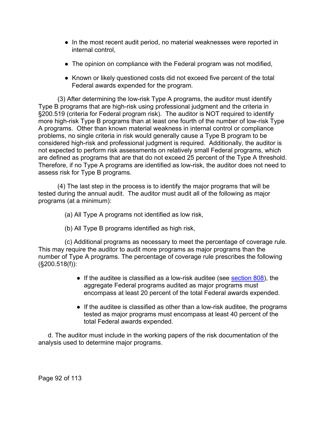- In the most recent audit period, no material weaknesses were reported in internal control,
- The opinion on compliance with the Federal program was not modified,
- Known or likely questioned costs did not exceed five percent of the total Federal awards expended for the program.

(3) After determining the low-risk Type A programs, the auditor must identify Type B programs that are high-risk using professional judgment and the criteria in §200.519 (criteria for Federal program risk). The auditor is NOT required to identify more high-risk Type B programs than at least one fourth of the number of low-risk Type A programs. Other than known material weakness in internal control or compliance problems, no single criteria in risk would generally cause a Type B program to be considered high-risk and professional judgment is required. Additionally, the auditor is not expected to perform risk assessments on relatively small Federal programs, which are defined as programs that are that do not exceed 25 percent of the Type A threshold. Therefore, if no Type A programs are identified as low-risk, the auditor does not need to assess risk for Type B programs.

(4) The last step in the process is to identify the major programs that will be tested during the annual audit. The auditor must audit all of the following as major programs (at a minimum):

- (a) All Type A programs not identified as low risk,
- (b) All Type B programs identified as high risk,

(c) Additional programs as necessary to meet the percentage of coverage rule. This may require the auditor to audit more programs as major programs than the number of Type A programs. The percentage of coverage rule prescribes the following (§200.518(f)):

- If the auditee is classified as a low-risk auditee (see [section 808\)](#page-87-1), the aggregate Federal programs audited as major programs must encompass at least 20 percent of the total Federal awards expended.
- If the auditee is classified as other than a low-risk auditee, the programs tested as major programs must encompass at least 40 percent of the total Federal awards expended.

d. The auditor must include in the working papers of the risk documentation of the analysis used to determine major programs.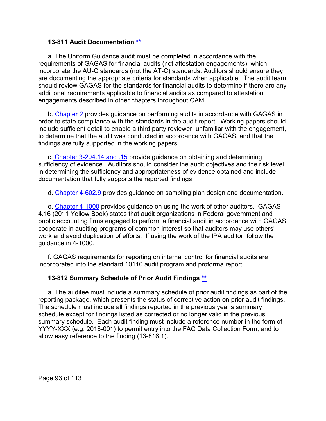#### <span id="page-92-1"></span>**13-811 Audit Documentation [\\*\\*](#page-6-0)**

a. The Uniform Guidance audit must be completed in accordance with the requirements of GAGAS for financial audits (not attestation engagements), which incorporate the AU-C standards (not the AT-C) standards. Auditors should ensure they are documenting the appropriate criteria for standards when applicable. The audit team should review GAGAS for the standards for financial audits to determine if there are any additional requirements applicable to financial audits as compared to attestation engagements described in other chapters throughout CAM.

b. [Chapter 2](https://viper.dcaa.mil/guidance/cam/3128/auditing-standards#Section2100) provides guidance on performing audits in accordance with GAGAS in order to state compliance with the standards in the audit report. Working papers should include sufficient detail to enable a third party reviewer, unfamiliar with the engagement, to determine that the audit was conducted in accordance with GAGAS, and that the findings are fully supported in the working papers.

c. [Chapter 3-204.14 and .15](https://viper.dcaa.mil/guidance/cam/3129/audit-planning#Section320414) provide guidance on obtaining and determining sufficiency of evidence. Auditors should consider the audit objectives and the risk level in determining the sufficiency and appropriateness of evidence obtained and include documentation that fully supports the reported findings.

d. [Chapter 4-602.9](https://viper.dcaa.mil/guidance/cam/3130/general-audit-requirements#Section46029) provides guidance on sampling plan design and documentation.

e. [Chapter 4-1000](https://viper.dcaa.mil/guidance/cam/3130/general-audit-requirements#Section41000) provides guidance on using the work of other auditors. GAGAS 4.16 (2011 Yellow Book) states that audit organizations in Federal government and public accounting firms engaged to perform a financial audit in accordance with GAGAS cooperate in auditing programs of common interest so that auditors may use others' work and avoid duplication of efforts. If using the work of the IPA auditor, follow the guidance in 4-1000.

f. GAGAS requirements for reporting on internal control for financial audits are incorporated into the standard 10110 audit program and proforma report.

#### <span id="page-92-0"></span>**13-812 Summary Schedule of Prior Audit Findings [\\*\\*](#page-6-1)**

a. The auditee must include a summary schedule of prior audit findings as part of the reporting package, which presents the status of corrective action on prior audit findings. The schedule must include all findings reported in the previous year's summary schedule except for findings listed as corrected or no longer valid in the previous summary schedule. Each audit finding must include a reference number in the form of YYYY-XXX (e.g. 2018-001) to permit entry into the FAC Data Collection Form, and to allow easy reference to the finding (13-816.1).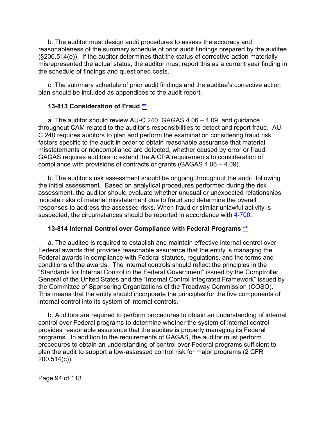b. The auditor must design audit procedures to assess the accuracy and reasonableness of the summary schedule of prior audit findings prepared by the auditee (§200.514(e)). If the auditor determines that the status of corrective action materially misrepresented the actual status, the auditor must report this as a current year finding in the schedule of findings and questioned costs.

c. The summary schedule of prior audit findings and the auditee's corrective action plan should be included as appendices to the audit report.

#### <span id="page-93-0"></span>**13-813 Consideration of Fraud [\\*\\*](#page-6-2)**

a. The auditor should review AU-C 240, GAGAS 4.06 – 4.09, and guidance throughout CAM related to the auditor's responsibilities to detect and report fraud. AU-C 240 requires auditors to plan and perform the examination considering fraud risk factors specific to the audit in order to obtain reasonable assurance that material misstatements or noncompliance are detected, whether caused by error or fraud. GAGAS requires auditors to extend the AICPA requirements to consideration of compliance with provisions of contracts or grants (GAGAS 4.06 – 4.09).

b. The auditor's risk assessment should be ongoing throughout the audit, following the initial assessment. Based on analytical procedures performed during the risk assessment, the auditor should evaluate whether unusual or unexpected relationships indicate risks of material misstatement due to fraud and determine the overall responses to address the assessed risks. When fraud or similar unlawful activity is suspected, the circumstances should be reported in accordance with [4-700.](https://viper.dcaa.mil/guidance/cam/3130/general-audit-requirements?term=reliance%20on%20the%20work%20of%20others)

#### <span id="page-93-1"></span>**13-814 Internal Control over Compliance with Federal Programs [\\*\\*](#page-6-3)**

a. The auditee is required to establish and maintain effective internal control over Federal awards that provides reasonable assurance that the entity is managing the Federal awards in compliance with Federal statutes, regulations, and the terms and conditions of the awards. The internal controls should reflect the principles in the "Standards for Internal Control in the Federal Government" issued by the Comptroller General of the United States and the "Internal Control Integrated Framework" issued by the Committee of Sponsoring Organizations of the Treadway Commission (COSO). This means that the entity should incorporate the principles for the five components of internal control into its system of internal controls.

b. Auditors are required to perform procedures to obtain an understanding of internal control over Federal programs to determine whether the system of internal control provides reasonable assurance that the auditee is properly managing its Federal programs. In addition to the requirements of GAGAS, the auditor must perform procedures to obtain an understanding of control over Federal programs sufficient to plan the audit to support a low-assessed control risk for major programs (2 CFR 200.514(c)).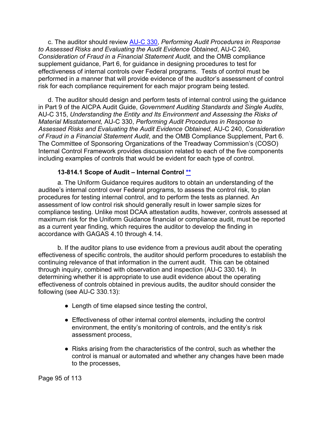c. The auditor should review [AU-C 330,](https://www.aicpa.org/research/standards/auditattest/clarifiedsas.html) *Performing Audit Procedures in Response to Assessed Risks and Evaluating the Audit Evidence Obtained*, AU-C 240, *Consideration of Fraud in a Financial Statement Audit,* and the OMB compliance supplement guidance, Part 6, for guidance in designing procedures to test for effectiveness of internal controls over Federal programs. Tests of control must be performed in a manner that will provide evidence of the auditor's assessment of control risk for each compliance requirement for each major program being tested.

d. The auditor should design and perform tests of internal control using the guidance in Part 9 of the AICPA Audit Guide, *Government Auditing Standards and Single Audits*, AU-C 315, *Understanding the Entity and Its Environment and Assessing the Risks of Material Misstatement,* AU-C 330, *Performing Audit Procedures in Response to Assessed Risks and Evaluating the Audit Evidence Obtained,* AU-C 240, *Consideration of Fraud in a Financial Statement Audit*, and the OMB Compliance Supplement, Part 6. The Committee of Sponsoring Organizations of the Treadway Commission's (COSO) Internal Control Framework provides discussion related to each of the five components including examples of controls that would be evident for each type of control.

## **13-814.1 Scope of Audit – Internal Control [\\*\\*](#page-6-4)**

a. The Uniform Guidance requires auditors to obtain an understanding of the auditee's internal control over Federal programs, to assess the control risk, to plan procedures for testing internal control, and to perform the tests as planned. An assessment of low control risk should generally result in lower sample sizes for compliance testing. Unlike most DCAA attestation audits, however, controls assessed at maximum risk for the Uniform Guidance financial or compliance audit, must be reported as a current year finding, which requires the auditor to develop the finding in accordance with GAGAS 4.10 through 4.14.

b. If the auditor plans to use evidence from a previous audit about the operating effectiveness of specific controls, the auditor should perform procedures to establish the continuing relevance of that information in the current audit. This can be obtained through inquiry, combined with observation and inspection (AU-C 330.14). In determining whether it is appropriate to use audit evidence about the operating effectiveness of controls obtained in previous audits, the auditor should consider the following (see AU-C 330.13):

- Length of time elapsed since testing the control,
- Effectiveness of other internal control elements, including the control environment, the entity's monitoring of controls, and the entity's risk assessment process,
- Risks arising from the characteristics of the control, such as whether the control is manual or automated and whether any changes have been made to the processes,

Page 95 of 113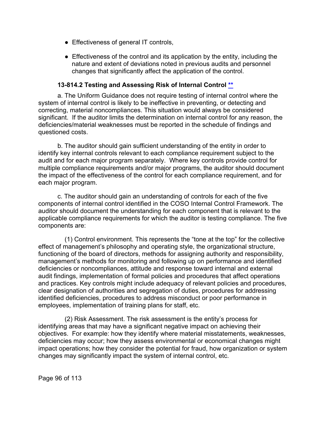- Effectiveness of general IT controls,
- Effectiveness of the control and its application by the entity, including the nature and extent of deviations noted in previous audits and personnel changes that significantly affect the application of the control.

#### **13-814.2 Testing and Assessing Risk of Internal Control [\\*\\*](#page-6-5)**

a. The Uniform Guidance does not require testing of internal control where the system of internal control is likely to be ineffective in preventing, or detecting and correcting, material noncompliances. This situation would always be considered significant. If the auditor limits the determination on internal control for any reason, the deficiencies/material weaknesses must be reported in the schedule of findings and questioned costs.

b. The auditor should gain sufficient understanding of the entity in order to identify key internal controls relevant to each compliance requirement subject to the audit and for each major program separately. Where key controls provide control for multiple compliance requirements and/or major programs, the auditor should document the impact of the effectiveness of the control for each compliance requirement, and for each major program.

c. The auditor should gain an understanding of controls for each of the five components of internal control identified in the COSO Internal Control Framework. The auditor should document the understanding for each component that is relevant to the applicable compliance requirements for which the auditor is testing compliance. The five components are:

(1) Control environment. This represents the "tone at the top" for the collective effect of management's philosophy and operating style, the organizational structure, functioning of the board of directors, methods for assigning authority and responsibility, management's methods for monitoring and following up on performance and identified deficiencies or noncompliances, attitude and response toward internal and external audit findings, implementation of formal policies and procedures that affect operations and practices. Key controls might include adequacy of relevant policies and procedures, clear designation of authorities and segregation of duties, procedures for addressing identified deficiencies, procedures to address misconduct or poor performance in employees, implementation of training plans for staff, etc.

(2) Risk Assessment. The risk assessment is the entity's process for identifying areas that may have a significant negative impact on achieving their objectives. For example: how they identify where material misstatements, weaknesses, deficiencies may occur; how they assess environmental or economical changes might impact operations; how they consider the potential for fraud, how organization or system changes may significantly impact the system of internal control, etc.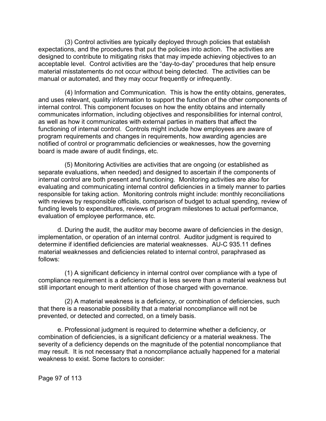(3) Control activities are typically deployed through policies that establish expectations, and the procedures that put the policies into action. The activities are designed to contribute to mitigating risks that may impede achieving objectives to an acceptable level. Control activities are the "day-to-day" procedures that help ensure material misstatements do not occur without being detected. The activities can be manual or automated, and they may occur frequently or infrequently.

(4) Information and Communication. This is how the entity obtains, generates, and uses relevant, quality information to support the function of the other components of internal control. This component focuses on how the entity obtains and internally communicates information, including objectives and responsibilities for internal control, as well as how it communicates with external parties in matters that affect the functioning of internal control. Controls might include how employees are aware of program requirements and changes in requirements, how awarding agencies are notified of control or programmatic deficiencies or weaknesses, how the governing board is made aware of audit findings, etc.

(5) Monitoring Activities are activities that are ongoing (or established as separate evaluations, when needed) and designed to ascertain if the components of internal control are both present and functioning. Monitoring activities are also for evaluating and communicating internal control deficiencies in a timely manner to parties responsible for taking action. Monitoring controls might include: monthly reconciliations with reviews by responsible officials, comparison of budget to actual spending, review of funding levels to expenditures, reviews of program milestones to actual performance, evaluation of employee performance, etc.

d. During the audit, the auditor may become aware of deficiencies in the design, implementation, or operation of an internal control. Auditor judgment is required to determine if identified deficiencies are material weaknesses. AU-C 935.11 defines material weaknesses and deficiencies related to internal control, paraphrased as follows:

(1) A significant deficiency in internal control over compliance with a type of compliance requirement is a deficiency that is less severe than a material weakness but still important enough to merit attention of those charged with governance.

(2) A material weakness is a deficiency, or combination of deficiencies, such that there is a reasonable possibility that a material noncompliance will not be prevented, or detected and corrected, on a timely basis.

e. Professional judgment is required to determine whether a deficiency, or combination of deficiencies, is a significant deficiency or a material weakness. The severity of a deficiency depends on the magnitude of the potential noncompliance that may result. It is not necessary that a noncompliance actually happened for a material weakness to exist. Some factors to consider:

Page 97 of 113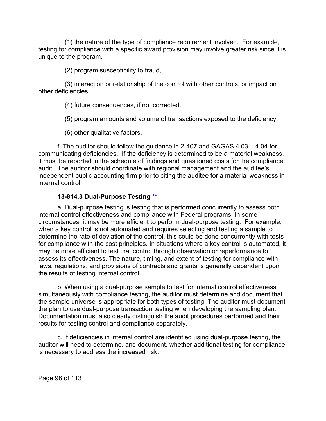(1) the nature of the type of compliance requirement involved. For example, testing for compliance with a specific award provision may involve greater risk since it is unique to the program.

(2) program susceptibility to fraud,

(3) interaction or relationship of the control with other controls, or impact on other deficiencies,

(4) future consequences, if not corrected.

(5) program amounts and volume of transactions exposed to the deficiency,

(6) other qualitative factors.

f. The auditor should follow the guidance in 2-407 and GAGAS 4.03 – 4.04 for communicating deficiencies. If the deficiency is determined to be a material weakness, it must be reported in the schedule of findings and questioned costs for the compliance audit. The auditor should coordinate with regional management and the auditee's independent public accounting firm prior to citing the auditee for a material weakness in internal control.

## **13-814.3 Dual-Purpose Testing [\\*\\*](#page-6-6)**

a. Dual-purpose testing is testing that is performed concurrently to assess both internal control effectiveness and compliance with Federal programs. In some circumstances, it may be more efficient to perform dual-purpose testing. For example, when a key control is not automated and requires selecting and testing a sample to determine the rate of deviation of the control, this could be done concurrently with tests for compliance with the cost principles. In situations where a key control is automated, it may be more efficient to test that control through observation or reperformance to assess its effectiveness. The nature, timing, and extent of testing for compliance with laws, regulations, and provisions of contracts and grants is generally dependent upon the results of testing internal control.

b. When using a dual-purpose sample to test for internal control effectiveness simultaneously with compliance testing, the auditor must determine and document that the sample universe is appropriate for both types of testing. The auditor must document the plan to use dual-purpose transaction testing when developing the sampling plan. Documentation must also clearly distinguish the audit procedures performed and their results for testing control and compliance separately.

c. If deficiencies in internal control are identified using dual-purpose testing, the auditor will need to determine, and document, whether additional testing for compliance is necessary to address the increased risk.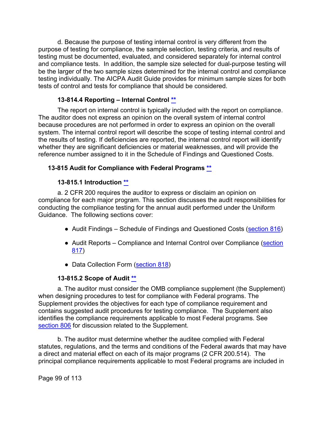d. Because the purpose of testing internal control is very different from the purpose of testing for compliance, the sample selection, testing criteria, and results of testing must be documented, evaluated, and considered separately for internal control and compliance tests. In addition, the sample size selected for dual-purpose testing will be the larger of the two sample sizes determined for the internal control and compliance testing individually. The AICPA Audit Guide provides for minimum sample sizes for both tests of control and tests for compliance that should be considered.

## **13-814.4 Reporting – Internal Control [\\*\\*](#page-6-7)**

The report on internal control is typically included with the report on compliance. The auditor does not express an opinion on the overall system of internal control because procedures are not performed in order to express an opinion on the overall system. The internal control report will describe the scope of testing internal control and the results of testing. If deficiencies are reported, the internal control report will identify whether they are significant deficiencies or material weaknesses, and will provide the reference number assigned to it in the Schedule of Findings and Questioned Costs.

## <span id="page-98-0"></span>**13-815 Audit for Compliance with Federal Programs [\\*\\*](#page-6-8)**

## **13-815.1 Introduction [\\*\\*](#page-6-9)**

a. 2 CFR 200 requires the auditor to express or disclaim an opinion on compliance for each major program. This section discusses the audit responsibilities for conducting the compliance testing for the annual audit performed under the Uniform Guidance. The following sections cover:

- Audit Findings Schedule of Findings and Questioned Costs [\(section 816\)](#page-101-0)
- Audit Reports Compliance and Internal Control over Compliance (section [817\)](#page-104-0)
- Data Collection Form [\(section 818\)](#page-106-1)

## **13-815.2 Scope of Audit [\\*\\*](#page-6-10)**

a. The auditor must consider the OMB compliance supplement (the Supplement) when designing procedures to test for compliance with Federal programs. The Supplement provides the objectives for each type of compliance requirement and contains suggested audit procedures for testing compliance. The Supplement also identifies the compliance requirements applicable to most Federal programs. See [section 806](#page-86-0) for discussion related to the Supplement.

b. The auditor must determine whether the auditee complied with Federal statutes, regulations, and the terms and conditions of the Federal awards that may have a direct and material effect on each of its major programs (2 CFR 200.514). The principal compliance requirements applicable to most Federal programs are included in

Page 99 of 113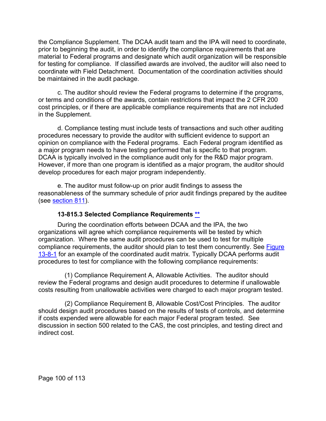the Compliance Supplement. The DCAA audit team and the IPA will need to coordinate, prior to beginning the audit, in order to identify the compliance requirements that are material to Federal programs and designate which audit organization will be responsible for testing for compliance. If classified awards are involved, the auditor will also need to coordinate with Field Detachment. Documentation of the coordination activities should be maintained in the audit package.

c. The auditor should review the Federal programs to determine if the programs, or terms and conditions of the awards, contain restrictions that impact the 2 CFR 200 cost principles, or if there are applicable compliance requirements that are not included in the Supplement.

d. Compliance testing must include tests of transactions and such other auditing procedures necessary to provide the auditor with sufficient evidence to support an opinion on compliance with the Federal programs. Each Federal program identified as a major program needs to have testing performed that is specific to that program. DCAA is typically involved in the compliance audit only for the R&D major program. However, if more than one program is identified as a major program, the auditor should develop procedures for each major program independently.

e. The auditor must follow-up on prior audit findings to assess the reasonableness of the summary schedule of prior audit findings prepared by the auditee (see [section](#page-92-1) 811).

## **13-815.3 Selected Compliance Requirements [\\*\\*](#page-6-11)**

During the coordination efforts between DCAA and the IPA, the two organizations will agree which compliance requirements will be tested by which organization. Where the same audit procedures can be used to test for multiple compliance requirements, the auditor should plan to test them concurrently. See [Figure](#page-107-0)  [13-8-1](#page-107-0) for an example of the coordinated audit matrix. Typically DCAA performs audit procedures to test for compliance with the following compliance requirements:

(1) Compliance Requirement A, Allowable Activities. The auditor should review the Federal programs and design audit procedures to determine if unallowable costs resulting from unallowable activities were charged to each major program tested.

(2) Compliance Requirement B, Allowable Cost/Cost Principles. The auditor should design audit procedures based on the results of tests of controls, and determine if costs expended were allowable for each major Federal program tested. See discussion in section 500 related to the CAS, the cost principles, and testing direct and indirect cost.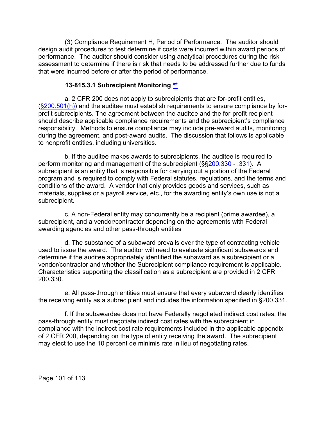(3) Compliance Requirement H, Period of Performance. The auditor should design audit procedures to test determine if costs were incurred within award periods of performance. The auditor should consider using analytical procedures during the risk assessment to determine if there is risk that needs to be addressed further due to funds that were incurred before or after the period of performance.

#### **13-815.3.1 Subrecipient Monitoring [\\*\\*](#page-6-12)**

a. 2 CFR 200 does not apply to subrecipients that are for-profit entities,  $(S200.501(h))$  and the auditee must establish requirements to ensure compliance by forprofit subrecipients. The agreement between the auditee and the for-profit recipient should describe applicable compliance requirements and the subrecipient's compliance responsibility. Methods to ensure compliance may include pre-award audits, monitoring during the agreement, and post-award audits. The discussion that follows is applicable to nonprofit entities, including universities.

b. If the auditee makes awards to subrecipients, the auditee is required to perform monitoring and management of the subrecipient (§[§200.330](https://www.ecfr.gov/cgi-bin/text-idx?SID=c9b5964259cdf79483e0091895699529&mc=true&node=se2.1.200_1330&rgn=div8) - [.331\)](https://www.ecfr.gov/cgi-bin/retrieveECFR?gp=&SID=c9b5964259cdf79483e0091895699529&mc=true&r=SECTION&n=se2.1.200_1331). A subrecipient is an entity that is responsible for carrying out a portion of the Federal program and is required to comply with Federal statutes, regulations, and the terms and conditions of the award. A vendor that only provides goods and services, such as materials, supplies or a payroll service, etc., for the awarding entity's own use is not a subrecipient.

c. A non-Federal entity may concurrently be a recipient (prime awardee), a subrecipient, and a vendor/contractor depending on the agreements with Federal awarding agencies and other pass-through entities

d. The substance of a subaward prevails over the type of contracting vehicle used to issue the award. The auditor will need to evaluate significant subawards and determine if the auditee appropriately identified the subaward as a subrecipient or a vendor/contractor and whether the Subrecipient compliance requirement is applicable. Characteristics supporting the classification as a subrecipient are provided in 2 CFR 200.330.

e. All pass-through entities must ensure that every subaward clearly identifies the receiving entity as a subrecipient and includes the information specified in §200.331.

f. If the subawardee does not have Federally negotiated indirect cost rates, the pass-through entity must negotiate indirect cost rates with the subrecipient in compliance with the indirect cost rate requirements included in the applicable appendix of 2 CFR 200, depending on the type of entity receiving the award. The subrecipient may elect to use the 10 percent de minimis rate in lieu of negotiating rates.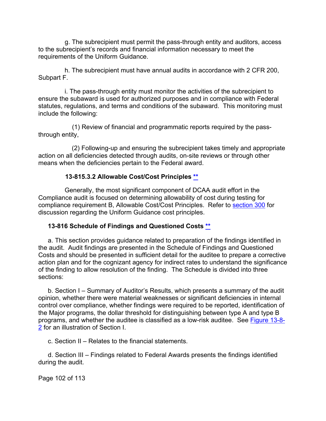g. The subrecipient must permit the pass-through entity and auditors, access to the subrecipient's records and financial information necessary to meet the requirements of the Uniform Guidance.

h. The subrecipient must have annual audits in accordance with 2 CFR 200, Subpart F.

i. The pass-through entity must monitor the activities of the subrecipient to ensure the subaward is used for authorized purposes and in compliance with Federal statutes, regulations, and terms and conditions of the subaward. This monitoring must include the following:

(1) Review of financial and programmatic reports required by the passthrough entity,

(2) Following-up and ensuring the subrecipient takes timely and appropriate action on all deficiencies detected through audits, on-site reviews or through other means when the deficiencies pertain to the Federal award.

## **13-815.3.2 Allowable Cost/Cost Principles [\\*\\*](#page-6-13)**

Generally, the most significant component of DCAA audit effort in the Compliance audit is focused on determining allowability of cost during testing for compliance requirement B, Allowable Cost/Cost Principles. Refer to [section 300](#page-10-0) for discussion regarding the Uniform Guidance cost principles.

## <span id="page-101-0"></span>**13-816 Schedule of Findings and Questioned Costs [\\*\\*](#page-6-14)**

a. This section provides guidance related to preparation of the findings identified in the audit. Audit findings are presented in the Schedule of Findings and Questioned Costs and should be presented in sufficient detail for the auditee to prepare a corrective action plan and for the cognizant agency for indirect rates to understand the significance of the finding to allow resolution of the finding. The Schedule is divided into three sections:

b. Section I – Summary of Auditor's Results, which presents a summary of the audit opinion, whether there were material weaknesses or significant deficiencies in internal control over compliance, whether findings were required to be reported, identification of the Major programs, the dollar threshold for distinguishing between type A and type B programs, and whether the auditee is classified as a low-risk auditee. See [Figure 13-8-](#page-108-0) [2](#page-108-0) for an illustration of Section I.

c. Section II – Relates to the financial statements.

d. Section III – Findings related to Federal Awards presents the findings identified during the audit.

Page 102 of 113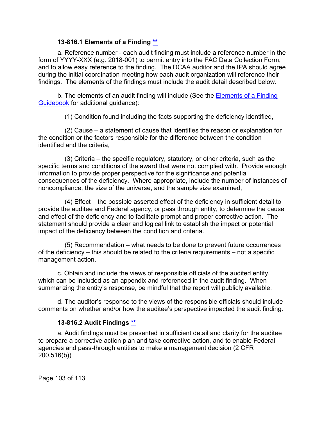#### **13-816.1 Elements of a Finding [\\*\\*](#page-6-15)**

a. Reference number - each audit finding must include a reference number in the form of YYYY-XXX (e.g. 2018-001) to permit entry into the FAC Data Collection Form, and to allow easy reference to the finding. The DCAA auditor and the IPA should agree during the initial coordination meeting how each audit organization will reference their findings. The elements of the findings must include the audit detail described below.

b. The elements of an audit finding will include (See the [Elements of a Finding](https://viper.dcaa.mil/guidance/guidebooks/elements-of-a-finding)  [Guidebook](https://viper.dcaa.mil/guidance/guidebooks/elements-of-a-finding) for additional guidance):

(1) Condition found including the facts supporting the deficiency identified,

(2) Cause – a statement of cause that identifies the reason or explanation for the condition or the factors responsible for the difference between the condition identified and the criteria,

(3) Criteria – the specific regulatory, statutory, or other criteria, such as the specific terms and conditions of the award that were not complied with. Provide enough information to provide proper perspective for the significance and potential consequences of the deficiency. Where appropriate, include the number of instances of noncompliance, the size of the universe, and the sample size examined,

(4) Effect – the possible asserted effect of the deficiency in sufficient detail to provide the auditee and Federal agency, or pass through entity, to determine the cause and effect of the deficiency and to facilitate prompt and proper corrective action. The statement should provide a clear and logical link to establish the impact or potential impact of the deficiency between the condition and criteria.

(5) Recommendation – what needs to be done to prevent future occurrences of the deficiency – this should be related to the criteria requirements – not a specific management action.

c. Obtain and include the views of responsible officials of the audited entity, which can be included as an appendix and referenced in the audit finding. When summarizing the entity's response, be mindful that the report will publicly available.

d. The auditor's response to the views of the responsible officials should include comments on whether and/or how the auditee's perspective impacted the audit finding.

## **13-816.2 Audit Findings [\\*\\*](#page-6-16)**

a. Audit findings must be presented in sufficient detail and clarity for the auditee to prepare a corrective action plan and take corrective action, and to enable Federal agencies and pass-through entities to make a management decision (2 CFR 200.516(b))

Page 103 of 113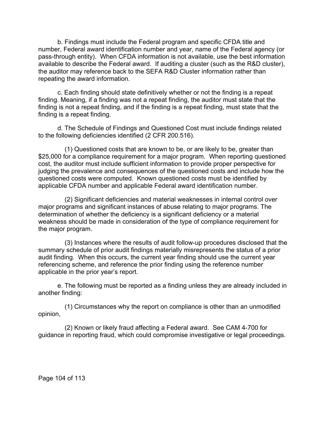b. Findings must include the Federal program and specific CFDA title and number, Federal award identification number and year, name of the Federal agency (or pass-through entity). When CFDA information is not available, use the best information available to describe the Federal award. If auditing a cluster (such as the R&D cluster), the auditor may reference back to the SEFA R&D Cluster information rather than repeating the award information.

c. Each finding should state definitively whether or not the finding is a repeat finding. Meaning, if a finding was not a repeat finding, the auditor must state that the finding is not a repeat finding, and if the finding is a repeat finding, must state that the finding is a repeat finding.

d. The Schedule of Findings and Questioned Cost must include findings related to the following deficiencies identified (2 CFR 200.516).

(1) Questioned costs that are known to be, or are likely to be, greater than \$25,000 for a compliance requirement for a major program. When reporting questioned cost, the auditor must include sufficient information to provide proper perspective for judging the prevalence and consequences of the questioned costs and include how the questioned costs were computed. Known questioned costs must be identified by applicable CFDA number and applicable Federal award identification number.

(2) Significant deficiencies and material weaknesses in internal control over major programs and significant instances of abuse relating to major programs. The determination of whether the deficiency is a significant deficiency or a material weakness should be made in consideration of the type of compliance requirement for the major program.

(3) Instances where the results of audit follow-up procedures disclosed that the summary schedule of prior audit findings materially misrepresents the status of a prior audit finding. When this occurs, the current year finding should use the current year referencing scheme, and reference the prior finding using the reference number applicable in the prior year's report.

e. The following must be reported as a finding unless they are already included in another finding:

(1) Circumstances why the report on compliance is other than an unmodified opinion,

(2) Known or likely fraud affecting a Federal award. See CAM 4-700 for guidance in reporting fraud, which could compromise investigative or legal proceedings.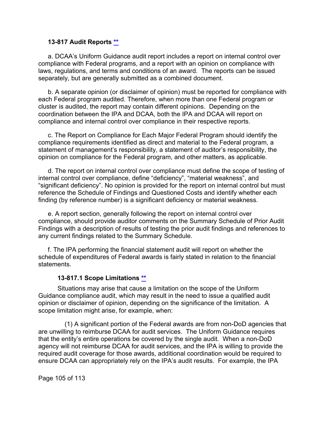#### <span id="page-104-0"></span>**13-817 Audit Reports [\\*\\*](#page-6-17)**

a. DCAA's Uniform Guidance audit report includes a report on internal control over compliance with Federal programs, and a report with an opinion on compliance with laws, regulations, and terms and conditions of an award. The reports can be issued separately, but are generally submitted as a combined document.

b. A separate opinion (or disclaimer of opinion) must be reported for compliance with each Federal program audited. Therefore, when more than one Federal program or cluster is audited, the report may contain different opinions. Depending on the coordination between the IPA and DCAA, both the IPA and DCAA will report on compliance and internal control over compliance in their respective reports.

c. The Report on Compliance for Each Major Federal Program should identify the compliance requirements identified as direct and material to the Federal program, a statement of management's responsibility, a statement of auditor's responsibility, the opinion on compliance for the Federal program, and other matters, as applicable.

d. The report on internal control over compliance must define the scope of testing of internal control over compliance, define "deficiency", "material weakness", and "significant deficiency". No opinion is provided for the report on internal control but must reference the Schedule of Findings and Questioned Costs and identify whether each finding (by reference number) is a significant deficiency or material weakness.

e. A report section, generally following the report on internal control over compliance, should provide auditor comments on the Summary Schedule of Prior Audit Findings with a description of results of testing the prior audit findings and references to any current findings related to the Summary Schedule.

f. The IPA performing the financial statement audit will report on whether the schedule of expenditures of Federal awards is fairly stated in relation to the financial statements.

#### **13-817.1 Scope Limitations [\\*\\*](#page-6-18)**

Situations may arise that cause a limitation on the scope of the Uniform Guidance compliance audit, which may result in the need to issue a qualified audit opinion or disclaimer of opinion, depending on the significance of the limitation. A scope limitation might arise, for example, when:

(1) A significant portion of the Federal awards are from non-DoD agencies that are unwilling to reimburse DCAA for audit services. The Uniform Guidance requires that the entity's entire operations be covered by the single audit. When a non-DoD agency will not reimburse DCAA for audit services, and the IPA is willing to provide the required audit coverage for those awards, additional coordination would be required to ensure DCAA can appropriately rely on the IPA's audit results. For example, the IPA

Page 105 of 113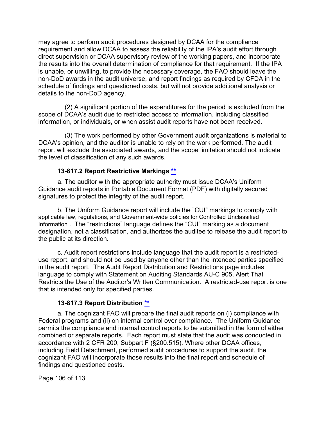may agree to perform audit procedures designed by DCAA for the compliance requirement and allow DCAA to assess the reliability of the IPA's audit effort through direct supervision or DCAA supervisory review of the working papers, and incorporate the results into the overall determination of compliance for that requirement. If the IPA is unable, or unwilling, to provide the necessary coverage, the FAO should leave the non-DoD awards in the audit universe, and report findings as required by CFDA in the schedule of findings and questioned costs, but will not provide additional analysis or details to the non-DoD agency.

(2) A significant portion of the expenditures for the period is excluded from the scope of DCAA's audit due to restricted access to information, including classified information, or individuals, or when assist audit reports have not been received.

(3) The work performed by other Government audit organizations is material to DCAA's opinion, and the auditor is unable to rely on the work performed. The audit report will exclude the associated awards, and the scope limitation should not indicate the level of classification of any such awards.

## **13-817.2 Report Restrictive Markings [\\*\\*](#page-6-19)**

a. The auditor with the appropriate authority must issue DCAA's Uniform Guidance audit reports in Portable Document Format (PDF) with digitally secured signatures to protect the integrity of the audit report.

b. The Uniform Guidance report will include the "CUI" markings to comply with applicable law, regulations, and Government-wide policies for Controlled Unclassified Information . The "restrictions" language defines the "CUI" marking as a document designation, not a classification, and authorizes the auditee to release the audit report to the public at its direction.

c. Audit report restrictions include language that the audit report is a restricteduse report, and should not be used by anyone other than the intended parties specified in the audit report. The Audit Report Distribution and Restrictions page includes language to comply with Statement on Auditing Standards AU-C 905, Alert That Restricts the Use of the Auditor's Written Communication. A restricted-use report is one that is intended only for specified parties.

#### **13-817.3 Report Distribution [\\*\\*](#page-6-20)**

a. The cognizant FAO will prepare the final audit reports on (i) compliance with Federal programs and (ii) on internal control over compliance. The Uniform Guidance permits the compliance and internal control reports to be submitted in the form of either combined or separate reports. Each report must state that the audit was conducted in accordance with 2 CFR 200, Subpart F (§200.515). Where other DCAA offices, including Field Detachment, performed audit procedures to support the audit, the cognizant FAO will incorporate those results into the final report and schedule of findings and questioned costs.

Page 106 of 113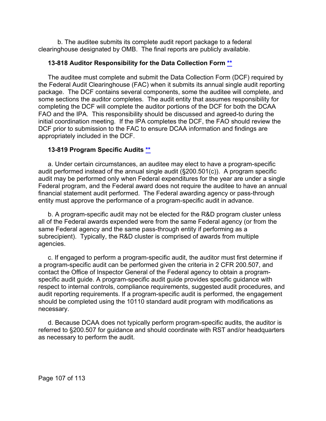b. The auditee submits its complete audit report package to a federal clearinghouse designated by OMB. The final reports are publicly available.

#### <span id="page-106-1"></span>**13-818 Auditor Responsibility for the Data Collection Form [\\*\\*](#page-6-21)**

The auditee must complete and submit the Data Collection Form (DCF) required by the Federal Audit Clearinghouse (FAC) when it submits its annual single audit reporting package. The DCF contains several components, some the auditee will complete, and some sections the auditor completes. The audit entity that assumes responsibility for completing the DCF will complete the auditor portions of the DCF for both the DCAA FAO and the IPA. This responsibility should be discussed and agreed-to during the initial coordination meeting. If the IPA completes the DCF, the FAO should review the DCF prior to submission to the FAC to ensure DCAA information and findings are appropriately included in the DCF.

#### <span id="page-106-0"></span>**13-819 Program Specific Audits [\\*\\*](#page-6-22)**

a. Under certain circumstances, an auditee may elect to have a program-specific audit performed instead of the annual single audit (§200.501(c)). A program specific audit may be performed only when Federal expenditures for the year are under a single Federal program, and the Federal award does not require the auditee to have an annual financial statement audit performed. The Federal awarding agency or pass-through entity must approve the performance of a program-specific audit in advance.

b. A program-specific audit may not be elected for the R&D program cluster unless all of the Federal awards expended were from the same Federal agency (or from the same Federal agency and the same pass-through entity if performing as a subrecipient). Typically, the R&D cluster is comprised of awards from multiple agencies.

c. If engaged to perform a program-specific audit, the auditor must first determine if a program-specific audit can be performed given the criteria in 2 CFR 200.507, and contact the Office of Inspector General of the Federal agency to obtain a programspecific audit guide. A program-specific audit guide provides specific guidance with respect to internal controls, compliance requirements, suggested audit procedures, and audit reporting requirements. If a program-specific audit is performed, the engagement should be completed using the 10110 standard audit program with modifications as necessary.

d. Because DCAA does not typically perform program-specific audits, the auditor is referred to §200.507 for guidance and should coordinate with RST and/or headquarters as necessary to perform the audit.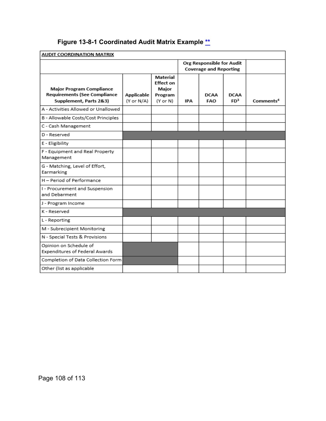# <span id="page-107-0"></span>**Figure 13-8-1 Coordinated Audit Matrix Example [\\*\\*](#page-6-23)**

| AUDIT COORDINATION MATRIX                                                                        |                          |                                                              |                                                            |                    |                                |                       |  |
|--------------------------------------------------------------------------------------------------|--------------------------|--------------------------------------------------------------|------------------------------------------------------------|--------------------|--------------------------------|-----------------------|--|
|                                                                                                  |                          |                                                              | Org Responsible for Audit<br><b>Coverage and Reporting</b> |                    |                                |                       |  |
| <b>Major Program Compliance</b><br><b>Requirements (See Compliance</b><br>Supplement, Parts 2&3) | Applicable<br>(Y or N/A) | Material<br><b>Effect on</b><br>Maior<br>Program<br>(Y or N) | IPA                                                        | <b>DCAA</b><br>FAO | <b>DCAA</b><br>FD <sup>3</sup> | Comments <sup>4</sup> |  |
| A - Activities Allowed or Unallowed                                                              |                          |                                                              |                                                            |                    |                                |                       |  |
| B - Allowable Costs/Cost Principles                                                              |                          |                                                              |                                                            |                    |                                |                       |  |
| C - Cash Management                                                                              |                          |                                                              |                                                            |                    |                                |                       |  |
| D - Reserved                                                                                     |                          |                                                              |                                                            |                    |                                |                       |  |
| E - Eligibility                                                                                  |                          |                                                              |                                                            |                    |                                |                       |  |
| F - Equipment and Real Property<br>Management                                                    |                          |                                                              |                                                            |                    |                                |                       |  |
| G - Matching, Level of Effort,<br>Earmarking                                                     |                          |                                                              |                                                            |                    |                                |                       |  |
| H - Period of Performance                                                                        |                          |                                                              |                                                            |                    |                                |                       |  |
| I - Procurement and Suspension<br>and Debarment                                                  |                          |                                                              |                                                            |                    |                                |                       |  |
| J - Program Income                                                                               |                          |                                                              |                                                            |                    |                                |                       |  |
| K - Reserved                                                                                     |                          |                                                              |                                                            |                    |                                |                       |  |
| L - Reporting                                                                                    |                          |                                                              |                                                            |                    |                                |                       |  |
| M - Subrecipient Monitoring                                                                      |                          |                                                              |                                                            |                    |                                |                       |  |
| N - Special Tests & Provisions                                                                   |                          |                                                              |                                                            |                    |                                |                       |  |
| Opinion on Schedule of<br>Expenditures of Federal Awards                                         |                          |                                                              |                                                            |                    |                                |                       |  |
| Completion of Data Collection Form                                                               |                          |                                                              |                                                            |                    |                                |                       |  |
| Other (list as applicable                                                                        |                          |                                                              |                                                            |                    |                                |                       |  |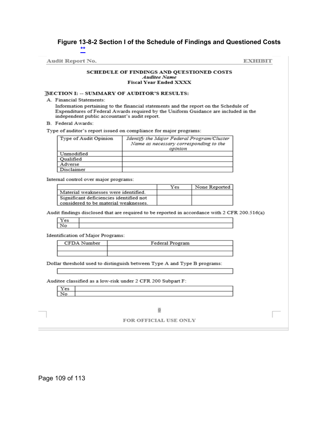Figure 13-8-2 Section I of the Schedule of Findings and Questioned Costs

Audit Report No.

**EXHIBIT** 

#### SCHEDULE OF FINDINGS AND QUESTIONED COSTS Auditee Name **Fiscal Year Ended XXXX**

#### [SECTION I: -- SUMMARY OF AUDITOR'S RESULTS:

A. Financial Statements:

Information pertaining to the financial statements and the report on the Schedule of Expenditures of Federal Awards required by the Uniform Guidance are included in the independent public accountant's audit report.

B. Federal Awards:

Type of auditor's report issued on compliance for major programs:

| Type of Audit Opinion | Identify the Major Federal Program/Cluster |
|-----------------------|--------------------------------------------|
|                       | Name as necessary corresponding to the     |
|                       | opinion                                    |
| Unmodified            |                                            |
| Qualified             |                                            |
| Adverse               |                                            |
| Disclaimer            |                                            |

Internal control over major programs:

|                                         | Yes | None Reported |
|-----------------------------------------|-----|---------------|
| Material weaknesses were identified.    |     |               |
| Significant deficiencies identified not |     |               |
| considered to be material weaknesses.   |     |               |

Audit findings disclosed that are required to be reported in accordance with 2 CFR 200.516(a)

Identification of Major Programs:

| CFDA Num | Federal Program |
|----------|-----------------|
|          |                 |
|          |                 |

Dollar threshold used to distinguish between Type A and Type B programs:

Auditee classified as a low-risk under 2 CFR 200 Subpart F:

9

FOR OFFICIAL USE ONLY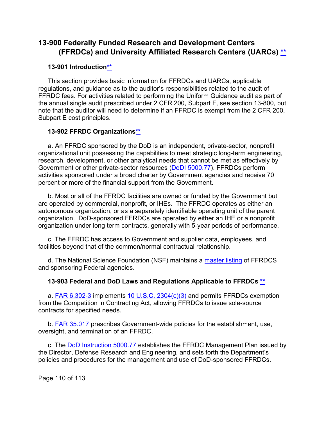# **13-900 Federally Funded Research and Development Centers (FFRDCs) and University Affiliated Research Centers (UARCs) [\\*\\*](#page-6-1)**

## **13-901 Introductio[n\\*\\*](#page-7-0)**

This section provides basic information for FFRDCs and UARCs, applicable regulations, and guidance as to the auditor's responsibilities related to the audit of FFRDC fees. For activities related to performing the Uniform Guidance audit as part of the annual single audit prescribed under 2 CFR 200, Subpart F, see section 13-800, but note that the auditor will need to determine if an FFRDC is exempt from the 2 CFR 200, Subpart E cost principles.

#### **13-902 FFRDC Organization[s\\*\\*](#page-7-1)**

a. An FFRDC sponsored by the DoD is an independent, private-sector, nonprofit organizational unit possessing the capabilities to meet strategic long-term engineering, research, development, or other analytical needs that cannot be met as effectively by Government or other private-sector resources [\(DoDI 5000.77\)](http://www.esd.whs.mil/Portals/54/Documents/DD/issuances/dodi/500077p.PDF?ver=2018-02-20-140950-980). FFRDCs perform activities sponsored under a broad charter by Government agencies and receive 70 percent or more of the financial support from the Government.

b. Most or all of the FFRDC facilities are owned or funded by the Government but are operated by commercial, nonprofit, or IHEs. The FFRDC operates as either an autonomous organization, or as a separately identifiable operating unit of the parent organization. DoD-sponsored FFRDCs are operated by either an IHE or a nonprofit organization under long term contracts, generally with 5-year periods of performance.

c. The FFRDC has access to Government and supplier data, employees, and facilities beyond that of the common/normal contractual relationship.

d. The National Science Foundation (NSF) maintains a [master listing](https://www.nsf.gov/statistics/ffrdclist/) of FFRDCS and sponsoring Federal agencies.

#### **13-903 Federal and DoD Laws and Regulations Applicable to FFRDCs [\\*\\*](#page-7-2)**

a. [FAR 6.302-3](http://www.ecfr.gov/cgi-bin/text-idx?SID=b9d1d11e28ffa12aea69f73b646e73cb&mc=true&node=se48.1.6_1302_63&rgn=div8) implements [10 U.S.C. 2304\(c\)\(3\)](http://uscode.house.gov/view.xhtml?req=granuleid:USC-prelim-title10-section2304c&num=0&edition=prelim) and permits FFRDCs exemption from the Competition in Contracting Act, allowing FFRDCs to issue sole-source contracts for specified needs.

b. [FAR 35.017](http://www.ecfr.gov/cgi-bin/text-idx?SID=b9d1d11e28ffa12aea69f73b646e73cb&mc=true&node=se48.1.35_1017&rgn=div8) prescribes Government-wide policies for the establishment, use, oversight, and termination of an FFRDC.

c. The DoD [Instruction 5000.77](http://www.esd.whs.mil/Portals/54/Documents/DD/issuances/dodi/500077p.PDF?ver=2018-02-20-140950-980) establishes the FFRDC Management Plan issued by the Director, Defense Research and Engineering, and sets forth the Department's policies and procedures for the management and use of DoD-sponsored FFRDCs.

Page 110 of 113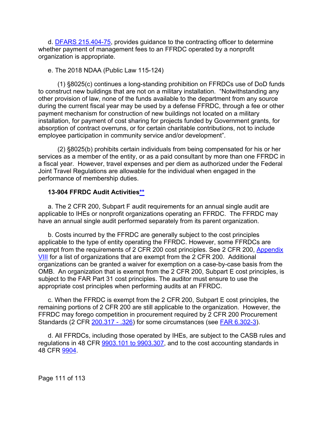d. [DFARS 215.404-75,](http://www.ecfr.gov/cgi-bin/text-idx?SID=b9d1d11e28ffa12aea69f73b646e73cb&mc=true&node=se48.3.215_1404_675&rgn=div8) provides guidance to the contracting officer to determine whether payment of management fees to an FFRDC operated by a nonprofit organization is appropriate.

e. The 2018 NDAA (Public Law 115-124)

(1) §8025(c) continues a long-standing prohibition on FFRDCs use of DoD funds to construct new buildings that are not on a military installation. "Notwithstanding any other provision of law, none of the funds available to the department from any source during the current fiscal year may be used by a defense FFRDC, through a fee or other payment mechanism for construction of new buildings not located on a military installation, for payment of cost sharing for projects funded by Government grants, for absorption of contract overruns, or for certain charitable contributions, not to include employee participation in community service and/or development".

(2) §8025(b) prohibits certain individuals from being compensated for his or her services as a member of the entity, or as a paid consultant by more than one FFRDC in a fiscal year. However, travel expenses and per diem as authorized under the Federal Joint Travel Regulations are allowable for the individual when engaged in the performance of membership duties.

#### **13-904 FFRDC Audit Activities\*\***

a. The 2 CFR 200, Subpart F audit requirements for an annual single audit are applicable to IHEs or nonprofit organizations operating an FFRDC. The FFRDC may have an annual single audit performed separately from its parent organization.

b. Costs incurred by the FFRDC are generally subject to the cost principles applicable to the type of entity operating the FFRDC. However, some FFRDCs are exempt from the requirements of 2 CFR 200 cost principles. See 2 CFR 200, [Appendix](https://www.ecfr.gov/cgi-bin/text-idx?SID=76acb7881f61de416b13fe28509c5c7e&mc=true&node=ap2.1.200_1521.viii&rgn=div9)  **[VIII](https://www.ecfr.gov/cgi-bin/text-idx?SID=76acb7881f61de416b13fe28509c5c7e&mc=true&node=ap2.1.200_1521.viii&rgn=div9)** for a list of organizations that are exempt from the 2 CFR 200. Additional organizations can be granted a waiver for exemption on a case-by-case basis from the OMB. An organization that is exempt from the 2 CFR 200, Subpart E cost principles, is subject to the FAR Part 31 cost principles. The auditor must ensure to use the appropriate cost principles when performing audits at an FFRDC.

c. When the FFRDC is exempt from the 2 CFR 200, Subpart E cost principles, the remaining portions of 2 CFR 200 are still applicable to the organization. However, the FFRDC may forego competition in procurement required by 2 CFR 200 Procurement Standards (2 CFR [200.317 -](https://www.ecfr.gov/cgi-bin/text-idx?SID=87c24e51254760827370b2a615d18c8c&mc=true&node=sg2.1.200_1316.sg3&rgn=div7) .326) for some circumstances (see [FAR 6.302-3\)](http://www.ecfr.gov/cgi-bin/text-idx?SID=b9d1d11e28ffa12aea69f73b646e73cb&mc=true&node=se48.1.6_1302_63&rgn=div8).

d. All FFRDCs, including those operated by IHEs, are subject to the CASB rules and regulations in 48 CFR [9903.101 to 9903.307,](https://www.ecfr.gov/cgi-bin/text-idx?SID=2b73cb69f20b10b81f49756b0f42f0fa&mc=true&tpl=/ecfrbrowse/Title48/48cfr9903_main_02.tpl) and to the cost accounting standards in 48 CFR [9904.](https://www.ecfr.gov/cgi-bin/text-idx?SID=2b73cb69f20b10b81f49756b0f42f0fa&mc=true&tpl=/ecfrbrowse/Title48/48cfr9904_main_02.tpl)

Page 111 of 113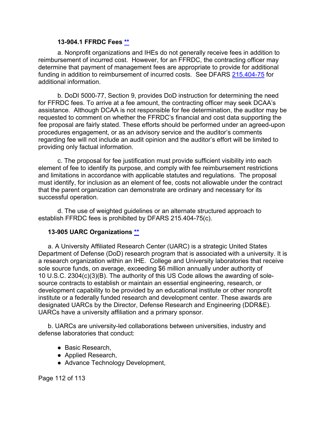#### **13-904.1 FFRDC Fees [\\*\\*](#page-7-3)**

a. Nonprofit organizations and IHEs do not generally receive fees in addition to reimbursement of incurred cost. However, for an FFRDC, the contracting officer may determine that payment of management fees are appropriate to provide for additional funding in addition to reimbursement of incurred costs. See DFARS [215.404-75](https://www.ecfr.gov/cgi-bin/text-idx?SID=be5665b9ebac60c48115da25d7bb29a2&mc=true&node=se48.3.215_1404_675&rgn=div8) for additional information.

b. DoDI 5000-77, Section 9, provides DoD instruction for determining the need for FFRDC fees. To arrive at a fee amount, the contracting officer may seek DCAA's assistance. Although DCAA is not responsible for fee determination, the auditor may be requested to comment on whether the FFRDC's financial and cost data supporting the fee proposal are fairly stated. These efforts should be performed under an agreed-upon procedures engagement, or as an advisory service and the auditor's comments regarding fee will not include an audit opinion and the auditor's effort will be limited to providing only factual information.

c. The proposal for fee justification must provide sufficient visibility into each element of fee to identify its purpose, and comply with fee reimbursement restrictions and limitations in accordance with applicable statutes and regulations. The proposal must identify, for inclusion as an element of fee, costs not allowable under the contract that the parent organization can demonstrate are ordinary and necessary for its successful operation.

d. The use of weighted guidelines or an alternate structured approach to establish FFRDC fees is prohibited by DFARS 215.404-75(c).

#### **13-905 UARC Organizations [\\*\\*](#page-7-4)**

a. A University Affiliated Research Center (UARC) is a strategic United States Department of Defense (DoD) research program that is associated with a university. It is a research organization within an IHE. College and University laboratories that receive sole source funds, on average, exceeding \$6 million annually under authority of 10 U.S.C. 2304(c)(3)(B). The authority of this US Code allows the awarding of solesource contracts to establish or maintain an essential engineering, research, or development capability to be provided by an educational institute or other nonprofit institute or a federally funded research and development center. These awards are designated UARCs by the Director, Defense Research and Engineering (DDR&E). UARCs have a university affiliation and a primary sponsor.

b. UARCs are university-led collaborations between universities, industry and defense laboratories that conduct:

- Basic Research,
- Applied Research,
- Advance Technology Development,

Page 112 of 113